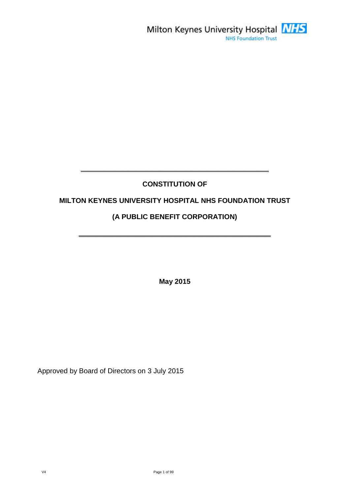

### **CONSTITUTION OF**

**\_\_\_\_\_\_\_\_\_\_\_\_\_\_\_\_\_\_\_\_\_\_\_\_\_\_\_\_\_\_\_\_\_\_\_\_\_\_\_\_\_\_\_\_\_\_\_\_**

### **MILTON KEYNES UNIVERSITY HOSPITAL NHS FOUNDATION TRUST**

### **(A PUBLIC BENEFIT CORPORATION)**

**\_\_\_\_\_\_\_\_\_\_\_\_\_\_\_\_\_\_\_\_\_\_\_\_\_\_\_\_\_\_\_\_\_\_\_\_\_\_\_\_\_\_\_\_\_\_\_\_\_**

**May 2015**

Approved by Board of Directors on 3 July 2015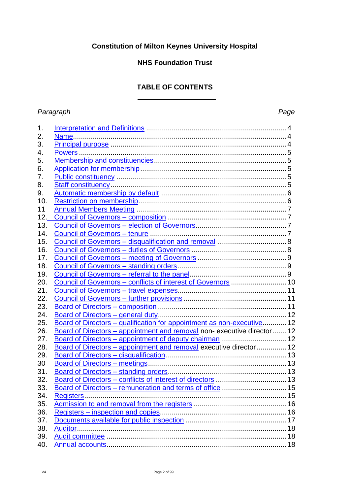### **Constitution of Milton Keynes University Hospital**

### **NHS Foundation Trust**

### **TABLE OF CONTENTS**

### *Paragraph Page*

| 1.  |                                                                        |  |
|-----|------------------------------------------------------------------------|--|
| 2.  |                                                                        |  |
| 3.  |                                                                        |  |
| 4.  |                                                                        |  |
| 5.  |                                                                        |  |
| 6.  |                                                                        |  |
| 7.  |                                                                        |  |
| 8.  |                                                                        |  |
| 9.  |                                                                        |  |
| 10. |                                                                        |  |
| 11  |                                                                        |  |
| 12. |                                                                        |  |
| 13. |                                                                        |  |
| 14. |                                                                        |  |
| 15. |                                                                        |  |
| 16. |                                                                        |  |
| 17. |                                                                        |  |
| 18. |                                                                        |  |
| 19. |                                                                        |  |
| 20. | Council of Governors - conflicts of interest of Governors  10          |  |
| 21. |                                                                        |  |
| 22. |                                                                        |  |
| 23. |                                                                        |  |
| 24. |                                                                        |  |
| 25. | Board of Directors - qualification for appointment as non-executive 12 |  |
| 26. | Board of Directors - appointment and removal non-executive director 12 |  |
| 27. | Board of Directors - appointment of deputy chairman  12                |  |
| 28. | Board of Directors - appointment and removal executive director  12    |  |
| 29. |                                                                        |  |
| 30  |                                                                        |  |
| 31. |                                                                        |  |
| 32. |                                                                        |  |
| 33. | Board of Directors - remuneration and terms of office  15              |  |
| 34. | Registers.                                                             |  |
| 35. |                                                                        |  |
| 36. |                                                                        |  |
| 37. |                                                                        |  |
| 38. |                                                                        |  |
| 39. |                                                                        |  |
| 40. |                                                                        |  |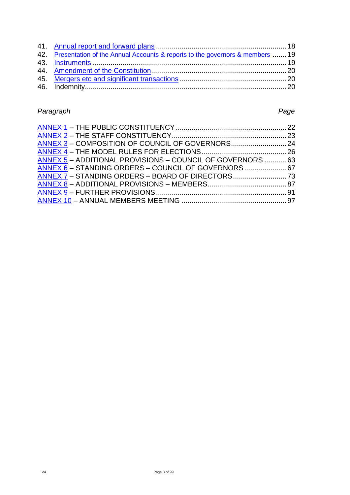| 42. Presentation of the Annual Accounts & reports to the governors & members  19 |  |
|----------------------------------------------------------------------------------|--|
|                                                                                  |  |
|                                                                                  |  |
|                                                                                  |  |
|                                                                                  |  |
|                                                                                  |  |

# *Paragraph Page*

| ANNEX 5 - ADDITIONAL PROVISIONS - COUNCIL OF GOVERNORS  63 |  |
|------------------------------------------------------------|--|
| ANNEX 6 - STANDING ORDERS - COUNCIL OF GOVERNORS  67       |  |
|                                                            |  |
|                                                            |  |
|                                                            |  |
|                                                            |  |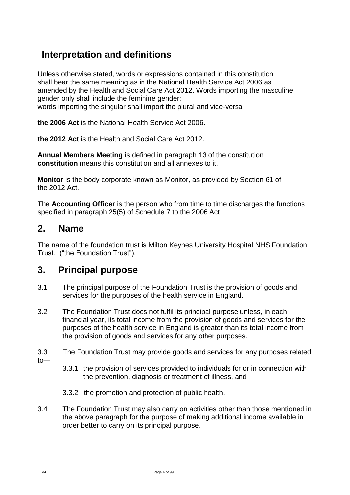# <span id="page-3-0"></span>**Interpretation and definitions**

Unless otherwise stated, words or expressions contained in this constitution shall bear the same meaning as in the National Health Service Act 2006 as amended by the Health and Social Care Act 2012. Words importing the masculine gender only shall include the feminine gender; words importing the singular shall import the plural and vice-versa

**the 2006 Act** is the National Health Service Act 2006.

**the 2012 Act** is the Health and Social Care Act 2012.

**Annual Members Meeting** is defined in paragraph 13 of the constitution **constitution** means this constitution and all annexes to it.

**Monitor** is the body corporate known as Monitor, as provided by Section 61 of the 2012 Act.

The **Accounting Officer** is the person who from time to time discharges the functions specified in paragraph 25(5) of Schedule 7 to the 2006 Act

### <span id="page-3-1"></span>**2. Name**

The name of the foundation trust is Milton Keynes University Hospital NHS Foundation Trust. ("the Foundation Trust").

### <span id="page-3-2"></span>**3. Principal purpose**

- 3.1 The principal purpose of the Foundation Trust is the provision of goods and services for the purposes of the health service in England.
- 3.2 The Foundation Trust does not fulfil its principal purpose unless, in each financial year, its total income from the provision of goods and services for the purposes of the health service in England is greater than its total income from the provision of goods and services for any other purposes.
- 3.3 The Foundation Trust may provide goods and services for any purposes related to—
	- 3.3.1 the provision of services provided to individuals for or in connection with the prevention, diagnosis or treatment of illness, and
	- 3.3.2 the promotion and protection of public health.
- 3.4 The Foundation Trust may also carry on activities other than those mentioned in the above paragraph for the purpose of making additional income available in order better to carry on its principal purpose.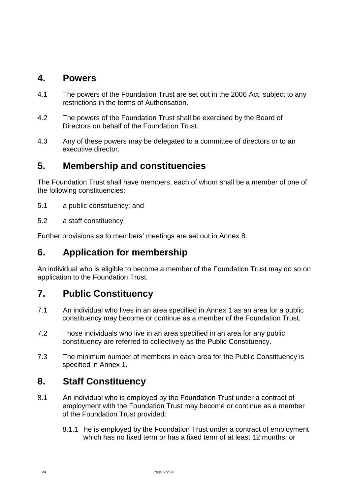### <span id="page-4-0"></span>**4. Powers**

- 4.1 The powers of the Foundation Trust are set out in the 2006 Act, subject to any restrictions in the terms of Authorisation.
- 4.2 The powers of the Foundation Trust shall be exercised by the Board of Directors on behalf of the Foundation Trust.
- 4.3 Any of these powers may be delegated to a committee of directors or to an executive director.

### <span id="page-4-1"></span>**5. Membership and constituencies**

The Foundation Trust shall have members, each of whom shall be a member of one of the following constituencies:

- 5.1 a public constituency; and
- 5.2 a staff constituency

Further provisions as to members' meetings are set out in Annex 8.

# <span id="page-4-2"></span>**6. Application for membership**

An individual who is eligible to become a member of the Foundation Trust may do so on application to the Foundation Trust.

# <span id="page-4-3"></span>**7. Public Constituency**

- 7.1 An individual who lives in an area specified in Annex 1 as an area for a public constituency may become or continue as a member of the Foundation Trust.
- 7.2 Those individuals who live in an area specified in an area for any public constituency are referred to collectively as the Public Constituency.
- 7.3 The minimum number of members in each area for the Public Constituency is specified in Annex 1.

# <span id="page-4-4"></span>**8. Staff Constituency**

- 8.1 An individual who is employed by the Foundation Trust under a contract of employment with the Foundation Trust may become or continue as a member of the Foundation Trust provided:
	- 8.1.1 he is employed by the Foundation Trust under a contract of employment which has no fixed term or has a fixed term of at least 12 months; or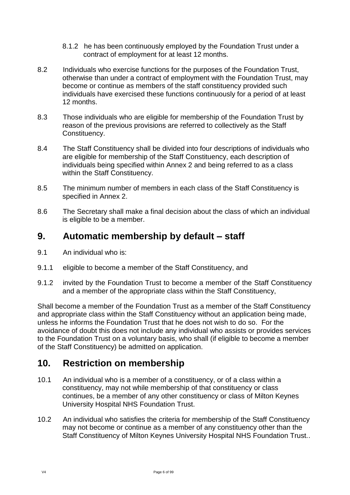- 8.1.2 he has been continuously employed by the Foundation Trust under a contract of employment for at least 12 months.
- 8.2 Individuals who exercise functions for the purposes of the Foundation Trust, otherwise than under a contract of employment with the Foundation Trust, may become or continue as members of the staff constituency provided such individuals have exercised these functions continuously for a period of at least 12 months.
- 8.3 Those individuals who are eligible for membership of the Foundation Trust by reason of the previous provisions are referred to collectively as the Staff Constituency.
- 8.4 The Staff Constituency shall be divided into four descriptions of individuals who are eligible for membership of the Staff Constituency, each description of individuals being specified within Annex 2 and being referred to as a class within the Staff Constituency.
- 8.5 The minimum number of members in each class of the Staff Constituency is specified in Annex 2.
- 8.6 The Secretary shall make a final decision about the class of which an individual is eligible to be a member.

### <span id="page-5-0"></span>**9. Automatic membership by default – staff**

- 9.1 An individual who is:
- 9.1.1 eligible to become a member of the Staff Constituency, and
- 9.1.2 invited by the Foundation Trust to become a member of the Staff Constituency and a member of the appropriate class within the Staff Constituency,

Shall become a member of the Foundation Trust as a member of the Staff Constituency and appropriate class within the Staff Constituency without an application being made, unless he informs the Foundation Trust that he does not wish to do so. For the avoidance of doubt this does not include any individual who assists or provides services to the Foundation Trust on a voluntary basis, who shall (if eligible to become a member of the Staff Constituency) be admitted on application.

# <span id="page-5-1"></span>**10. Restriction on membership**

- 10.1 An individual who is a member of a constituency, or of a class within a constituency, may not while membership of that constituency or class continues, be a member of any other constituency or class of Milton Keynes University Hospital NHS Foundation Trust.
- 10.2 An individual who satisfies the criteria for membership of the Staff Constituency may not become or continue as a member of any constituency other than the Staff Constituency of Milton Keynes University Hospital NHS Foundation Trust..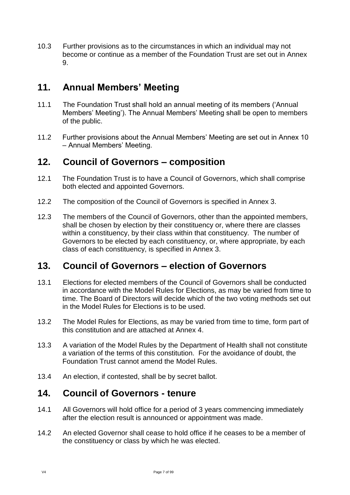10.3 Further provisions as to the circumstances in which an individual may not become or continue as a member of the Foundation Trust are set out in Annex 9.

# <span id="page-6-0"></span>**11. Annual Members' Meeting**

- 11.1 The Foundation Trust shall hold an annual meeting of its members ('Annual Members' Meeting'). The Annual Members' Meeting shall be open to members of the public.
- 11.2 Further provisions about the Annual Members' Meeting are set out in Annex 10 – Annual Members' Meeting.

### <span id="page-6-1"></span>**12. Council of Governors – composition**

- 12.1 The Foundation Trust is to have a Council of Governors, which shall comprise both elected and appointed Governors.
- 12.2 The composition of the Council of Governors is specified in Annex 3.
- 12.3 The members of the Council of Governors, other than the appointed members, shall be chosen by election by their constituency or, where there are classes within a constituency, by their class within that constituency. The number of Governors to be elected by each constituency, or, where appropriate, by each class of each constituency, is specified in Annex 3.

### <span id="page-6-2"></span>**13. Council of Governors – election of Governors**

- 13.1 Elections for elected members of the Council of Governors shall be conducted in accordance with the Model Rules for Elections, as may be varied from time to time. The Board of Directors will decide which of the two voting methods set out in the Model Rules for Elections is to be used.
- 13.2 The Model Rules for Elections, as may be varied from time to time, form part of this constitution and are attached at Annex 4.
- 13.3 A variation of the Model Rules by the Department of Health shall not constitute a variation of the terms of this constitution. For the avoidance of doubt, the Foundation Trust cannot amend the Model Rules.
- <span id="page-6-3"></span>13.4 An election, if contested, shall be by secret ballot.

### **14. Council of Governors - tenure**

- 14.1 All Governors will hold office for a period of 3 years commencing immediately after the election result is announced or appointment was made.
- 14.2 An elected Governor shall cease to hold office if he ceases to be a member of the constituency or class by which he was elected.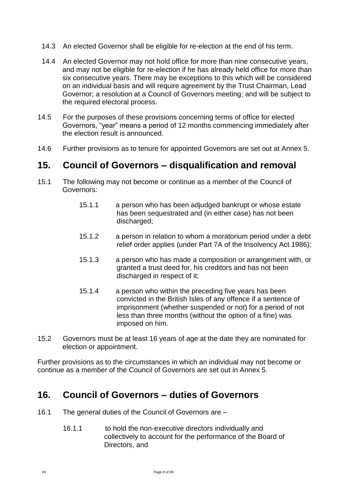- 14.3 An elected Governor shall be eligible for re-election at the end of his term.
- 14.4 An elected Governor may not hold office for more than nine consecutive years, and may not be eligible for re-election if he has already held office for more than six consecutive years. There may be exceptions to this which will be considered on an individual basis and will require agreement by the Trust Chairman, Lead Governor; a resolution at a Council of Governors meeting; and will be subject to the required electoral process.
- 14.5 For the purposes of these provisions concerning terms of office for elected Governors, "year" means a period of 12 months commencing immediately after the election result is announced.
- 14.6 Further provisions as to tenure for appointed Governors are set out at Annex 5.

### <span id="page-7-0"></span>**15. Council of Governors – disqualification and removal**

- 15.1 The following may not become or continue as a member of the Council of Governors:
	- 15.1.1 a person who has been adjudged bankrupt or whose estate has been sequestrated and (in either case) has not been discharged;
	- 15.1.2 a person in relation to whom a moratorium period under a debt relief order applies (under Part 7A of the Insolvency Act 1986);
	- 15.1.3 a person who has made a composition or arrangement with, or granted a trust deed for, his creditors and has not been discharged in respect of it;
	- 15.1.4 a person who within the preceding five years has been convicted in the British Isles of any offence if a sentence of imprisonment (whether suspended or not) for a period of not less than three months (without the option of a fine) was imposed on him.
- 15.2 Governors must be at least 16 years of age at the date they are nominated for election or appointment.

Further provisions as to the circumstances in which an individual may not become or continue as a member of the Council of Governors are set out in Annex 5.

### <span id="page-7-1"></span>**16. Council of Governors – duties of Governors**

- 16.1 The general duties of the Council of Governors are
	- 16.1.1 to hold the non-executive directors individually and collectively to account for the performance of the Board of Directors, and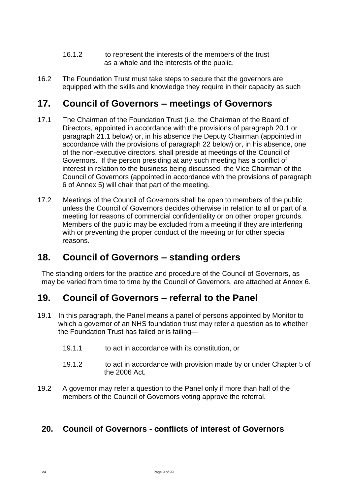- 16.1.2 to represent the interests of the members of the trust as a whole and the interests of the public.
- 16.2 The Foundation Trust must take steps to secure that the governors are equipped with the skills and knowledge they require in their capacity as such

## <span id="page-8-0"></span>**17. Council of Governors – meetings of Governors**

- 17.1 The Chairman of the Foundation Trust (i.e. the Chairman of the Board of Directors, appointed in accordance with the provisions of paragraph 20.1 or paragraph 21.1 below) or, in his absence the Deputy Chairman (appointed in accordance with the provisions of paragraph 22 below) or, in his absence, one of the non-executive directors, shall preside at meetings of the Council of Governors. If the person presiding at any such meeting has a conflict of interest in relation to the business being discussed, the Vice Chairman of the Council of Governors (appointed in accordance with the provisions of paragraph 6 of Annex 5) will chair that part of the meeting.
- 17.2 Meetings of the Council of Governors shall be open to members of the public unless the Council of Governors decides otherwise in relation to all or part of a meeting for reasons of commercial confidentiality or on other proper grounds. Members of the public may be excluded from a meeting if they are interfering with or preventing the proper conduct of the meeting or for other special reasons.

### <span id="page-8-1"></span>**18. Council of Governors – standing orders**

The standing orders for the practice and procedure of the Council of Governors, as may be varied from time to time by the Council of Governors, are attached at Annex 6.

### <span id="page-8-2"></span>**19. Council of Governors – referral to the Panel**

- 19.1 In this paragraph, the Panel means a panel of persons appointed by Monitor to which a governor of an NHS foundation trust may refer a question as to whether the Foundation Trust has failed or is failing—
	- 19.1.1 to act in accordance with its constitution, or
	- 19.1.2 to act in accordance with provision made by or under Chapter 5 of the 2006 Act.
- 19.2 A governor may refer a question to the Panel only if more than half of the members of the Council of Governors voting approve the referral.

### <span id="page-8-3"></span>**20. Council of Governors - conflicts of interest of Governors**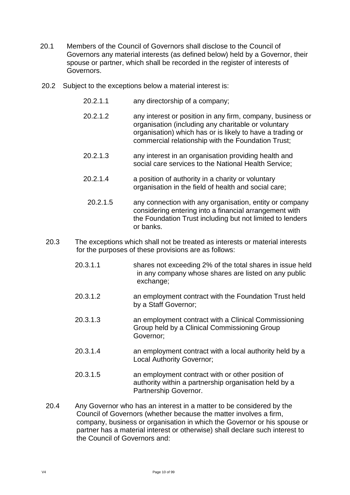- 20.1 Members of the Council of Governors shall disclose to the Council of Governors any material interests (as defined below) held by a Governor, their spouse or partner, which shall be recorded in the register of interests of Governors.
- 20.2 Subject to the exceptions below a material interest is:
	- 20.2.1.1 any directorship of a company;
	- 20.2.1.2 any interest or position in any firm, company, business or organisation (including any charitable or voluntary organisation) which has or is likely to have a trading or commercial relationship with the Foundation Trust;
	- 20.2.1.3 any interest in an organisation providing health and social care services to the National Health Service;
	- 20.2.1.4 a position of authority in a charity or voluntary organisation in the field of health and social care;
		- 20.2.1.5 any connection with any organisation, entity or company considering entering into a financial arrangement with the Foundation Trust including but not limited to lenders or banks.
	- 20.3 The exceptions which shall not be treated as interests or material interests for the purposes of these provisions are as follows:
		- 20.3.1.1 shares not exceeding 2% of the total shares in issue held in any company whose shares are listed on any public exchange:
		- 20.3.1.2 an employment contract with the Foundation Trust held by a Staff Governor;
		- 20.3.1.3 an employment contract with a Clinical Commissioning Group held by a Clinical Commissioning Group Governor;
		- 20.3.1.4 an employment contract with a local authority held by a Local Authority Governor;
		- 20.3.1.5 an employment contract with or other position of authority within a partnership organisation held by a Partnership Governor.
	- 20.4 Any Governor who has an interest in a matter to be considered by the Council of Governors (whether because the matter involves a firm, company, business or organisation in which the Governor or his spouse or partner has a material interest or otherwise) shall declare such interest to the Council of Governors and: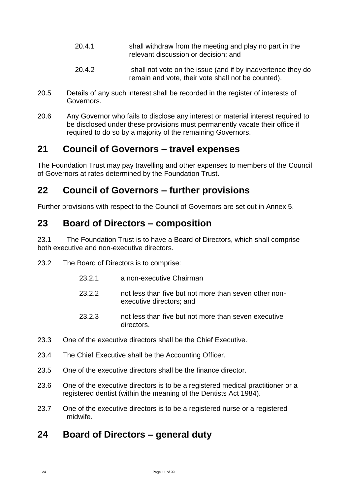- 20.4.1 shall withdraw from the meeting and play no part in the relevant discussion or decision; and
- 20.4.2 shall not vote on the issue (and if by inadvertence they do remain and vote, their vote shall not be counted).
- 20.5 Details of any such interest shall be recorded in the register of interests of Governors.
- 20.6 Any Governor who fails to disclose any interest or material interest required to be disclosed under these provisions must permanently vacate their office if required to do so by a majority of the remaining Governors.

### <span id="page-10-0"></span>**21 Council of Governors – travel expenses**

The Foundation Trust may pay travelling and other expenses to members of the Council of Governors at rates determined by the Foundation Trust.

# <span id="page-10-1"></span>**22 Council of Governors – further provisions**

Further provisions with respect to the Council of Governors are set out in Annex 5.

### <span id="page-10-2"></span>**23 Board of Directors – composition**

23.1 The Foundation Trust is to have a Board of Directors, which shall comprise both executive and non-executive directors.

23.2 The Board of Directors is to comprise:

- 23.2.1 a non-executive Chairman
- 23.2.2 not less than five but not more than seven other nonexecutive directors; and
- 23.2.3 not less than five but not more than seven executive directors.
- 23.3 One of the executive directors shall be the Chief Executive.
- 23.4 The Chief Executive shall be the Accounting Officer.
- 23.5 One of the executive directors shall be the finance director.
- 23.6 One of the executive directors is to be a registered medical practitioner or a registered dentist (within the meaning of the Dentists Act 1984).
- 23.7 One of the executive directors is to be a registered nurse or a registered midwife.

### <span id="page-10-3"></span>**24 Board of Directors – general duty**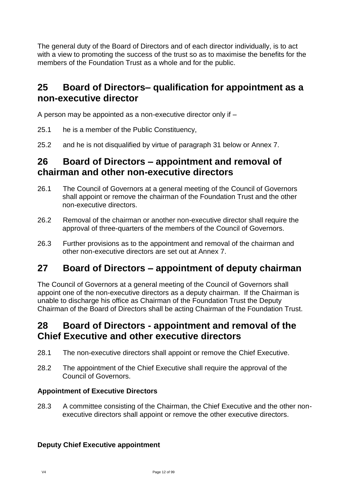The general duty of the Board of Directors and of each director individually, is to act with a view to promoting the success of the trust so as to maximise the benefits for the members of the Foundation Trust as a whole and for the public.

# <span id="page-11-0"></span>**25 Board of Directors– qualification for appointment as a non-executive director**

A person may be appointed as a non-executive director only if –

- 25.1 he is a member of the Public Constituency,
- 25.2 and he is not disqualified by virtue of paragraph 31 below or Annex 7.

### <span id="page-11-1"></span>**26 Board of Directors – appointment and removal of chairman and other non-executive directors**

- 26.1 The Council of Governors at a general meeting of the Council of Governors shall appoint or remove the chairman of the Foundation Trust and the other non-executive directors.
- 26.2 Removal of the chairman or another non-executive director shall require the approval of three-quarters of the members of the Council of Governors.
- 26.3 Further provisions as to the appointment and removal of the chairman and other non-executive directors are set out at Annex 7.

# <span id="page-11-2"></span>**27 Board of Directors – appointment of deputy chairman**

The Council of Governors at a general meeting of the Council of Governors shall appoint one of the non-executive directors as a deputy chairman. If the Chairman is unable to discharge his office as Chairman of the Foundation Trust the Deputy Chairman of the Board of Directors shall be acting Chairman of the Foundation Trust.

### <span id="page-11-3"></span>**28 Board of Directors - appointment and removal of the Chief Executive and other executive directors**

- 28.1 The non-executive directors shall appoint or remove the Chief Executive.
- 28.2 The appointment of the Chief Executive shall require the approval of the Council of Governors.

#### **Appointment of Executive Directors**

28.3 A committee consisting of the Chairman, the Chief Executive and the other nonexecutive directors shall appoint or remove the other executive directors.

#### **Deputy Chief Executive appointment**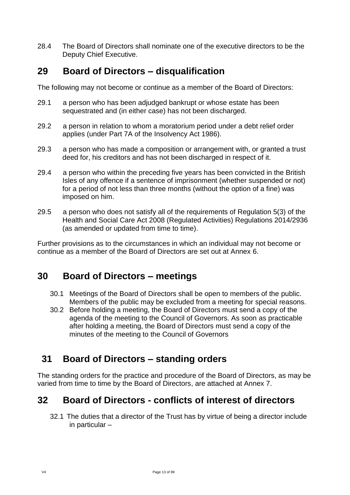28.4 The Board of Directors shall nominate one of the executive directors to be the Deputy Chief Executive.

## <span id="page-12-0"></span>**29 Board of Directors – disqualification**

The following may not become or continue as a member of the Board of Directors:

- 29.1 a person who has been adjudged bankrupt or whose estate has been sequestrated and (in either case) has not been discharged.
- 29.2 a person in relation to whom a moratorium period under a debt relief order applies (under Part 7A of the Insolvency Act 1986).
- 29.3 a person who has made a composition or arrangement with, or granted a trust deed for, his creditors and has not been discharged in respect of it.
- 29.4 a person who within the preceding five years has been convicted in the British Isles of any offence if a sentence of imprisonment (whether suspended or not) for a period of not less than three months (without the option of a fine) was imposed on him.
- 29.5 a person who does not satisfy all of the requirements of Regulation 5(3) of the Health and Social Care Act 2008 (Regulated Activities) Regulations 2014/2936 (as amended or updated from time to time).

Further provisions as to the circumstances in which an individual may not become or continue as a member of the Board of Directors are set out at Annex 6.

### <span id="page-12-1"></span>**30 Board of Directors – meetings**

- 30.1 Meetings of the Board of Directors shall be open to members of the public. Members of the public may be excluded from a meeting for special reasons.
- 30.2 Before holding a meeting, the Board of Directors must send a copy of the agenda of the meeting to the Council of Governors. As soon as practicable after holding a meeting, the Board of Directors must send a copy of the minutes of the meeting to the Council of Governors

# <span id="page-12-2"></span>**31 Board of Directors – standing orders**

The standing orders for the practice and procedure of the Board of Directors, as may be varied from time to time by the Board of Directors, are attached at Annex 7.

# <span id="page-12-3"></span>**32 Board of Directors - conflicts of interest of directors**

32.1 The duties that a director of the Trust has by virtue of being a director include in particular –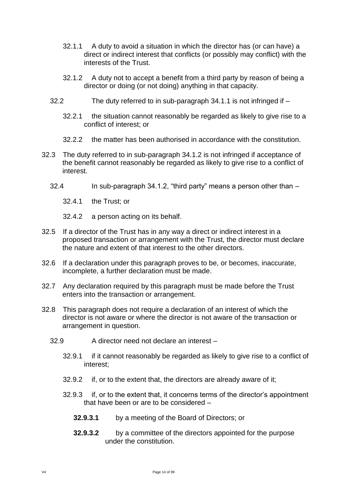- 32.1.1 A duty to avoid a situation in which the director has (or can have) a direct or indirect interest that conflicts (or possibly may conflict) with the interests of the Trust.
- 32.1.2 A duty not to accept a benefit from a third party by reason of being a director or doing (or not doing) anything in that capacity.
- 32.2 The duty referred to in sub-paragraph 34.1.1 is not infringed if
	- 32.2.1 the situation cannot reasonably be regarded as likely to give rise to a conflict of interest; or
	- 32.2.2 the matter has been authorised in accordance with the constitution.
- 32.3 The duty referred to in sub-paragraph 34.1.2 is not infringed if acceptance of the benefit cannot reasonably be regarded as likely to give rise to a conflict of interest.
	- 32.4 In sub-paragraph 34.1.2, "third party" means a person other than
		- 32.4.1 the Trust; or
		- 32.4.2 a person acting on its behalf.
- 32.5 If a director of the Trust has in any way a direct or indirect interest in a proposed transaction or arrangement with the Trust, the director must declare the nature and extent of that interest to the other directors.
- 32.6 If a declaration under this paragraph proves to be, or becomes, inaccurate, incomplete, a further declaration must be made.
- 32.7 Any declaration required by this paragraph must be made before the Trust enters into the transaction or arrangement.
- 32.8 This paragraph does not require a declaration of an interest of which the director is not aware or where the director is not aware of the transaction or arrangement in question.
	- 32.9 A director need not declare an interest
		- 32.9.1 if it cannot reasonably be regarded as likely to give rise to a conflict of interest;
		- 32.9.2 if, or to the extent that, the directors are already aware of it;
		- 32.9.3 if, or to the extent that, it concerns terms of the director's appointment that have been or are to be considered –
			- **32.9.3.1** by a meeting of the Board of Directors; or
			- **32.9.3.2** by a committee of the directors appointed for the purpose under the constitution.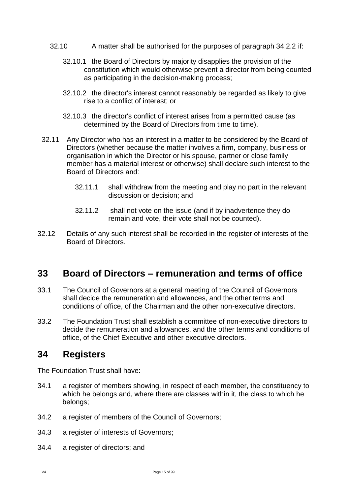- 32.10 A matter shall be authorised for the purposes of paragraph 34.2.2 if:
	- 32.10.1 the Board of Directors by majority disapplies the provision of the constitution which would otherwise prevent a director from being counted as participating in the decision-making process;
	- 32.10.2 the director's interest cannot reasonably be regarded as likely to give rise to a conflict of interest; or
	- 32.10.3 the director's conflict of interest arises from a permitted cause (as determined by the Board of Directors from time to time).
- 32.11 Any Director who has an interest in a matter to be considered by the Board of Directors (whether because the matter involves a firm, company, business or organisation in which the Director or his spouse, partner or close family member has a material interest or otherwise) shall declare such interest to the Board of Directors and:
	- 32.11.1 shall withdraw from the meeting and play no part in the relevant discussion or decision; and
	- 32.11.2 shall not vote on the issue (and if by inadvertence they do remain and vote, their vote shall not be counted).
- 32.12 Details of any such interest shall be recorded in the register of interests of the Board of Directors.

# <span id="page-14-0"></span>**33 Board of Directors – remuneration and terms of office**

- 33.1 The Council of Governors at a general meeting of the Council of Governors shall decide the remuneration and allowances, and the other terms and conditions of office, of the Chairman and the other non-executive directors.
- 33.2 The Foundation Trust shall establish a committee of non-executive directors to decide the remuneration and allowances, and the other terms and conditions of office, of the Chief Executive and other executive directors.

### <span id="page-14-1"></span>**34 Registers**

The Foundation Trust shall have:

- 34.1 a register of members showing, in respect of each member, the constituency to which he belongs and, where there are classes within it, the class to which he belongs;
- 34.2 a register of members of the Council of Governors;
- 34.3 a register of interests of Governors;
- 34.4 a register of directors; and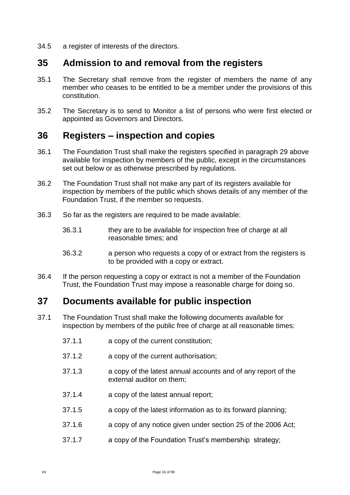34.5 a register of interests of the directors.

### <span id="page-15-0"></span>**35 Admission to and removal from the registers**

- 35.1 The Secretary shall remove from the register of members the name of any member who ceases to be entitled to be a member under the provisions of this constitution.
- 35.2 The Secretary is to send to Monitor a list of persons who were first elected or appointed as Governors and Directors.

### <span id="page-15-1"></span>**36 Registers – inspection and copies**

- 36.1 The Foundation Trust shall make the registers specified in paragraph 29 above available for inspection by members of the public, except in the circumstances set out below or as otherwise prescribed by regulations.
- 36.2 The Foundation Trust shall not make any part of its registers available for inspection by members of the public which shows details of any member of the Foundation Trust, if the member so requests.
- 36.3 So far as the registers are required to be made available:
	- 36.3.1 they are to be available for inspection free of charge at all reasonable times; and
	- 36.3.2 a person who requests a copy of or extract from the registers is to be provided with a copy or extract.
- 36.4 If the person requesting a copy or extract is not a member of the Foundation Trust, the Foundation Trust may impose a reasonable charge for doing so.

### <span id="page-15-2"></span>**37 Documents available for public inspection**

- 37.1 The Foundation Trust shall make the following documents available for inspection by members of the public free of charge at all reasonable times:
	- 37.1.1 a copy of the current constitution;
	- 37.1.2 a copy of the current authorisation;
	- 37.1.3 a copy of the latest annual accounts and of any report of the external auditor on them;
	- 37.1.4 a copy of the latest annual report;
	- 37.1.5 a copy of the latest information as to its forward planning;
	- 37.1.6 a copy of any notice given under section 25 of the 2006 Act;
	- 37.1.7 a copy of the Foundation Trust's membership strategy;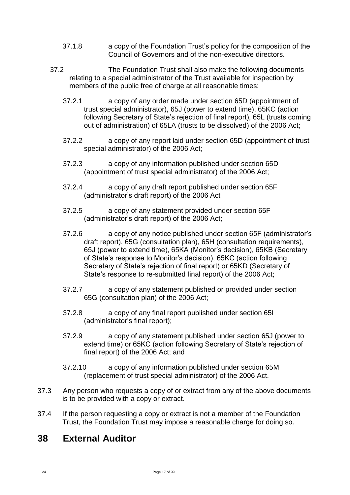- 37.1.8 a copy of the Foundation Trust's policy for the composition of the Council of Governors and of the non-executive directors.
- 37.2 The Foundation Trust shall also make the following documents relating to a special administrator of the Trust available for inspection by members of the public free of charge at all reasonable times:
	- 37.2.1 a copy of any order made under section 65D (appointment of trust special administrator), 65J (power to extend time), 65KC (action following Secretary of State's rejection of final report), 65L (trusts coming out of administration) of 65LA (trusts to be dissolved) of the 2006 Act;
	- 37.2.2 a copy of any report laid under section 65D (appointment of trust special administrator) of the 2006 Act;
	- 37.2.3 a copy of any information published under section 65D (appointment of trust special administrator) of the 2006 Act;
	- 37.2.4 a copy of any draft report published under section 65F (administrator's draft report) of the 2006 Act
	- 37.2.5 a copy of any statement provided under section 65F (administrator's draft report) of the 2006 Act;
	- 37.2.6 a copy of any notice published under section 65F (administrator's draft report), 65G (consultation plan), 65H (consultation requirements), 65J (power to extend time), 65KA (Monitor's decision), 65KB (Secretary of State's response to Monitor's decision), 65KC (action following Secretary of State's rejection of final report) or 65KD (Secretary of State's response to re-submitted final report) of the 2006 Act;
	- 37.2.7 a copy of any statement published or provided under section 65G (consultation plan) of the 2006 Act;
	- 37.2.8 a copy of any final report published under section 65I (administrator's final report);
	- 37.2.9 a copy of any statement published under section 65J (power to extend time) or 65KC (action following Secretary of State's rejection of final report) of the 2006 Act; and
	- 37.2.10 a copy of any information published under section 65M (replacement of trust special administrator) of the 2006 Act.
- 37.3 Any person who requests a copy of or extract from any of the above documents is to be provided with a copy or extract.
- 37.4 If the person requesting a copy or extract is not a member of the Foundation Trust, the Foundation Trust may impose a reasonable charge for doing so.

### <span id="page-16-0"></span>**38 External Auditor**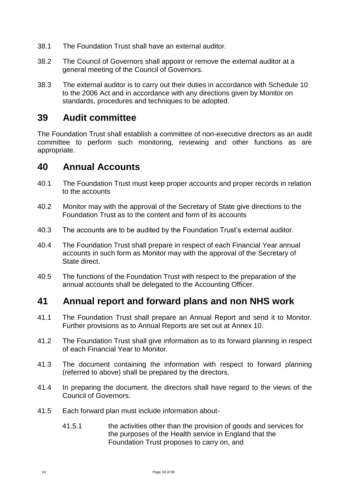- 38.1 The Foundation Trust shall have an external auditor.
- 38.2 The Council of Governors shall appoint or remove the external auditor at a general meeting of the Council of Governors.
- 38.3 The external auditor is to carry out their duties in accordance with Schedule 10 to the 2006 Act and in accordance with any directions given by Monitor on standards, procedures and techniques to be adopted.

### <span id="page-17-0"></span>**39 Audit committee**

The Foundation Trust shall establish a committee of non-executive directors as an audit committee to perform such monitoring, reviewing and other functions as are appropriate.

### <span id="page-17-1"></span>**40 Annual Accounts**

- 40.1 The Foundation Trust must keep proper accounts and proper records in relation to the accounts
- 40.2 Monitor may with the approval of the Secretary of State give directions to the Foundation Trust as to the content and form of its accounts
- 40.3 The accounts are to be audited by the Foundation Trust's external auditor.
- 40.4 The Foundation Trust shall prepare in respect of each Financial Year annual accounts in such form as Monitor may with the approval of the Secretary of State direct.
- 40.5 The functions of the Foundation Trust with respect to the preparation of the annual accounts shall be delegated to the Accounting Officer.

### <span id="page-17-2"></span>**41 Annual report and forward plans and non NHS work**

- 41.1 The Foundation Trust shall prepare an Annual Report and send it to Monitor. Further provisions as to Annual Reports are set out at Annex 10.
- 41.2 The Foundation Trust shall give information as to its forward planning in respect of each Financial Year to Monitor.
- 41.3 The document containing the information with respect to forward planning (referred to above) shall be prepared by the directors.
- 41.4 In preparing the document, the directors shall have regard to the views of the Council of Governors.
- 41.5 Each forward plan must include information about-
	- 41.5.1 the activities other than the provision of goods and services for the purposes of the Health service in England that the Foundation Trust proposes to carry on, and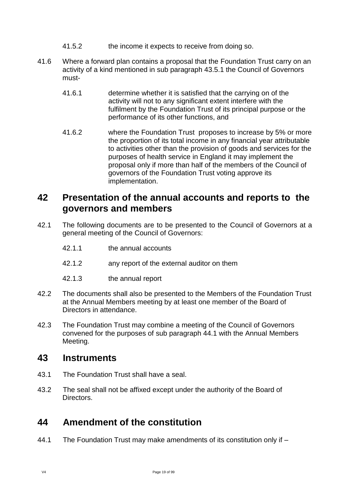- 41.5.2 the income it expects to receive from doing so.
- 41.6 Where a forward plan contains a proposal that the Foundation Trust carry on an activity of a kind mentioned in sub paragraph 43.5.1 the Council of Governors must-
	- 41.6.1 determine whether it is satisfied that the carrying on of the activity will not to any significant extent interfere with the fulfilment by the Foundation Trust of its principal purpose or the performance of its other functions, and
	- 41.6.2 where the Foundation Trust proposes to increase by 5% or more the proportion of its total income in any financial year attributable to activities other than the provision of goods and services for the purposes of health service in England it may implement the proposal only if more than half of the members of the Council of governors of the Foundation Trust voting approve its implementation.

### <span id="page-18-0"></span>**42 Presentation of the annual accounts and reports to the governors and members**

- 42.1 The following documents are to be presented to the Council of Governors at a general meeting of the Council of Governors:
	- 42.1.1 the annual accounts
	- 42.1.2 any report of the external auditor on them
	- 42.1.3 the annual report
- 42.2 The documents shall also be presented to the Members of the Foundation Trust at the Annual Members meeting by at least one member of the Board of Directors in attendance.
- 42.3 The Foundation Trust may combine a meeting of the Council of Governors convened for the purposes of sub paragraph 44.1 with the Annual Members Meeting.

### <span id="page-18-1"></span>**43 Instruments**

- 43.1 The Foundation Trust shall have a seal.
- 43.2 The seal shall not be affixed except under the authority of the Board of Directors.

# <span id="page-18-2"></span>**44 Amendment of the constitution**

44.1 The Foundation Trust may make amendments of its constitution only if –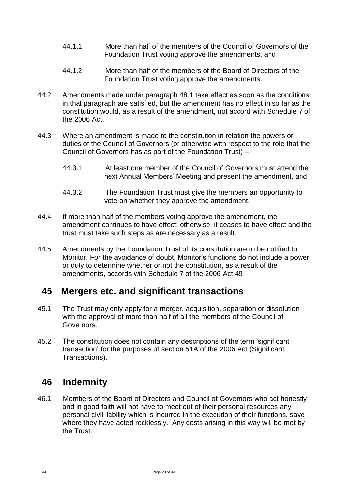- 44.1.1 More than half of the members of the Council of Governors of the Foundation Trust voting approve the amendments, and
- 44.1.2 More than half of the members of the Board of Directors of the Foundation Trust voting approve the amendments.
- 44.2 Amendments made under paragraph 48.1 take effect as soon as the conditions in that paragraph are satisfied, but the amendment has no effect in so far as the constitution would, as a result of the amendment, not accord with Schedule 7 of the 2006 Act.
- 44.3 Where an amendment is made to the constitution in relation the powers or duties of the Council of Governors (or otherwise with respect to the role that the Council of Governors has as part of the Foundation Trust) –
	- 44.3.1 At least one member of the Council of Governors must attend the next Annual Members' Meeting and present the amendment, and
	- 44.3.2 The Foundation Trust must give the members an opportunity to vote on whether they approve the amendment.
- 44.4 If more than half of the members voting approve the amendment, the amendment continues to have effect; otherwise, it ceases to have effect and the trust must take such steps as are necessary as a result.
- 44.5 Amendments by the Foundation Trust of its constitution are to be notified to Monitor. For the avoidance of doubt, Monitor's functions do not include a power or duty to determine whether or not the constitution, as a result of the amendments, accords with Schedule 7 of the 2006 Act.49

### <span id="page-19-0"></span>**45 Mergers etc. and significant transactions**

- 45.1 The Trust may only apply for a merger, acquisition, separation or dissolution with the approval of more than half of all the members of the Council of Governors.
- 45.2 The constitution does not contain any descriptions of the term 'significant transaction' for the purposes of section 51A of the 2006 Act (Significant Transactions).

### **46 Indemnity**

46.1 Members of the Board of Directors and Council of Governors who act honestly and in good faith will not have to meet out of their personal resources any personal civil liability which is incurred in the execution of their functions, save where they have acted recklessly. Any costs arising in this way will be met by the Trust.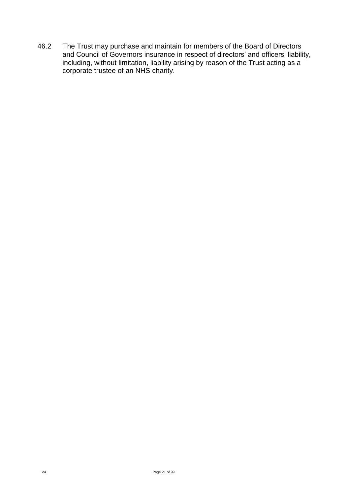46.2 The Trust may purchase and maintain for members of the Board of Directors and Council of Governors insurance in respect of directors' and officers' liability, including, without limitation, liability arising by reason of the Trust acting as a corporate trustee of an NHS charity.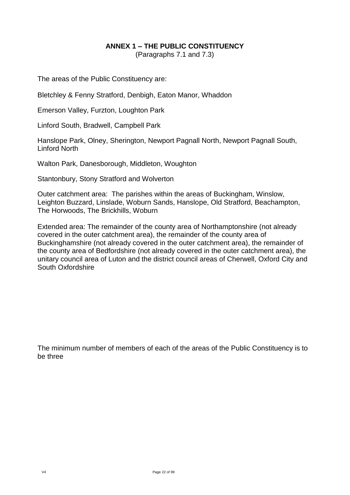### **ANNEX 1 – THE PUBLIC CONSTITUENCY**

(Paragraphs 7.1 and 7.3)

<span id="page-21-0"></span>The areas of the Public Constituency are:

Bletchley & Fenny Stratford, Denbigh, Eaton Manor, Whaddon

Emerson Valley, Furzton, Loughton Park

Linford South, Bradwell, Campbell Park

Hanslope Park, Olney, Sherington, Newport Pagnall North, Newport Pagnall South, Linford North

Walton Park, Danesborough, Middleton, Woughton

Stantonbury, Stony Stratford and Wolverton

Outer catchment area: The parishes within the areas of Buckingham, Winslow, Leighton Buzzard, Linslade, Woburn Sands, Hanslope, Old Stratford, Beachampton, The Horwoods, The Brickhills, Woburn

Extended area: The remainder of the county area of Northamptonshire (not already covered in the outer catchment area), the remainder of the county area of Buckinghamshire (not already covered in the outer catchment area), the remainder of the county area of Bedfordshire (not already covered in the outer catchment area), the unitary council area of Luton and the district council areas of Cherwell, Oxford City and South Oxfordshire

The minimum number of members of each of the areas of the Public Constituency is to be three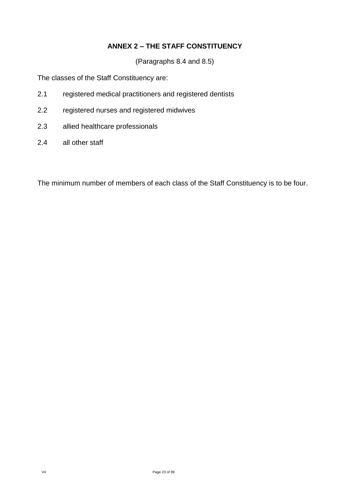### **ANNEX 2 – THE STAFF CONSTITUENCY**

(Paragraphs 8.4 and 8.5)

<span id="page-22-0"></span>The classes of the Staff Constituency are:

- 2.1 registered medical practitioners and registered dentists
- 2.2 registered nurses and registered midwives
- 2.3 allied healthcare professionals
- 2.4 all other staff

The minimum number of members of each class of the Staff Constituency is to be four.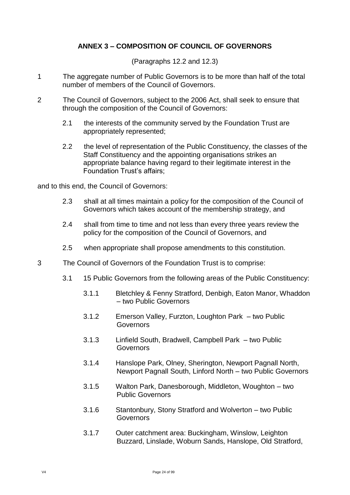### **ANNEX 3 – COMPOSITION OF COUNCIL OF GOVERNORS**

(Paragraphs 12.2 and 12.3)

- <span id="page-23-0"></span>1 The aggregate number of Public Governors is to be more than half of the total number of members of the Council of Governors.
- 2 The Council of Governors, subject to the 2006 Act, shall seek to ensure that through the composition of the Council of Governors:
	- 2.1 the interests of the community served by the Foundation Trust are appropriately represented;
	- 2.2 the level of representation of the Public Constituency, the classes of the Staff Constituency and the appointing organisations strikes an appropriate balance having regard to their legitimate interest in the Foundation Trust's affairs;

and to this end, the Council of Governors:

- 2.3 shall at all times maintain a policy for the composition of the Council of Governors which takes account of the membership strategy, and
- 2.4 shall from time to time and not less than every three years review the policy for the composition of the Council of Governors, and
- 2.5 when appropriate shall propose amendments to this constitution.
- 3 The Council of Governors of the Foundation Trust is to comprise:
	- 3.1 15 Public Governors from the following areas of the Public Constituency:
		- 3.1.1 Bletchley & Fenny Stratford, Denbigh, Eaton Manor, Whaddon – two Public Governors
		- 3.1.2 Emerson Valley, Furzton, Loughton Park two Public **Governors**
		- 3.1.3 Linfield South, Bradwell, Campbell Park two Public **Governors**
		- 3.1.4 Hanslope Park, Olney, Sherington, Newport Pagnall North, Newport Pagnall South, Linford North – two Public Governors
		- 3.1.5 Walton Park, Danesborough, Middleton, Woughton two Public Governors
		- 3.1.6 Stantonbury, Stony Stratford and Wolverton two Public **Governors**
		- 3.1.7 Outer catchment area: Buckingham, Winslow, Leighton Buzzard, Linslade, Woburn Sands, Hanslope, Old Stratford,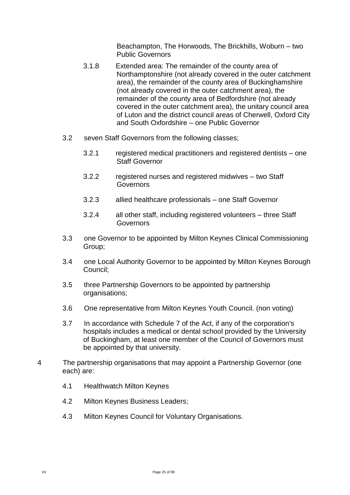Beachampton, The Horwoods, The Brickhills, Woburn – two Public Governors

- 3.1.8 Extended area: The remainder of the county area of Northamptonshire (not already covered in the outer catchment area), the remainder of the county area of Buckinghamshire (not already covered in the outer catchment area), the remainder of the county area of Bedfordshire (not already covered in the outer catchment area), the unitary council area of Luton and the district council areas of Cherwell, Oxford City and South Oxfordshire – one Public Governor
- 3.2 seven Staff Governors from the following classes;
	- 3.2.1 registered medical practitioners and registered dentists one Staff Governor
	- 3.2.2 registered nurses and registered midwives two Staff **Governors**
	- 3.2.3 allied healthcare professionals one Staff Governor
	- 3.2.4 all other staff, including registered volunteers three Staff **Governors**
- 3.3 one Governor to be appointed by Milton Keynes Clinical Commissioning Group;
- 3.4 one Local Authority Governor to be appointed by Milton Keynes Borough Council;
- 3.5 three Partnership Governors to be appointed by partnership organisations;
- 3.6 One representative from Milton Keynes Youth Council. (non voting)
- 3.7 In accordance with Schedule 7 of the Act, if any of the corporation's hospitals includes a medical or dental school provided by the University of Buckingham, at least one member of the Council of Governors must be appointed by that university.
- 4 The partnership organisations that may appoint a Partnership Governor (one each) are:
	- 4.1 Healthwatch Milton Keynes
	- 4.2 Milton Keynes Business Leaders;
	- 4.3 Milton Keynes Council for Voluntary Organisations.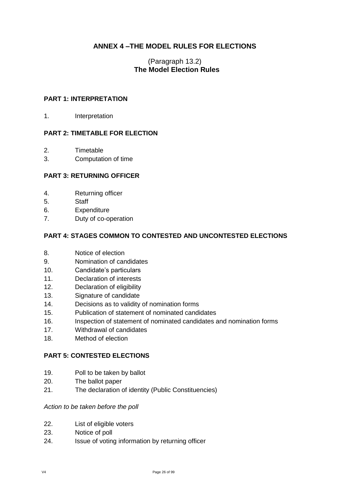### **ANNEX 4 –THE MODEL RULES FOR ELECTIONS**

#### (Paragraph 13.2) **The Model Election Rules**

#### <span id="page-25-0"></span>**PART 1: INTERPRETATION**

1. Interpretation

#### **PART 2: TIMETABLE FOR ELECTION**

- 2. Timetable
- 3. Computation of time

#### **PART 3: RETURNING OFFICER**

- 4. Returning officer
- 5. Staff
- 6. Expenditure
- 7. Duty of co-operation

#### **PART 4: STAGES COMMON TO CONTESTED AND UNCONTESTED ELECTIONS**

- 8. Notice of election
- 9. Nomination of candidates
- 10. Candidate's particulars
- 11. Declaration of interests
- 12. Declaration of eligibility
- 13. Signature of candidate
- 14. Decisions as to validity of nomination forms
- 15. Publication of statement of nominated candidates
- 16. Inspection of statement of nominated candidates and nomination forms
- 17. Withdrawal of candidates
- 18. Method of election

#### **PART 5: CONTESTED ELECTIONS**

- 19. Poll to be taken by ballot
- 20. The ballot paper
- 21. The declaration of identity (Public Constituencies)

#### *Action to be taken before the poll*

- 22. List of eligible voters
- 23. Notice of poll
- 24. Issue of voting information by returning officer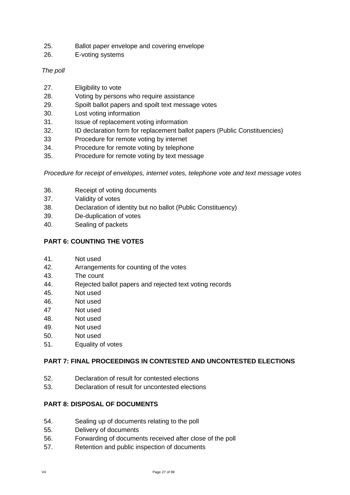- 25. Ballot paper envelope and covering envelope
- 26. E-voting systems

#### *The poll*

- 27. Eligibility to vote
- 28. Voting by persons who require assistance
- 29. Spoilt ballot papers and spoilt text message votes
- 30. Lost voting information
- 31. Issue of replacement voting information
- 32. ID declaration form for replacement ballot papers (Public Constituencies)
- 33 Procedure for remote voting by internet
- 34. Procedure for remote voting by telephone
- 35. Procedure for remote voting by text message

*Procedure for receipt of envelopes, internet votes, telephone vote and text message votes*

- 36. Receipt of voting documents
- 37. Validity of votes
- 38. Declaration of identity but no ballot (Public Constituency)
- 39. De-duplication of votes
- 40. Sealing of packets

#### **PART 6: COUNTING THE VOTES**

- 41. Not used
- 42. Arrangements for counting of the votes
- 43. The count
- 44. Rejected ballot papers and rejected text voting records
- 45. Not used
- 46. Not used
- 47 Not used
- 48. Not used
- 49. Not used
- 50. Not used
- 51. Equality of votes

#### **PART 7: FINAL PROCEEDINGS IN CONTESTED AND UNCONTESTED ELECTIONS**

- 52. Declaration of result for contested elections
- 53. Declaration of result for uncontested elections

#### **PART 8: DISPOSAL OF DOCUMENTS**

- 54. Sealing up of documents relating to the poll
- 55. Delivery of documents
- 56. Forwarding of documents received after close of the poll
- 57. Retention and public inspection of documents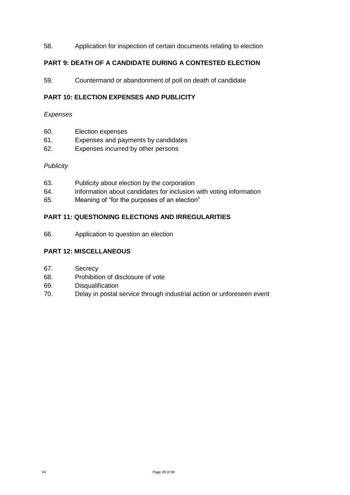#### 58. Application for inspection of certain documents relating to election

#### **PART 9: DEATH OF A CANDIDATE DURING A CONTESTED ELECTION**

59. Countermand or abandonment of poll on death of candidate

#### **PART 10: ELECTION EXPENSES AND PUBLICITY**

#### *Expenses*

- 60. Election expenses
- 61. Expenses and payments by candidates
- 62. Expenses incurred by other persons

#### *Publicity*

- 63. Publicity about election by the corporation
- 64. Information about candidates for inclusion with voting information
- 65. Meaning of "for the purposes of an election"

#### **PART 11: QUESTIONING ELECTIONS AND IRREGULARITIES**

66. Application to question an election

#### **PART 12: MISCELLANEOUS**

- 67. Secrecy
- 68. Prohibition of disclosure of vote
- 69. Disqualification
- 70. Delay in postal service through industrial action or unforeseen event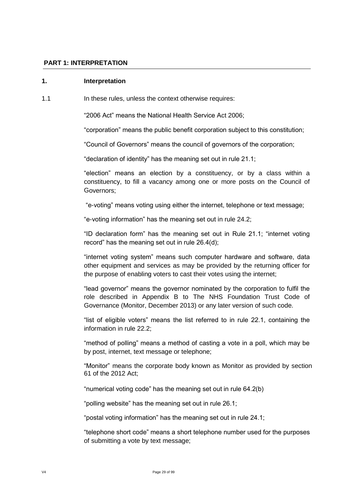#### **PART 1: INTERPRETATION**

#### **1. Interpretation**

1.1 **In these rules, unless the context otherwise requires:** 

"2006 Act" means the National Health Service Act 2006;

"corporation" means the public benefit corporation subject to this constitution;

"Council of Governors" means the council of governors of the corporation;

"declaration of identity" has the meaning set out in rule 21.1;

"election" means an election by a constituency, or by a class within a constituency, to fill a vacancy among one or more posts on the Council of Governors;

"e-voting" means voting using either the internet, telephone or text message;

"e-voting information" has the meaning set out in rule 24.2;

"ID declaration form" has the meaning set out in Rule 21.1; "internet voting record" has the meaning set out in rule 26.4(d);

"internet voting system" means such computer hardware and software, data other equipment and services as may be provided by the returning officer for the purpose of enabling voters to cast their votes using the internet;

"lead governor" means the governor nominated by the corporation to fulfil the role described in Appendix B to The NHS Foundation Trust Code of Governance (Monitor, December 2013) or any later version of such code.

"list of eligible voters" means the list referred to in rule 22.1, containing the information in rule 22.2;

"method of polling" means a method of casting a vote in a poll, which may be by post, internet, text message or telephone;

"Monitor" means the corporate body known as Monitor as provided by section 61 of the 2012 Act;

"numerical voting code" has the meaning set out in rule 64.2(b)

"polling website" has the meaning set out in rule 26.1;

"postal voting information" has the meaning set out in rule 24.1;

"telephone short code" means a short telephone number used for the purposes of submitting a vote by text message;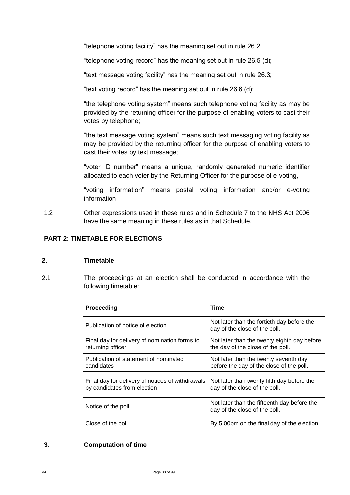"telephone voting facility" has the meaning set out in rule 26.2;

"telephone voting record" has the meaning set out in rule 26.5 (d);

"text message voting facility" has the meaning set out in rule 26.3;

"text voting record" has the meaning set out in rule 26.6 (d);

"the telephone voting system" means such telephone voting facility as may be provided by the returning officer for the purpose of enabling voters to cast their votes by telephone;

"the text message voting system" means such text messaging voting facility as may be provided by the returning officer for the purpose of enabling voters to cast their votes by text message;

"voter ID number" means a unique, randomly generated numeric identifier allocated to each voter by the Returning Officer for the purpose of e-voting,

"voting information" means postal voting information and/or e-voting information

1.2 Other expressions used in these rules and in Schedule 7 to the NHS Act 2006 have the same meaning in these rules as in that Schedule.

#### **PART 2: TIMETABLE FOR ELECTIONS**

#### **2. Timetable**

2.1 The proceedings at an election shall be conducted in accordance with the following timetable:

| <b>Proceeding</b>                                                               | Time                                                                              |
|---------------------------------------------------------------------------------|-----------------------------------------------------------------------------------|
| Publication of notice of election                                               | Not later than the fortieth day before the<br>day of the close of the poll.       |
| Final day for delivery of nomination forms to<br>returning officer              | Not later than the twenty eighth day before<br>the day of the close of the poll.  |
| Publication of statement of nominated<br>candidates                             | Not later than the twenty seventh day<br>before the day of the close of the poll. |
| Final day for delivery of notices of withdrawals<br>by candidates from election | Not later than twenty fifth day before the<br>day of the close of the poll.       |
| Notice of the poll                                                              | Not later than the fifteenth day before the<br>day of the close of the poll.      |
| Close of the poll                                                               | By 5.00pm on the final day of the election.                                       |

#### **3. Computation of time**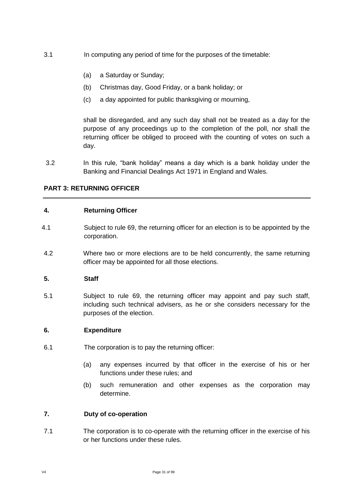- 3.1 In computing any period of time for the purposes of the timetable:
	- (a) a Saturday or Sunday;
	- (b) Christmas day, Good Friday, or a bank holiday; or
	- (c) a day appointed for public thanksgiving or mourning,

shall be disregarded, and any such day shall not be treated as a day for the purpose of any proceedings up to the completion of the poll, nor shall the returning officer be obliged to proceed with the counting of votes on such a day.

3.2 In this rule, "bank holiday" means a day which is a bank holiday under the Banking and Financial Dealings Act 1971 in England and Wales.

#### **PART 3: RETURNING OFFICER**

#### **4. Returning Officer**

- 4.1 Subject to rule 69, the returning officer for an election is to be appointed by the corporation.
- 4.2 Where two or more elections are to be held concurrently, the same returning officer may be appointed for all those elections.

#### **5. Staff**

5.1 Subject to rule 69, the returning officer may appoint and pay such staff, including such technical advisers, as he or she considers necessary for the purposes of the election.

#### **6. Expenditure**

- 6.1 The corporation is to pay the returning officer:
	- (a) any expenses incurred by that officer in the exercise of his or her functions under these rules; and
	- (b) such remuneration and other expenses as the corporation may determine.

#### **7. Duty of co-operation**

7.1 The corporation is to co-operate with the returning officer in the exercise of his or her functions under these rules.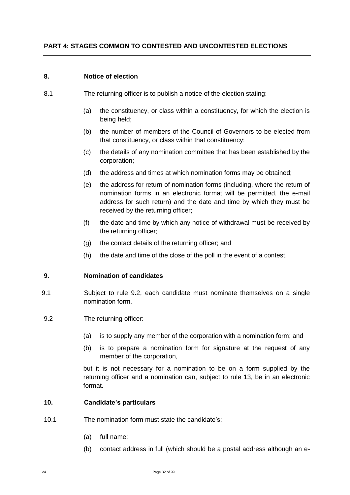#### **8. Notice of election**

- 8.1 The returning officer is to publish a notice of the election stating:
	- (a) the constituency, or class within a constituency, for which the election is being held;
	- (b) the number of members of the Council of Governors to be elected from that constituency, or class within that constituency;
	- (c) the details of any nomination committee that has been established by the corporation;
	- (d) the address and times at which nomination forms may be obtained;
	- (e) the address for return of nomination forms (including, where the return of nomination forms in an electronic format will be permitted, the e-mail address for such return) and the date and time by which they must be received by the returning officer;
	- (f) the date and time by which any notice of withdrawal must be received by the returning officer;
	- (g) the contact details of the returning officer; and
	- (h) the date and time of the close of the poll in the event of a contest.

#### **9. Nomination of candidates**

- 9.1 Subject to rule 9.2, each candidate must nominate themselves on a single nomination form.
- 9.2 The returning officer:
	- (a) is to supply any member of the corporation with a nomination form; and
	- (b) is to prepare a nomination form for signature at the request of any member of the corporation,

but it is not necessary for a nomination to be on a form supplied by the returning officer and a nomination can, subject to rule 13, be in an electronic format.

#### **10. Candidate's particulars**

- 10.1 The nomination form must state the candidate's:
	- (a) full name;
	- (b) contact address in full (which should be a postal address although an e-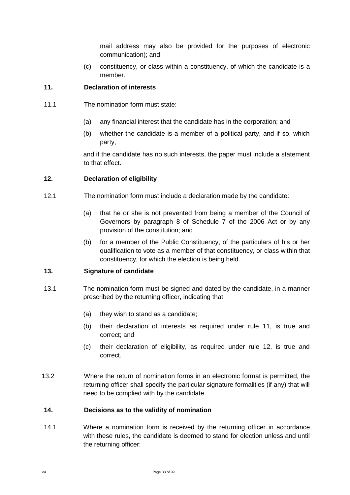mail address may also be provided for the purposes of electronic communication); and

(c) constituency, or class within a constituency, of which the candidate is a member.

#### **11. Declaration of interests**

- 11.1 The nomination form must state:
	- (a) any financial interest that the candidate has in the corporation; and
	- (b) whether the candidate is a member of a political party, and if so, which party,

and if the candidate has no such interests, the paper must include a statement to that effect.

#### **12. Declaration of eligibility**

- 12.1 The nomination form must include a declaration made by the candidate:
	- (a) that he or she is not prevented from being a member of the Council of Governors by paragraph 8 of Schedule 7 of the 2006 Act or by any provision of the constitution; and
	- (b) for a member of the Public Constituency, of the particulars of his or her qualification to vote as a member of that constituency, or class within that constituency, for which the election is being held.

#### **13. Signature of candidate**

- 13.1 The nomination form must be signed and dated by the candidate, in a manner prescribed by the returning officer, indicating that:
	- (a) they wish to stand as a candidate;
	- (b) their declaration of interests as required under rule 11, is true and correct; and
	- (c) their declaration of eligibility, as required under rule 12, is true and correct.
- 13.2 Where the return of nomination forms in an electronic format is permitted, the returning officer shall specify the particular signature formalities (if any) that will need to be complied with by the candidate.

#### **14. Decisions as to the validity of nomination**

14.1 Where a nomination form is received by the returning officer in accordance with these rules, the candidate is deemed to stand for election unless and until the returning officer: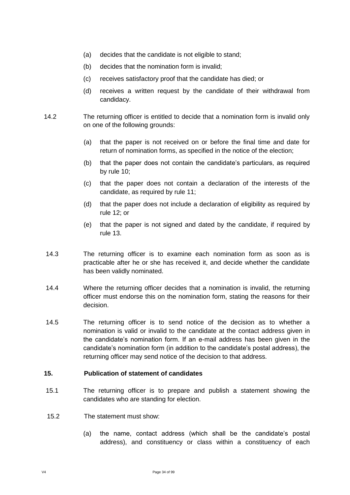- (a) decides that the candidate is not eligible to stand;
- (b) decides that the nomination form is invalid;
- (c) receives satisfactory proof that the candidate has died; or
- (d) receives a written request by the candidate of their withdrawal from candidacy.
- 14.2 The returning officer is entitled to decide that a nomination form is invalid only on one of the following grounds:
	- (a) that the paper is not received on or before the final time and date for return of nomination forms, as specified in the notice of the election;
	- (b) that the paper does not contain the candidate's particulars, as required by rule 10;
	- (c) that the paper does not contain a declaration of the interests of the candidate, as required by rule 11;
	- (d) that the paper does not include a declaration of eligibility as required by rule 12; or
	- (e) that the paper is not signed and dated by the candidate, if required by rule 13.
- 14.3 The returning officer is to examine each nomination form as soon as is practicable after he or she has received it, and decide whether the candidate has been validly nominated.
- 14.4 Where the returning officer decides that a nomination is invalid, the returning officer must endorse this on the nomination form, stating the reasons for their decision.
- 14.5 The returning officer is to send notice of the decision as to whether a nomination is valid or invalid to the candidate at the contact address given in the candidate's nomination form. If an e-mail address has been given in the candidate's nomination form (in addition to the candidate's postal address), the returning officer may send notice of the decision to that address.

#### **15. Publication of statement of candidates**

- 15.1 The returning officer is to prepare and publish a statement showing the candidates who are standing for election.
- 15.2 The statement must show:
	- (a) the name, contact address (which shall be the candidate's postal address), and constituency or class within a constituency of each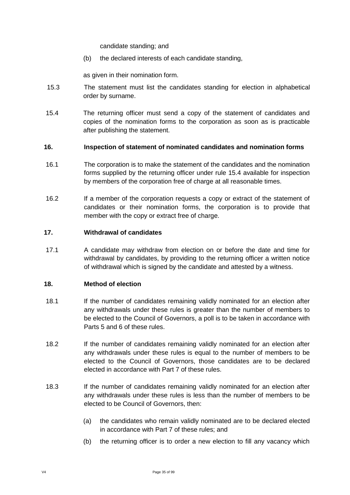candidate standing; and

(b) the declared interests of each candidate standing,

as given in their nomination form.

- 15.3 The statement must list the candidates standing for election in alphabetical order by surname.
- 15.4 The returning officer must send a copy of the statement of candidates and copies of the nomination forms to the corporation as soon as is practicable after publishing the statement.

#### **16. Inspection of statement of nominated candidates and nomination forms**

- 16.1 The corporation is to make the statement of the candidates and the nomination forms supplied by the returning officer under rule 15.4 available for inspection by members of the corporation free of charge at all reasonable times.
- 16.2 If a member of the corporation requests a copy or extract of the statement of candidates or their nomination forms, the corporation is to provide that member with the copy or extract free of charge.

#### **17. Withdrawal of candidates**

17.1 A candidate may withdraw from election on or before the date and time for withdrawal by candidates, by providing to the returning officer a written notice of withdrawal which is signed by the candidate and attested by a witness.

#### **18. Method of election**

- 18.1 If the number of candidates remaining validly nominated for an election after any withdrawals under these rules is greater than the number of members to be elected to the Council of Governors, a poll is to be taken in accordance with Parts 5 and 6 of these rules.
- 18.2 If the number of candidates remaining validly nominated for an election after any withdrawals under these rules is equal to the number of members to be elected to the Council of Governors, those candidates are to be declared elected in accordance with Part 7 of these rules.
- 18.3 If the number of candidates remaining validly nominated for an election after any withdrawals under these rules is less than the number of members to be elected to be Council of Governors, then:
	- (a) the candidates who remain validly nominated are to be declared elected in accordance with Part 7 of these rules; and
	- (b) the returning officer is to order a new election to fill any vacancy which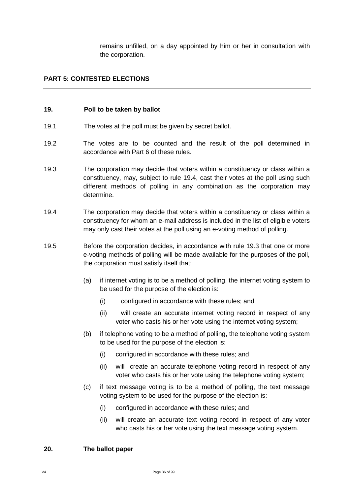remains unfilled, on a day appointed by him or her in consultation with the corporation.

#### **PART 5: CONTESTED ELECTIONS**

#### **19. Poll to be taken by ballot**

- 19.1 The votes at the poll must be given by secret ballot.
- 19.2 The votes are to be counted and the result of the poll determined in accordance with Part 6 of these rules.
- 19.3 The corporation may decide that voters within a constituency or class within a constituency, may, subject to rule 19.4, cast their votes at the poll using such different methods of polling in any combination as the corporation may determine.
- 19.4 The corporation may decide that voters within a constituency or class within a constituency for whom an e-mail address is included in the list of eligible voters may only cast their votes at the poll using an e-voting method of polling.
- 19.5 Before the corporation decides, in accordance with rule 19.3 that one or more e-voting methods of polling will be made available for the purposes of the poll, the corporation must satisfy itself that:
	- (a) if internet voting is to be a method of polling, the internet voting system to be used for the purpose of the election is:
		- (i) configured in accordance with these rules; and
		- (ii) will create an accurate internet voting record in respect of any voter who casts his or her vote using the internet voting system;
	- (b) if telephone voting to be a method of polling, the telephone voting system to be used for the purpose of the election is:
		- (i) configured in accordance with these rules; and
		- (ii) will create an accurate telephone voting record in respect of any voter who casts his or her vote using the telephone voting system;
	- (c) if text message voting is to be a method of polling, the text message voting system to be used for the purpose of the election is:
		- (i) configured in accordance with these rules; and
		- (ii) will create an accurate text voting record in respect of any voter who casts his or her vote using the text message voting system.

#### **20. The ballot paper**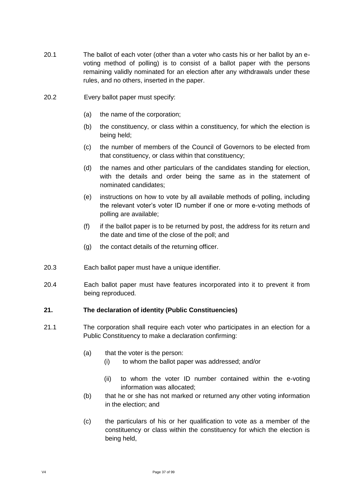- 20.1 The ballot of each voter (other than a voter who casts his or her ballot by an evoting method of polling) is to consist of a ballot paper with the persons remaining validly nominated for an election after any withdrawals under these rules, and no others, inserted in the paper.
- 20.2 Every ballot paper must specify:
	- (a) the name of the corporation;
	- (b) the constituency, or class within a constituency, for which the election is being held;
	- (c) the number of members of the Council of Governors to be elected from that constituency, or class within that constituency;
	- (d) the names and other particulars of the candidates standing for election, with the details and order being the same as in the statement of nominated candidates;
	- (e) instructions on how to vote by all available methods of polling, including the relevant voter's voter ID number if one or more e-voting methods of polling are available;
	- (f) if the ballot paper is to be returned by post, the address for its return and the date and time of the close of the poll; and
	- (g) the contact details of the returning officer.
- 20.3 Each ballot paper must have a unique identifier.
- 20.4 Each ballot paper must have features incorporated into it to prevent it from being reproduced.

#### **21. The declaration of identity (Public Constituencies)**

- 21.1 The corporation shall require each voter who participates in an election for a Public Constituency to make a declaration confirming:
	- (a) that the voter is the person:
		- (i) to whom the ballot paper was addressed; and/or
		- (ii) to whom the voter ID number contained within the e-voting information was allocated;
	- (b) that he or she has not marked or returned any other voting information in the election; and
	- (c) the particulars of his or her qualification to vote as a member of the constituency or class within the constituency for which the election is being held,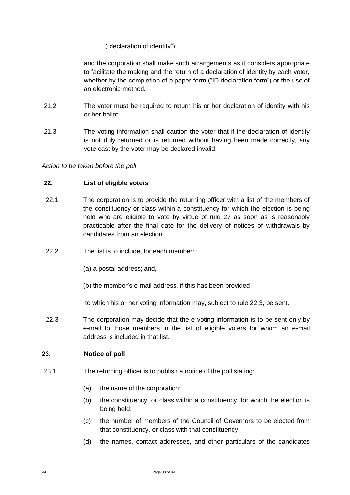### ("declaration of identity")

and the corporation shall make such arrangements as it considers appropriate to facilitate the making and the return of a declaration of identity by each voter, whether by the completion of a paper form ("ID declaration form") or the use of an electronic method.

- 21.2 The voter must be required to return his or her declaration of identity with his or her ballot.
- 21.3 The voting information shall caution the voter that if the declaration of identity is not duly returned or is returned without having been made correctly, any vote cast by the voter may be declared invalid.

#### *Action to be taken before the poll*

#### **22. List of eligible voters**

- 22.1 The corporation is to provide the returning officer with a list of the members of the constituency or class within a constituency for which the election is being held who are eligible to vote by virtue of rule 27 as soon as is reasonably practicable after the final date for the delivery of notices of withdrawals by candidates from an election.
- 22.2 The list is to include, for each member:
	- (a) a postal address; and,
	- (b) the member's e-mail address, if this has been provided

to which his or her voting information may, subject to rule 22.3, be sent.

22.3 The corporation may decide that the e-voting information is to be sent only by e-mail to those members in the list of eligible voters for whom an e-mail address is included in that list.

#### **23. Notice of poll**

- 23.1 The returning officer is to publish a notice of the poll stating:
	- (a) the name of the corporation;
	- (b) the constituency, or class within a constituency, for which the election is being held;
	- (c) the number of members of the Council of Governors to be elected from that constituency, or class with that constituency;
	- (d) the names, contact addresses, and other particulars of the candidates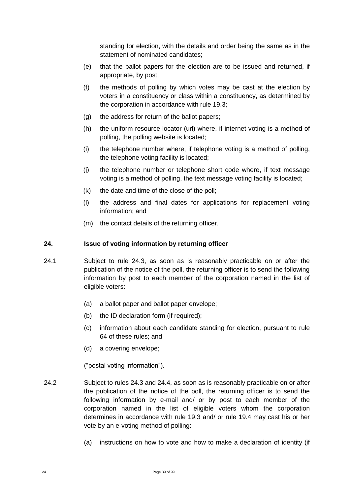standing for election, with the details and order being the same as in the statement of nominated candidates;

- (e) that the ballot papers for the election are to be issued and returned, if appropriate, by post;
- (f) the methods of polling by which votes may be cast at the election by voters in a constituency or class within a constituency, as determined by the corporation in accordance with rule 19.3;
- (g) the address for return of the ballot papers;
- (h) the uniform resource locator (url) where, if internet voting is a method of polling, the polling website is located;
- (i) the telephone number where, if telephone voting is a method of polling, the telephone voting facility is located;
- (j) the telephone number or telephone short code where, if text message voting is a method of polling, the text message voting facility is located;
- (k) the date and time of the close of the poll;
- (l) the address and final dates for applications for replacement voting information; and
- (m) the contact details of the returning officer.

#### **24. Issue of voting information by returning officer**

- 24.1 Subject to rule 24.3, as soon as is reasonably practicable on or after the publication of the notice of the poll, the returning officer is to send the following information by post to each member of the corporation named in the list of eligible voters:
	- (a) a ballot paper and ballot paper envelope;
	- (b) the ID declaration form (if required);
	- (c) information about each candidate standing for election, pursuant to rule 64 of these rules; and
	- (d) a covering envelope;

("postal voting information").

- 24.2 Subject to rules 24.3 and 24.4, as soon as is reasonably practicable on or after the publication of the notice of the poll, the returning officer is to send the following information by e-mail and/ or by post to each member of the corporation named in the list of eligible voters whom the corporation determines in accordance with rule 19.3 and/ or rule 19.4 may cast his or her vote by an e-voting method of polling:
	- (a) instructions on how to vote and how to make a declaration of identity (if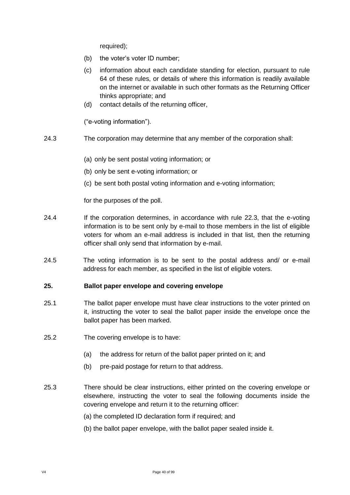required);

- (b) the voter's voter ID number;
- (c) information about each candidate standing for election, pursuant to rule 64 of these rules, or details of where this information is readily available on the internet or available in such other formats as the Returning Officer thinks appropriate; and
- (d) contact details of the returning officer,

("e-voting information").

- 24.3 The corporation may determine that any member of the corporation shall:
	- (a) only be sent postal voting information; or
	- (b) only be sent e-voting information; or
	- (c) be sent both postal voting information and e-voting information;

for the purposes of the poll.

- 24.4 If the corporation determines, in accordance with rule 22.3, that the e-voting information is to be sent only by e-mail to those members in the list of eligible voters for whom an e-mail address is included in that list, then the returning officer shall only send that information by e-mail.
- 24.5 The voting information is to be sent to the postal address and/ or e-mail address for each member, as specified in the list of eligible voters.

## **25. Ballot paper envelope and covering envelope**

- 25.1 The ballot paper envelope must have clear instructions to the voter printed on it, instructing the voter to seal the ballot paper inside the envelope once the ballot paper has been marked.
- 25.2 The covering envelope is to have:
	- (a) the address for return of the ballot paper printed on it; and
	- (b) pre-paid postage for return to that address.
- 25.3 There should be clear instructions, either printed on the covering envelope or elsewhere, instructing the voter to seal the following documents inside the covering envelope and return it to the returning officer:
	- (a) the completed ID declaration form if required; and
	- (b) the ballot paper envelope, with the ballot paper sealed inside it.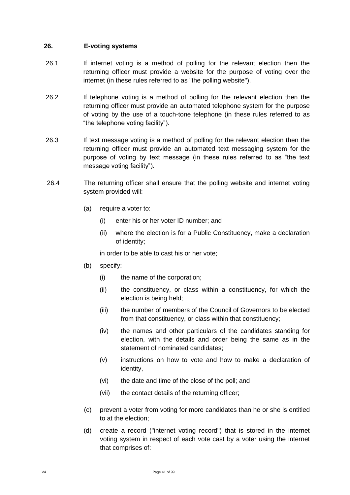### **26. E-voting systems**

- 26.1 If internet voting is a method of polling for the relevant election then the returning officer must provide a website for the purpose of voting over the internet (in these rules referred to as "the polling website").
- 26.2 If telephone voting is a method of polling for the relevant election then the returning officer must provide an automated telephone system for the purpose of voting by the use of a touch-tone telephone (in these rules referred to as "the telephone voting facility").
- 26.3 If text message voting is a method of polling for the relevant election then the returning officer must provide an automated text messaging system for the purpose of voting by text message (in these rules referred to as "the text message voting facility").
- 26.4 The returning officer shall ensure that the polling website and internet voting system provided will:
	- (a) require a voter to:
		- (i) enter his or her voter ID number; and
		- (ii) where the election is for a Public Constituency, make a declaration of identity;

in order to be able to cast his or her vote;

- (b) specify:
	- (i) the name of the corporation;
	- (ii) the constituency, or class within a constituency, for which the election is being held;
	- (iii) the number of members of the Council of Governors to be elected from that constituency, or class within that constituency;
	- (iv) the names and other particulars of the candidates standing for election, with the details and order being the same as in the statement of nominated candidates;
	- (v) instructions on how to vote and how to make a declaration of identity,
	- (vi) the date and time of the close of the poll; and
	- (vii) the contact details of the returning officer;
- (c) prevent a voter from voting for more candidates than he or she is entitled to at the election;
- (d) create a record ("internet voting record") that is stored in the internet voting system in respect of each vote cast by a voter using the internet that comprises of: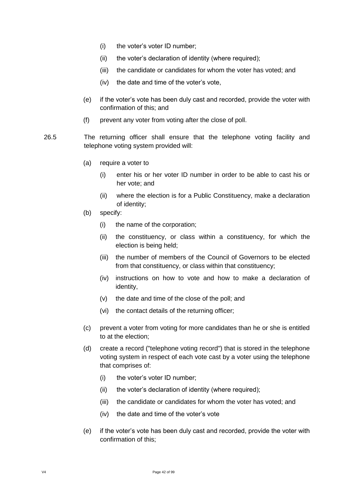- (i) the voter's voter ID number;
- (ii) the voter's declaration of identity (where required);
- (iii) the candidate or candidates for whom the voter has voted; and
- (iv) the date and time of the voter's vote,
- (e) if the voter's vote has been duly cast and recorded, provide the voter with confirmation of this; and
- (f) prevent any voter from voting after the close of poll.
- 26.5 The returning officer shall ensure that the telephone voting facility and telephone voting system provided will:
	- (a) require a voter to
		- (i) enter his or her voter ID number in order to be able to cast his or her vote; and
		- (ii) where the election is for a Public Constituency, make a declaration of identity;
	- (b) specify:
		- (i) the name of the corporation;
		- (ii) the constituency, or class within a constituency, for which the election is being held;
		- (iii) the number of members of the Council of Governors to be elected from that constituency, or class within that constituency;
		- (iv) instructions on how to vote and how to make a declaration of identity,
		- (v) the date and time of the close of the poll; and
		- (vi) the contact details of the returning officer;
	- (c) prevent a voter from voting for more candidates than he or she is entitled to at the election;
	- (d) create a record ("telephone voting record") that is stored in the telephone voting system in respect of each vote cast by a voter using the telephone that comprises of:
		- (i) the voter's voter ID number;
		- (ii) the voter's declaration of identity (where required);
		- (iii) the candidate or candidates for whom the voter has voted; and
		- (iv) the date and time of the voter's vote
	- (e) if the voter's vote has been duly cast and recorded, provide the voter with confirmation of this;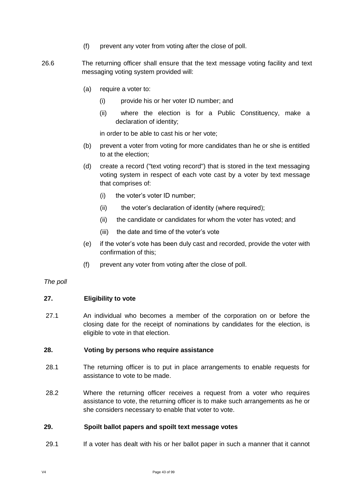- (f) prevent any voter from voting after the close of poll.
- 26.6 The returning officer shall ensure that the text message voting facility and text messaging voting system provided will:
	- (a) require a voter to:
		- (i) provide his or her voter ID number; and
		- (ii) where the election is for a Public Constituency, make a declaration of identity;

in order to be able to cast his or her vote;

- (b) prevent a voter from voting for more candidates than he or she is entitled to at the election;
- (d) create a record ("text voting record") that is stored in the text messaging voting system in respect of each vote cast by a voter by text message that comprises of:
	- (i) the voter's voter ID number;
	- (ii) the voter's declaration of identity (where required);
	- (ii) the candidate or candidates for whom the voter has voted; and
	- (iii) the date and time of the voter's vote
- (e) if the voter's vote has been duly cast and recorded, provide the voter with confirmation of this;
- (f) prevent any voter from voting after the close of poll.

#### *The poll*

#### **27. Eligibility to vote**

27.1 An individual who becomes a member of the corporation on or before the closing date for the receipt of nominations by candidates for the election, is eligible to vote in that election.

#### **28. Voting by persons who require assistance**

- 28.1 The returning officer is to put in place arrangements to enable requests for assistance to vote to be made.
- 28.2 Where the returning officer receives a request from a voter who requires assistance to vote, the returning officer is to make such arrangements as he or she considers necessary to enable that voter to vote.

#### **29. Spoilt ballot papers and spoilt text message votes**

29.1 If a voter has dealt with his or her ballot paper in such a manner that it cannot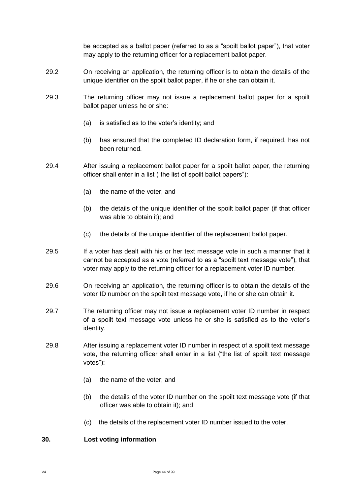be accepted as a ballot paper (referred to as a "spoilt ballot paper"), that voter may apply to the returning officer for a replacement ballot paper.

- 29.2 On receiving an application, the returning officer is to obtain the details of the unique identifier on the spoilt ballot paper, if he or she can obtain it.
- 29.3 The returning officer may not issue a replacement ballot paper for a spoilt ballot paper unless he or she:
	- (a) is satisfied as to the voter's identity; and
	- (b) has ensured that the completed ID declaration form, if required, has not been returned.
- 29.4 After issuing a replacement ballot paper for a spoilt ballot paper, the returning officer shall enter in a list ("the list of spoilt ballot papers"):
	- (a) the name of the voter; and
	- (b) the details of the unique identifier of the spoilt ballot paper (if that officer was able to obtain it); and
	- (c) the details of the unique identifier of the replacement ballot paper.
- 29.5 If a voter has dealt with his or her text message vote in such a manner that it cannot be accepted as a vote (referred to as a "spoilt text message vote"), that voter may apply to the returning officer for a replacement voter ID number.
- 29.6 On receiving an application, the returning officer is to obtain the details of the voter ID number on the spoilt text message vote, if he or she can obtain it.
- 29.7 The returning officer may not issue a replacement voter ID number in respect of a spoilt text message vote unless he or she is satisfied as to the voter's identity.
- 29.8 After issuing a replacement voter ID number in respect of a spoilt text message vote, the returning officer shall enter in a list ("the list of spoilt text message votes"):
	- (a) the name of the voter; and
	- (b) the details of the voter ID number on the spoilt text message vote (if that officer was able to obtain it); and
	- (c) the details of the replacement voter ID number issued to the voter.

## **30. Lost voting information**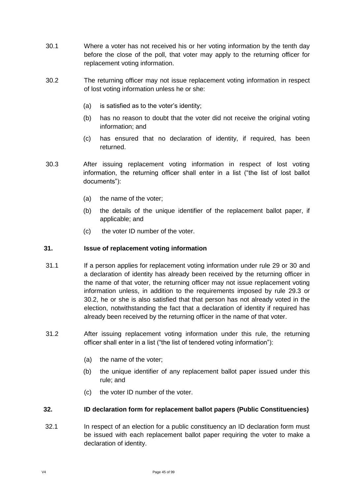- 30.1 Where a voter has not received his or her voting information by the tenth day before the close of the poll, that voter may apply to the returning officer for replacement voting information.
- 30.2 The returning officer may not issue replacement voting information in respect of lost voting information unless he or she:
	- (a) is satisfied as to the voter's identity;
	- (b) has no reason to doubt that the voter did not receive the original voting information; and
	- (c) has ensured that no declaration of identity, if required, has been returned.
- 30.3 After issuing replacement voting information in respect of lost voting information, the returning officer shall enter in a list ("the list of lost ballot documents"):
	- (a) the name of the voter;
	- (b) the details of the unique identifier of the replacement ballot paper, if applicable; and
	- (c) the voter ID number of the voter.

## **31. Issue of replacement voting information**

- 31.1 If a person applies for replacement voting information under rule 29 or 30 and a declaration of identity has already been received by the returning officer in the name of that voter, the returning officer may not issue replacement voting information unless, in addition to the requirements imposed by rule 29.3 or 30.2, he or she is also satisfied that that person has not already voted in the election, notwithstanding the fact that a declaration of identity if required has already been received by the returning officer in the name of that voter.
- 31.2 After issuing replacement voting information under this rule, the returning officer shall enter in a list ("the list of tendered voting information"):
	- (a) the name of the voter;
	- (b) the unique identifier of any replacement ballot paper issued under this rule; and
	- (c) the voter ID number of the voter.

## **32. ID declaration form for replacement ballot papers (Public Constituencies)**

32.1 In respect of an election for a public constituency an ID declaration form must be issued with each replacement ballot paper requiring the voter to make a declaration of identity.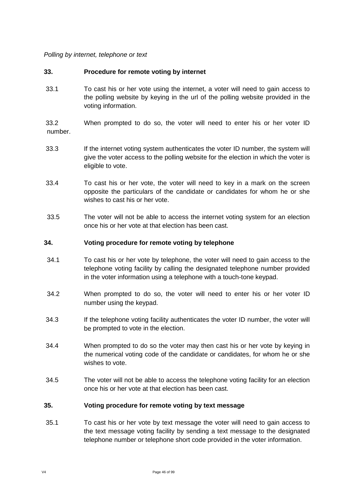### *Polling by internet, telephone or text*

## **33. Procedure for remote voting by internet**

33.1 To cast his or her vote using the internet, a voter will need to gain access to the polling website by keying in the url of the polling website provided in the voting information.

33.2 When prompted to do so, the voter will need to enter his or her voter ID number.

- 33.3 If the internet voting system authenticates the voter ID number, the system will give the voter access to the polling website for the election in which the voter is eligible to vote.
- 33.4 To cast his or her vote, the voter will need to key in a mark on the screen opposite the particulars of the candidate or candidates for whom he or she wishes to cast his or her vote.
- 33.5 The voter will not be able to access the internet voting system for an election once his or her vote at that election has been cast.

#### **34. Voting procedure for remote voting by telephone**

- 34.1 To cast his or her vote by telephone, the voter will need to gain access to the telephone voting facility by calling the designated telephone number provided in the voter information using a telephone with a touch-tone keypad.
- 34.2 When prompted to do so, the voter will need to enter his or her voter ID number using the keypad.
- 34.3 If the telephone voting facility authenticates the voter ID number, the voter will be prompted to vote in the election.
- 34.4 When prompted to do so the voter may then cast his or her vote by keying in the numerical voting code of the candidate or candidates, for whom he or she wishes to vote.
- 34.5 The voter will not be able to access the telephone voting facility for an election once his or her vote at that election has been cast.

### **35. Voting procedure for remote voting by text message**

35.1 To cast his or her vote by text message the voter will need to gain access to the text message voting facility by sending a text message to the designated telephone number or telephone short code provided in the voter information.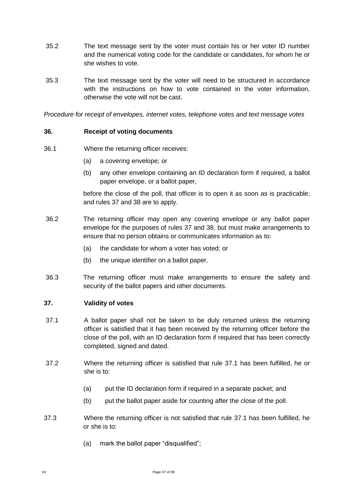- 35.2 The text message sent by the voter must contain his or her voter ID number and the numerical voting code for the candidate or candidates, for whom he or she wishes to vote.
- 35.3 The text message sent by the voter will need to be structured in accordance with the instructions on how to vote contained in the voter information, otherwise the vote will not be cast.

*Procedure for receipt of envelopes, internet votes, telephone votes and text message votes*

#### **36. Receipt of voting documents**

- 36.1 Where the returning officer receives:
	- (a) a covering envelope; or
	- (b) any other envelope containing an ID declaration form if required, a ballot paper envelope, or a ballot paper,

before the close of the poll, that officer is to open it as soon as is practicable; and rules 37 and 38 are to apply.

- 36.2 The returning officer may open any covering envelope or any ballot paper envelope for the purposes of rules 37 and 38, but must make arrangements to ensure that no person obtains or communicates information as to:
	- (a) the candidate for whom a voter has voted; or
	- (b) the unique identifier on a ballot paper.
- 36.3 The returning officer must make arrangements to ensure the safety and security of the ballot papers and other documents.

#### **37. Validity of votes**

- 37.1 A ballot paper shall not be taken to be duly returned unless the returning officer is satisfied that it has been received by the returning officer before the close of the poll, with an ID declaration form if required that has been correctly completed, signed and dated.
- 37.2 Where the returning officer is satisfied that rule 37.1 has been fulfilled, he or she is to:
	- (a) put the ID declaration form if required in a separate packet; and
	- (b) put the ballot paper aside for counting after the close of the poll.
- 37.3 Where the returning officer is not satisfied that rule 37.1 has been fulfilled, he or she is to:
	- (a) mark the ballot paper "disqualified";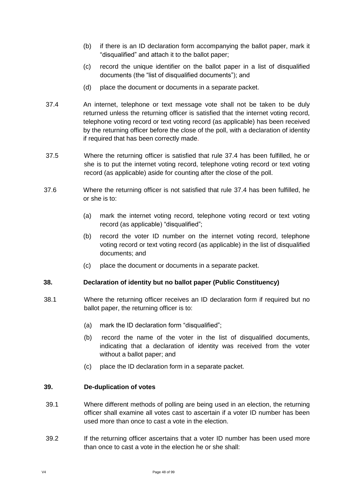- (b) if there is an ID declaration form accompanying the ballot paper, mark it "disqualified" and attach it to the ballot paper;
- (c) record the unique identifier on the ballot paper in a list of disqualified documents (the "list of disqualified documents"); and
- (d) place the document or documents in a separate packet.
- 37.4 An internet, telephone or text message vote shall not be taken to be duly returned unless the returning officer is satisfied that the internet voting record, telephone voting record or text voting record (as applicable) has been received by the returning officer before the close of the poll, with a declaration of identity if required that has been correctly made.
- 37.5 Where the returning officer is satisfied that rule 37.4 has been fulfilled, he or she is to put the internet voting record, telephone voting record or text voting record (as applicable) aside for counting after the close of the poll.
- 37.6 Where the returning officer is not satisfied that rule 37.4 has been fulfilled, he or she is to:
	- (a) mark the internet voting record, telephone voting record or text voting record (as applicable) "disqualified";
	- (b) record the voter ID number on the internet voting record, telephone voting record or text voting record (as applicable) in the list of disqualified documents; and
	- (c) place the document or documents in a separate packet.

# **38. Declaration of identity but no ballot paper (Public Constituency)**

- 38.1 Where the returning officer receives an ID declaration form if required but no ballot paper, the returning officer is to:
	- (a) mark the ID declaration form "disqualified";
	- (b) record the name of the voter in the list of disqualified documents, indicating that a declaration of identity was received from the voter without a ballot paper; and
	- (c) place the ID declaration form in a separate packet.

## **39. De-duplication of votes**

- 39.1 Where different methods of polling are being used in an election, the returning officer shall examine all votes cast to ascertain if a voter ID number has been used more than once to cast a vote in the election.
- 39.2 If the returning officer ascertains that a voter ID number has been used more than once to cast a vote in the election he or she shall: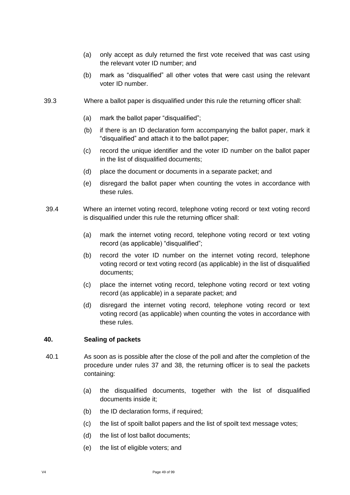- (a) only accept as duly returned the first vote received that was cast using the relevant voter ID number; and
- (b) mark as "disqualified" all other votes that were cast using the relevant voter ID number.
- 39.3 Where a ballot paper is disqualified under this rule the returning officer shall:
	- (a) mark the ballot paper "disqualified";
	- (b) if there is an ID declaration form accompanying the ballot paper, mark it "disqualified" and attach it to the ballot paper;
	- (c) record the unique identifier and the voter ID number on the ballot paper in the list of disqualified documents;
	- (d) place the document or documents in a separate packet; and
	- (e) disregard the ballot paper when counting the votes in accordance with these rules.
- 39.4 Where an internet voting record, telephone voting record or text voting record is disqualified under this rule the returning officer shall:
	- (a) mark the internet voting record, telephone voting record or text voting record (as applicable) "disqualified";
	- (b) record the voter ID number on the internet voting record, telephone voting record or text voting record (as applicable) in the list of disqualified documents;
	- (c) place the internet voting record, telephone voting record or text voting record (as applicable) in a separate packet; and
	- (d) disregard the internet voting record, telephone voting record or text voting record (as applicable) when counting the votes in accordance with these rules.

## **40. Sealing of packets**

- 40.1 As soon as is possible after the close of the poll and after the completion of the procedure under rules 37 and 38, the returning officer is to seal the packets containing:
	- (a) the disqualified documents, together with the list of disqualified documents inside it;
	- (b) the ID declaration forms, if required;
	- (c) the list of spoilt ballot papers and the list of spoilt text message votes;
	- (d) the list of lost ballot documents;
	- (e) the list of eligible voters; and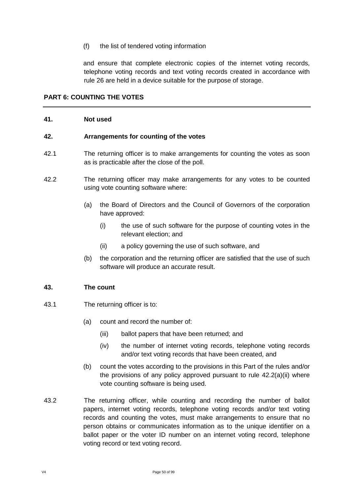(f) the list of tendered voting information

and ensure that complete electronic copies of the internet voting records, telephone voting records and text voting records created in accordance with rule 26 are held in a device suitable for the purpose of storage.

## **PART 6: COUNTING THE VOTES**

#### **41. Not used**

#### **42. Arrangements for counting of the votes**

- 42.1 The returning officer is to make arrangements for counting the votes as soon as is practicable after the close of the poll.
- 42.2 The returning officer may make arrangements for any votes to be counted using vote counting software where:
	- (a) the Board of Directors and the Council of Governors of the corporation have approved:
		- (i) the use of such software for the purpose of counting votes in the relevant election; and
		- (ii) a policy governing the use of such software, and
	- (b) the corporation and the returning officer are satisfied that the use of such software will produce an accurate result.

#### **43. The count**

- 43.1 The returning officer is to:
	- (a) count and record the number of:
		- (iii) ballot papers that have been returned; and
		- (iv) the number of internet voting records, telephone voting records and/or text voting records that have been created, and
	- (b) count the votes according to the provisions in this Part of the rules and/or the provisions of any policy approved pursuant to rule 42.2(a)(ii) where vote counting software is being used.
- 43.2 The returning officer, while counting and recording the number of ballot papers, internet voting records, telephone voting records and/or text voting records and counting the votes, must make arrangements to ensure that no person obtains or communicates information as to the unique identifier on a ballot paper or the voter ID number on an internet voting record, telephone voting record or text voting record.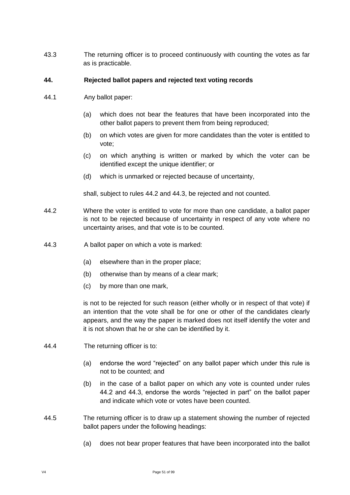43.3 The returning officer is to proceed continuously with counting the votes as far as is practicable.

## **44. Rejected ballot papers and rejected text voting records**

- 44.1 Any ballot paper:
	- (a) which does not bear the features that have been incorporated into the other ballot papers to prevent them from being reproduced;
	- (b) on which votes are given for more candidates than the voter is entitled to vote;
	- (c) on which anything is written or marked by which the voter can be identified except the unique identifier; or
	- (d) which is unmarked or rejected because of uncertainty,

shall, subject to rules 44.2 and 44.3, be rejected and not counted.

- 44.2 Where the voter is entitled to vote for more than one candidate, a ballot paper is not to be rejected because of uncertainty in respect of any vote where no uncertainty arises, and that vote is to be counted.
- 44.3 A ballot paper on which a vote is marked:
	- (a) elsewhere than in the proper place;
	- (b) otherwise than by means of a clear mark;
	- (c) by more than one mark,

is not to be rejected for such reason (either wholly or in respect of that vote) if an intention that the vote shall be for one or other of the candidates clearly appears, and the way the paper is marked does not itself identify the voter and it is not shown that he or she can be identified by it.

- 44.4 The returning officer is to:
	- (a) endorse the word "rejected" on any ballot paper which under this rule is not to be counted; and
	- (b) in the case of a ballot paper on which any vote is counted under rules 44.2 and 44.3, endorse the words "rejected in part" on the ballot paper and indicate which vote or votes have been counted.
- 44.5 The returning officer is to draw up a statement showing the number of rejected ballot papers under the following headings:
	- (a) does not bear proper features that have been incorporated into the ballot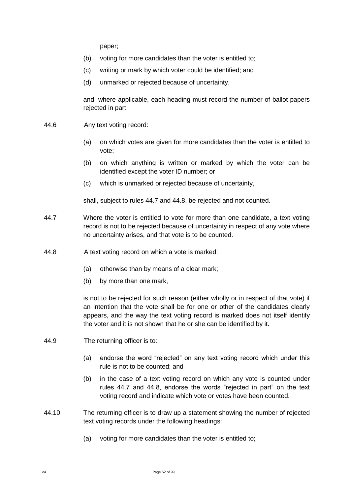paper;

- (b) voting for more candidates than the voter is entitled to;
- (c) writing or mark by which voter could be identified; and
- (d) unmarked or rejected because of uncertainty,

and, where applicable, each heading must record the number of ballot papers rejected in part.

- 44.6 Any text voting record:
	- (a) on which votes are given for more candidates than the voter is entitled to vote;
	- (b) on which anything is written or marked by which the voter can be identified except the voter ID number; or
	- (c) which is unmarked or rejected because of uncertainty,

shall, subject to rules 44.7 and 44.8, be rejected and not counted.

- 44.7 Where the voter is entitled to vote for more than one candidate, a text voting record is not to be rejected because of uncertainty in respect of any vote where no uncertainty arises, and that vote is to be counted.
- 44.8 A text voting record on which a vote is marked:
	- (a) otherwise than by means of a clear mark;
	- (b) by more than one mark,

is not to be rejected for such reason (either wholly or in respect of that vote) if an intention that the vote shall be for one or other of the candidates clearly appears, and the way the text voting record is marked does not itself identify the voter and it is not shown that he or she can be identified by it.

- 44.9 The returning officer is to:
	- (a) endorse the word "rejected" on any text voting record which under this rule is not to be counted; and
	- (b) in the case of a text voting record on which any vote is counted under rules 44.7 and 44.8, endorse the words "rejected in part" on the text voting record and indicate which vote or votes have been counted.
- 44.10 The returning officer is to draw up a statement showing the number of rejected text voting records under the following headings:
	- (a) voting for more candidates than the voter is entitled to;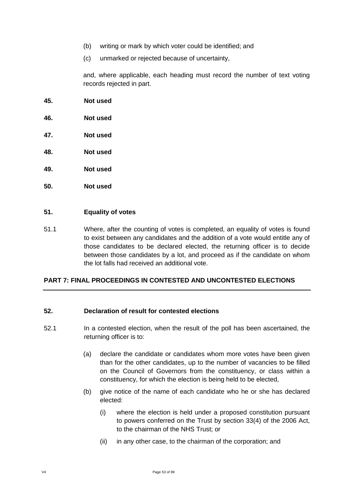- (b) writing or mark by which voter could be identified; and
- (c) unmarked or rejected because of uncertainty,

and, where applicable, each heading must record the number of text voting records rejected in part.

- **45. Not used**
- **46. Not used**
- **47. Not used**
- **48. Not used**
- **49. Not used**
- **50. Not used**

### **51. Equality of votes**

51.1 Where, after the counting of votes is completed, an equality of votes is found to exist between any candidates and the addition of a vote would entitle any of those candidates to be declared elected, the returning officer is to decide between those candidates by a lot, and proceed as if the candidate on whom the lot falls had received an additional vote.

### **PART 7: FINAL PROCEEDINGS IN CONTESTED AND UNCONTESTED ELECTIONS**

#### **52. Declaration of result for contested elections**

- 52.1 In a contested election, when the result of the poll has been ascertained, the returning officer is to:
	- (a) declare the candidate or candidates whom more votes have been given than for the other candidates, up to the number of vacancies to be filled on the Council of Governors from the constituency, or class within a constituency, for which the election is being held to be elected,
	- (b) give notice of the name of each candidate who he or she has declared elected:
		- (i) where the election is held under a proposed constitution pursuant to powers conferred on the Trust by section 33(4) of the 2006 Act, to the chairman of the NHS Trust; or
		- (ii) in any other case, to the chairman of the corporation; and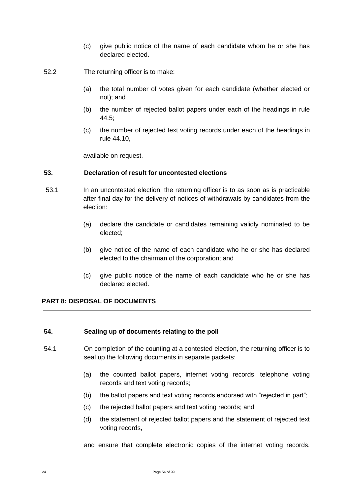- (c) give public notice of the name of each candidate whom he or she has declared elected.
- 52.2 The returning officer is to make:
	- (a) the total number of votes given for each candidate (whether elected or not); and
	- (b) the number of rejected ballot papers under each of the headings in rule 44.5;
	- (c) the number of rejected text voting records under each of the headings in rule 44.10,

available on request.

## **53. Declaration of result for uncontested elections**

- 53.1 In an uncontested election, the returning officer is to as soon as is practicable after final day for the delivery of notices of withdrawals by candidates from the election:
	- (a) declare the candidate or candidates remaining validly nominated to be elected;
	- (b) give notice of the name of each candidate who he or she has declared elected to the chairman of the corporation; and
	- (c) give public notice of the name of each candidate who he or she has declared elected.

## **PART 8: DISPOSAL OF DOCUMENTS**

#### **54. Sealing up of documents relating to the poll**

- 54.1 On completion of the counting at a contested election, the returning officer is to seal up the following documents in separate packets:
	- (a) the counted ballot papers, internet voting records, telephone voting records and text voting records;
	- (b) the ballot papers and text voting records endorsed with "rejected in part";
	- (c) the rejected ballot papers and text voting records; and
	- (d) the statement of rejected ballot papers and the statement of rejected text voting records,

and ensure that complete electronic copies of the internet voting records,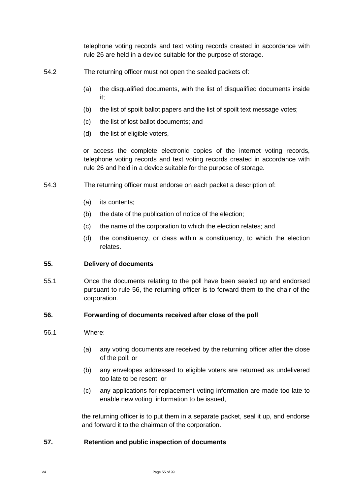telephone voting records and text voting records created in accordance with rule 26 are held in a device suitable for the purpose of storage.

- 54.2 The returning officer must not open the sealed packets of:
	- (a) the disqualified documents, with the list of disqualified documents inside it;
	- (b) the list of spoilt ballot papers and the list of spoilt text message votes;
	- (c) the list of lost ballot documents; and
	- (d) the list of eligible voters,

or access the complete electronic copies of the internet voting records, telephone voting records and text voting records created in accordance with rule 26 and held in a device suitable for the purpose of storage.

- 54.3 The returning officer must endorse on each packet a description of:
	- (a) its contents;
	- (b) the date of the publication of notice of the election;
	- (c) the name of the corporation to which the election relates; and
	- (d) the constituency, or class within a constituency, to which the election relates.

#### **55. Delivery of documents**

55.1 Once the documents relating to the poll have been sealed up and endorsed pursuant to rule 56, the returning officer is to forward them to the chair of the corporation.

#### **56. Forwarding of documents received after close of the poll**

- 56.1 Where:
	- (a) any voting documents are received by the returning officer after the close of the poll; or
	- (b) any envelopes addressed to eligible voters are returned as undelivered too late to be resent; or
	- (c) any applications for replacement voting information are made too late to enable new voting information to be issued,

the returning officer is to put them in a separate packet, seal it up, and endorse and forward it to the chairman of the corporation.

#### **57. Retention and public inspection of documents**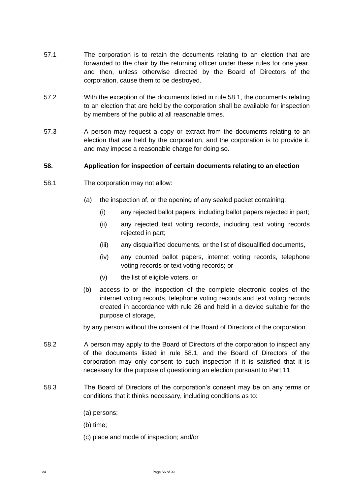- 57.1 The corporation is to retain the documents relating to an election that are forwarded to the chair by the returning officer under these rules for one year, and then, unless otherwise directed by the Board of Directors of the corporation, cause them to be destroyed.
- 57.2 With the exception of the documents listed in rule 58.1, the documents relating to an election that are held by the corporation shall be available for inspection by members of the public at all reasonable times.
- 57.3 A person may request a copy or extract from the documents relating to an election that are held by the corporation, and the corporation is to provide it, and may impose a reasonable charge for doing so.

#### **58. Application for inspection of certain documents relating to an election**

- 58.1 The corporation may not allow:
	- (a) the inspection of, or the opening of any sealed packet containing:
		- (i) any rejected ballot papers, including ballot papers rejected in part;
		- (ii) any rejected text voting records, including text voting records rejected in part;
		- (iii) any disqualified documents, or the list of disqualified documents,
		- (iv) any counted ballot papers, internet voting records, telephone voting records or text voting records; or
		- (v) the list of eligible voters, or
	- (b) access to or the inspection of the complete electronic copies of the internet voting records, telephone voting records and text voting records created in accordance with rule 26 and held in a device suitable for the purpose of storage,

by any person without the consent of the Board of Directors of the corporation.

- 58.2 A person may apply to the Board of Directors of the corporation to inspect any of the documents listed in rule 58.1, and the Board of Directors of the corporation may only consent to such inspection if it is satisfied that it is necessary for the purpose of questioning an election pursuant to Part 11.
- 58.3 The Board of Directors of the corporation's consent may be on any terms or conditions that it thinks necessary, including conditions as to:
	- (a) persons;
	- (b) time;
	- (c) place and mode of inspection; and/or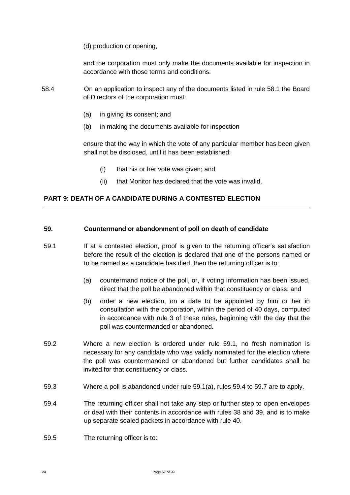(d) production or opening,

and the corporation must only make the documents available for inspection in accordance with those terms and conditions.

- 58.4 On an application to inspect any of the documents listed in rule 58.1 the Board of Directors of the corporation must:
	- (a) in giving its consent; and
	- (b) in making the documents available for inspection

ensure that the way in which the vote of any particular member has been given shall not be disclosed, until it has been established:

- (i) that his or her vote was given; and
- (ii) that Monitor has declared that the vote was invalid.

## **PART 9: DEATH OF A CANDIDATE DURING A CONTESTED ELECTION**

#### **59. Countermand or abandonment of poll on death of candidate**

- 59.1 If at a contested election, proof is given to the returning officer's satisfaction before the result of the election is declared that one of the persons named or to be named as a candidate has died, then the returning officer is to:
	- (a) countermand notice of the poll, or, if voting information has been issued, direct that the poll be abandoned within that constituency or class; and
	- (b) order a new election, on a date to be appointed by him or her in consultation with the corporation, within the period of 40 days, computed in accordance with rule 3 of these rules, beginning with the day that the poll was countermanded or abandoned.
- 59.2 Where a new election is ordered under rule 59.1, no fresh nomination is necessary for any candidate who was validly nominated for the election where the poll was countermanded or abandoned but further candidates shall be invited for that constituency or class.
- 59.3 Where a poll is abandoned under rule 59.1(a), rules 59.4 to 59.7 are to apply.
- 59.4 The returning officer shall not take any step or further step to open envelopes or deal with their contents in accordance with rules 38 and 39, and is to make up separate sealed packets in accordance with rule 40.
- 59.5 The returning officer is to: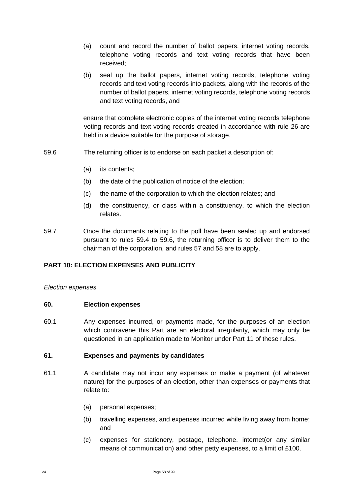- (a) count and record the number of ballot papers, internet voting records, telephone voting records and text voting records that have been received;
- (b) seal up the ballot papers, internet voting records, telephone voting records and text voting records into packets, along with the records of the number of ballot papers, internet voting records, telephone voting records and text voting records, and

ensure that complete electronic copies of the internet voting records telephone voting records and text voting records created in accordance with rule 26 are held in a device suitable for the purpose of storage.

- 59.6 The returning officer is to endorse on each packet a description of:
	- (a) its contents;
	- (b) the date of the publication of notice of the election;
	- (c) the name of the corporation to which the election relates; and
	- (d) the constituency, or class within a constituency, to which the election relates.
- 59.7 Once the documents relating to the poll have been sealed up and endorsed pursuant to rules 59.4 to 59.6, the returning officer is to deliver them to the chairman of the corporation, and rules 57 and 58 are to apply.

## **PART 10: ELECTION EXPENSES AND PUBLICITY**

#### *Election expenses*

#### **60. Election expenses**

60.1 Any expenses incurred, or payments made, for the purposes of an election which contravene this Part are an electoral irregularity, which may only be questioned in an application made to Monitor under Part 11 of these rules.

#### **61. Expenses and payments by candidates**

- 61.1 A candidate may not incur any expenses or make a payment (of whatever nature) for the purposes of an election, other than expenses or payments that relate to:
	- (a) personal expenses;
	- (b) travelling expenses, and expenses incurred while living away from home; and
	- (c) expenses for stationery, postage, telephone, internet(or any similar means of communication) and other petty expenses, to a limit of £100.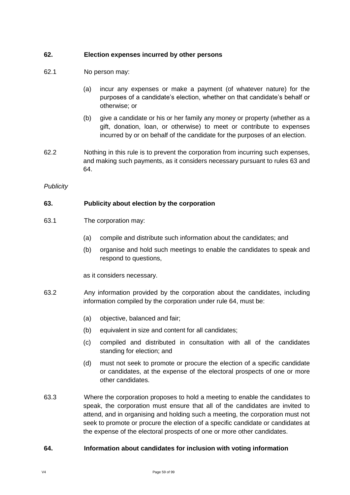## **62. Election expenses incurred by other persons**

- 62.1 No person may:
	- (a) incur any expenses or make a payment (of whatever nature) for the purposes of a candidate's election, whether on that candidate's behalf or otherwise; or
	- (b) give a candidate or his or her family any money or property (whether as a gift, donation, loan, or otherwise) to meet or contribute to expenses incurred by or on behalf of the candidate for the purposes of an election.
- 62.2 Nothing in this rule is to prevent the corporation from incurring such expenses, and making such payments, as it considers necessary pursuant to rules 63 and 64.

## *Publicity*

## **63. Publicity about election by the corporation**

- 63.1 The corporation may:
	- (a) compile and distribute such information about the candidates; and
	- (b) organise and hold such meetings to enable the candidates to speak and respond to questions,

as it considers necessary.

- 63.2 Any information provided by the corporation about the candidates, including information compiled by the corporation under rule 64, must be:
	- (a) objective, balanced and fair;
	- (b) equivalent in size and content for all candidates;
	- (c) compiled and distributed in consultation with all of the candidates standing for election; and
	- (d) must not seek to promote or procure the election of a specific candidate or candidates, at the expense of the electoral prospects of one or more other candidates.
- 63.3 Where the corporation proposes to hold a meeting to enable the candidates to speak, the corporation must ensure that all of the candidates are invited to attend, and in organising and holding such a meeting, the corporation must not seek to promote or procure the election of a specific candidate or candidates at the expense of the electoral prospects of one or more other candidates.

## **64. Information about candidates for inclusion with voting information**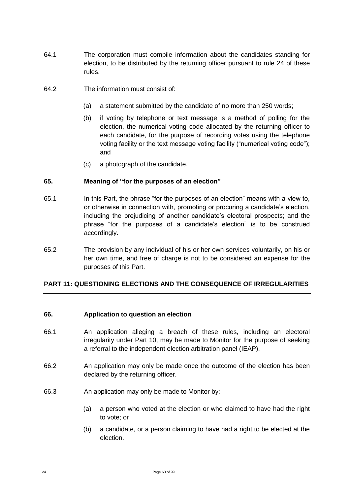- 64.1 The corporation must compile information about the candidates standing for election, to be distributed by the returning officer pursuant to rule 24 of these rules.
- 64.2 The information must consist of:
	- (a) a statement submitted by the candidate of no more than 250 words;
	- (b) if voting by telephone or text message is a method of polling for the election, the numerical voting code allocated by the returning officer to each candidate, for the purpose of recording votes using the telephone voting facility or the text message voting facility ("numerical voting code"); and
	- (c) a photograph of the candidate.

#### **65. Meaning of "for the purposes of an election"**

- 65.1 In this Part, the phrase "for the purposes of an election" means with a view to, or otherwise in connection with, promoting or procuring a candidate's election, including the prejudicing of another candidate's electoral prospects; and the phrase "for the purposes of a candidate's election" is to be construed accordingly.
- 65.2 The provision by any individual of his or her own services voluntarily, on his or her own time, and free of charge is not to be considered an expense for the purposes of this Part.

## **PART 11: QUESTIONING ELECTIONS AND THE CONSEQUENCE OF IRREGULARITIES**

#### **66. Application to question an election**

- 66.1 An application alleging a breach of these rules, including an electoral irregularity under Part 10, may be made to Monitor for the purpose of seeking a referral to the independent election arbitration panel (IEAP).
- 66.2 An application may only be made once the outcome of the election has been declared by the returning officer.
- 66.3 An application may only be made to Monitor by:
	- (a) a person who voted at the election or who claimed to have had the right to vote; or
	- (b) a candidate, or a person claiming to have had a right to be elected at the election.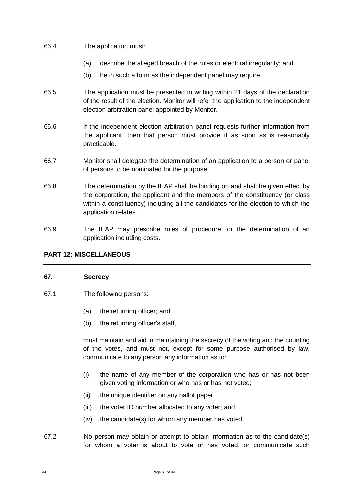### 66.4 The application must:

- (a) describe the alleged breach of the rules or electoral irregularity; and
- (b) be in such a form as the independent panel may require.
- 66.5 The application must be presented in writing within 21 days of the declaration of the result of the election. Monitor will refer the application to the independent election arbitration panel appointed by Monitor.
- 66.6 If the independent election arbitration panel requests further information from the applicant, then that person must provide it as soon as is reasonably practicable.
- 66.7 Monitor shall delegate the determination of an application to a person or panel of persons to be nominated for the purpose.
- 66.8 The determination by the IEAP shall be binding on and shall be given effect by the corporation, the applicant and the members of the constituency (or class within a constituency) including all the candidates for the election to which the application relates.
- 66.9 The IEAP may prescribe rules of procedure for the determination of an application including costs.

## **PART 12: MISCELLANEOUS**

#### **67. Secrecy**

- 67.1 The following persons:
	- (a) the returning officer; and
	- (b) the returning officer's staff,

must maintain and aid in maintaining the secrecy of the voting and the counting of the votes, and must not, except for some purpose authorised by law, communicate to any person any information as to:

- (i) the name of any member of the corporation who has or has not been given voting information or who has or has not voted;
- (ii) the unique identifier on any ballot paper;
- (iii) the voter ID number allocated to any voter; and
- (iv) the candidate(s) for whom any member has voted.
- 67.2 No person may obtain or attempt to obtain information as to the candidate(s) for whom a voter is about to vote or has voted, or communicate such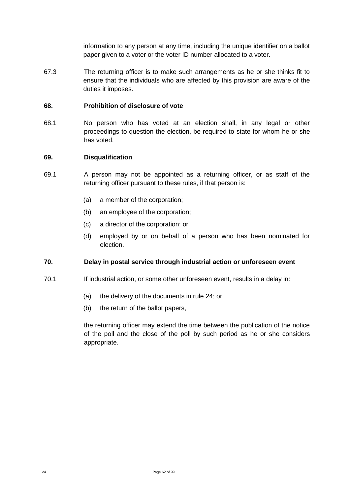information to any person at any time, including the unique identifier on a ballot paper given to a voter or the voter ID number allocated to a voter.

67.3 The returning officer is to make such arrangements as he or she thinks fit to ensure that the individuals who are affected by this provision are aware of the duties it imposes.

#### **68. Prohibition of disclosure of vote**

68.1 No person who has voted at an election shall, in any legal or other proceedings to question the election, be required to state for whom he or she has voted.

#### **69. Disqualification**

- 69.1 A person may not be appointed as a returning officer, or as staff of the returning officer pursuant to these rules, if that person is:
	- (a) a member of the corporation;
	- (b) an employee of the corporation;
	- (c) a director of the corporation; or
	- (d) employed by or on behalf of a person who has been nominated for election.

## **70. Delay in postal service through industrial action or unforeseen event**

- 70.1 If industrial action, or some other unforeseen event, results in a delay in:
	- (a) the delivery of the documents in rule 24; or
	- (b) the return of the ballot papers,

the returning officer may extend the time between the publication of the notice of the poll and the close of the poll by such period as he or she considers appropriate.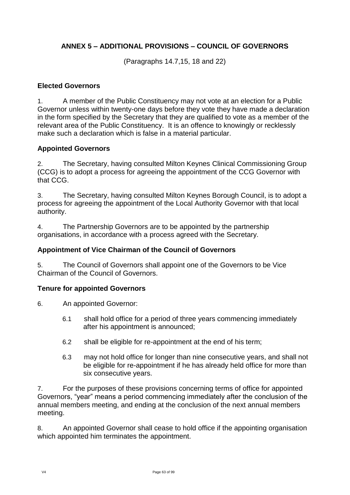# **ANNEX 5 – ADDITIONAL PROVISIONS – COUNCIL OF GOVERNORS**

(Paragraphs 14.7,15, 18 and 22)

# **Elected Governors**

1. A member of the Public Constituency may not vote at an election for a Public Governor unless within twenty-one days before they vote they have made a declaration in the form specified by the Secretary that they are qualified to vote as a member of the relevant area of the Public Constituency. It is an offence to knowingly or recklessly make such a declaration which is false in a material particular.

# **Appointed Governors**

2. The Secretary, having consulted Milton Keynes Clinical Commissioning Group (CCG) is to adopt a process for agreeing the appointment of the CCG Governor with that CCG.

3. The Secretary, having consulted Milton Keynes Borough Council, is to adopt a process for agreeing the appointment of the Local Authority Governor with that local authority.

4. The Partnership Governors are to be appointed by the partnership organisations, in accordance with a process agreed with the Secretary.

# **Appointment of Vice Chairman of the Council of Governors**

5. The Council of Governors shall appoint one of the Governors to be Vice Chairman of the Council of Governors.

# **Tenure for appointed Governors**

6. An appointed Governor:

- 6.1 shall hold office for a period of three years commencing immediately after his appointment is announced;
- 6.2 shall be eligible for re-appointment at the end of his term;
- 6.3 may not hold office for longer than nine consecutive years, and shall not be eligible for re-appointment if he has already held office for more than six consecutive years.

7. For the purposes of these provisions concerning terms of office for appointed Governors, "year" means a period commencing immediately after the conclusion of the annual members meeting, and ending at the conclusion of the next annual members meeting.

8. An appointed Governor shall cease to hold office if the appointing organisation which appointed him terminates the appointment.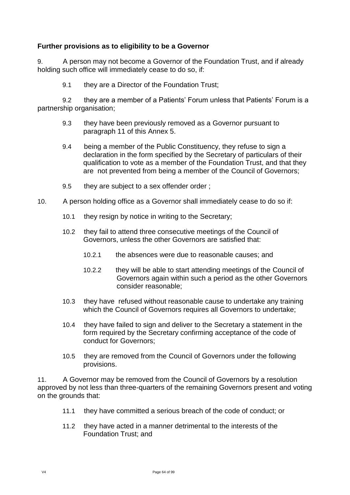# **Further provisions as to eligibility to be a Governor**

9. A person may not become a Governor of the Foundation Trust, and if already holding such office will immediately cease to do so, if:

9.1 they are a Director of the Foundation Trust;

9.2 they are a member of a Patients' Forum unless that Patients' Forum is a partnership organisation;

- 9.3 they have been previously removed as a Governor pursuant to paragraph 11 of this Annex 5.
- 9.4 being a member of the Public Constituency, they refuse to sign a declaration in the form specified by the Secretary of particulars of their qualification to vote as a member of the Foundation Trust, and that they are not prevented from being a member of the Council of Governors;
- 9.5 they are subject to a sex offender order ;
- 10. A person holding office as a Governor shall immediately cease to do so if:
	- 10.1 they resign by notice in writing to the Secretary;
	- 10.2 they fail to attend three consecutive meetings of the Council of Governors, unless the other Governors are satisfied that:
		- 10.2.1 the absences were due to reasonable causes; and
		- 10.2.2 they will be able to start attending meetings of the Council of Governors again within such a period as the other Governors consider reasonable;
	- 10.3 they have refused without reasonable cause to undertake any training which the Council of Governors requires all Governors to undertake;
	- 10.4 they have failed to sign and deliver to the Secretary a statement in the form required by the Secretary confirming acceptance of the code of conduct for Governors;
	- 10.5 they are removed from the Council of Governors under the following provisions.

11. A Governor may be removed from the Council of Governors by a resolution approved by not less than three-quarters of the remaining Governors present and voting on the grounds that:

- 11.1 they have committed a serious breach of the code of conduct; or
- 11.2 they have acted in a manner detrimental to the interests of the Foundation Trust; and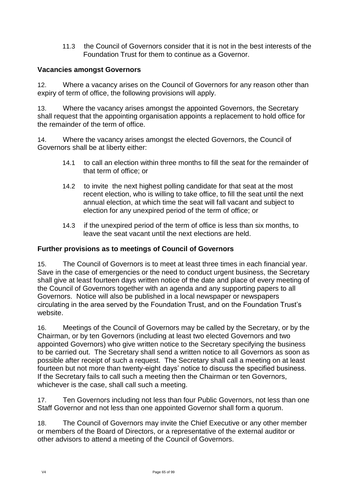11.3 the Council of Governors consider that it is not in the best interests of the Foundation Trust for them to continue as a Governor.

# **Vacancies amongst Governors**

12. Where a vacancy arises on the Council of Governors for any reason other than expiry of term of office, the following provisions will apply.

13. Where the vacancy arises amongst the appointed Governors, the Secretary shall request that the appointing organisation appoints a replacement to hold office for the remainder of the term of office.

14. Where the vacancy arises amongst the elected Governors, the Council of Governors shall be at liberty either:

- 14.1 to call an election within three months to fill the seat for the remainder of that term of office; or
- 14.2 to invite the next highest polling candidate for that seat at the most recent election, who is willing to take office, to fill the seat until the next annual election, at which time the seat will fall vacant and subject to election for any unexpired period of the term of office; or
- 14.3 if the unexpired period of the term of office is less than six months, to leave the seat vacant until the next elections are held.

# **Further provisions as to meetings of Council of Governors**

15. The Council of Governors is to meet at least three times in each financial year. Save in the case of emergencies or the need to conduct urgent business, the Secretary shall give at least fourteen days written notice of the date and place of every meeting of the Council of Governors together with an agenda and any supporting papers to all Governors. Notice will also be published in a local newspaper or newspapers circulating in the area served by the Foundation Trust, and on the Foundation Trust's website.

16. Meetings of the Council of Governors may be called by the Secretary, or by the Chairman, or by ten Governors (including at least two elected Governors and two appointed Governors) who give written notice to the Secretary specifying the business to be carried out. The Secretary shall send a written notice to all Governors as soon as possible after receipt of such a request. The Secretary shall call a meeting on at least fourteen but not more than twenty-eight days' notice to discuss the specified business. If the Secretary fails to call such a meeting then the Chairman or ten Governors, whichever is the case, shall call such a meeting.

17. Ten Governors including not less than four Public Governors, not less than one Staff Governor and not less than one appointed Governor shall form a quorum.

18. The Council of Governors may invite the Chief Executive or any other member or members of the Board of Directors, or a representative of the external auditor or other advisors to attend a meeting of the Council of Governors.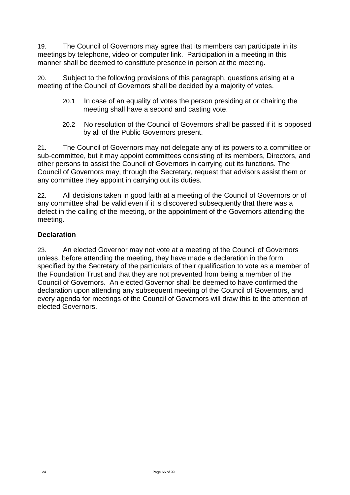19. The Council of Governors may agree that its members can participate in its meetings by telephone, video or computer link. Participation in a meeting in this manner shall be deemed to constitute presence in person at the meeting.

20. Subject to the following provisions of this paragraph, questions arising at a meeting of the Council of Governors shall be decided by a majority of votes.

- 20.1 In case of an equality of votes the person presiding at or chairing the meeting shall have a second and casting vote.
- 20.2 No resolution of the Council of Governors shall be passed if it is opposed by all of the Public Governors present.

21. The Council of Governors may not delegate any of its powers to a committee or sub-committee, but it may appoint committees consisting of its members, Directors, and other persons to assist the Council of Governors in carrying out its functions. The Council of Governors may, through the Secretary, request that advisors assist them or any committee they appoint in carrying out its duties.

22. All decisions taken in good faith at a meeting of the Council of Governors or of any committee shall be valid even if it is discovered subsequently that there was a defect in the calling of the meeting, or the appointment of the Governors attending the meeting.

# **Declaration**

23. An elected Governor may not vote at a meeting of the Council of Governors unless, before attending the meeting, they have made a declaration in the form specified by the Secretary of the particulars of their qualification to vote as a member of the Foundation Trust and that they are not prevented from being a member of the Council of Governors. An elected Governor shall be deemed to have confirmed the declaration upon attending any subsequent meeting of the Council of Governors, and every agenda for meetings of the Council of Governors will draw this to the attention of elected Governors.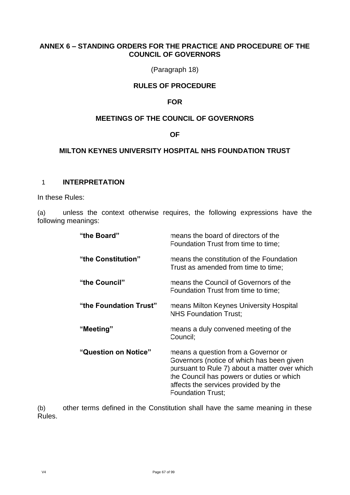## **ANNEX 6 – STANDING ORDERS FOR THE PRACTICE AND PROCEDURE OF THE COUNCIL OF GOVERNORS**

(Paragraph 18)

# **RULES OF PROCEDURE**

## **FOR**

## **MEETINGS OF THE COUNCIL OF GOVERNORS**

## **OF**

## **MILTON KEYNES UNIVERSITY HOSPITAL NHS FOUNDATION TRUST**

## 1 **INTERPRETATION**

In these Rules:

(a) unless the context otherwise requires, the following expressions have the following meanings:

| "the Board"            | means the board of directors of the<br>Foundation Trust from time to time;                                                                                                                                                                         |
|------------------------|----------------------------------------------------------------------------------------------------------------------------------------------------------------------------------------------------------------------------------------------------|
| "the Constitution"     | means the constitution of the Foundation<br>Trust as amended from time to time;                                                                                                                                                                    |
| "the Council"          | means the Council of Governors of the<br>Foundation Trust from time to time;                                                                                                                                                                       |
| "the Foundation Trust" | means Milton Keynes University Hospital<br><b>NHS Foundation Trust;</b>                                                                                                                                                                            |
| "Meeting"              | means a duly convened meeting of the<br>Council;                                                                                                                                                                                                   |
| "Question on Notice"   | means a question from a Governor or<br>Governors (notice of which has been given<br>pursuant to Rule 7) about a matter over which<br>the Council has powers or duties or which<br>affects the services provided by the<br><b>Foundation Trust:</b> |

(b) other terms defined in the Constitution shall have the same meaning in these Rules.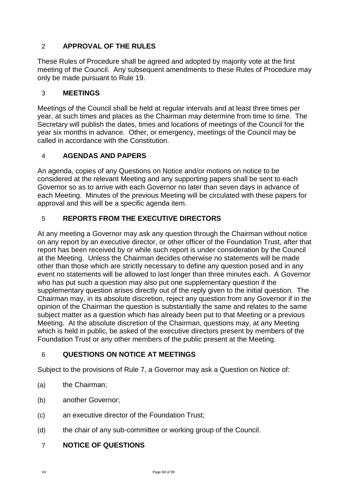# 2 **APPROVAL OF THE RULES**

These Rules of Procedure shall be agreed and adopted by majority vote at the first meeting of the Council. Any subsequent amendments to these Rules of Procedure may only be made pursuant to Rule 19.

# 3 **MEETINGS**

Meetings of the Council shall be held at regular intervals and at least three times per year, at such times and places as the Chairman may determine from time to time. The Secretary will publish the dates, times and locations of meetings of the Council for the year six months in advance. Other, or emergency, meetings of the Council may be called in accordance with the Constitution.

# 4 **AGENDAS AND PAPERS**

An agenda, copies of any Questions on Notice and/or motions on notice to be considered at the relevant Meeting and any supporting papers shall be sent to each Governor so as to arrive with each Governor no later than seven days in advance of each Meeting. Minutes of the previous Meeting will be circulated with these papers for approval and this will be a specific agenda item.

# 5 **REPORTS FROM THE EXECUTIVE DIRECTORS**

At any meeting a Governor may ask any question through the Chairman without notice on any report by an executive director, or other officer of the Foundation Trust, after that report has been received by or while such report is under consideration by the Council at the Meeting. Unless the Chairman decides otherwise no statements will be made other than those which are strictly necessary to define any question posed and in any event no statements will be allowed to last longer than three minutes each. A Governor who has put such a question may also put one supplementary question if the supplementary question arises directly out of the reply given to the initial question. The Chairman may, in its absolute discretion, reject any question from any Governor if in the opinion of the Chairman the question is substantially the same and relates to the same subject matter as a question which has already been put to that Meeting or a previous Meeting. At the absolute discretion of the Chairman, questions may, at any Meeting which is held in public, be asked of the executive directors present by members of the Foundation Trust or any other members of the public present at the Meeting.

# 6 **QUESTIONS ON NOTICE AT MEETINGS**

Subject to the provisions of Rule 7, a Governor may ask a Question on Notice of:

- (a) the Chairman;
- (b) another Governor;
- (c) an executive director of the Foundation Trust;
- (d) the chair of any sub-committee or working group of the Council.

# 7 **NOTICE OF QUESTIONS**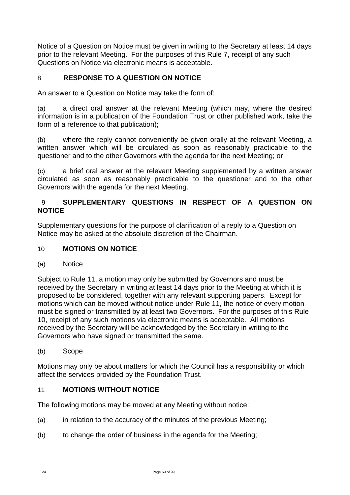Notice of a Question on Notice must be given in writing to the Secretary at least 14 days prior to the relevant Meeting. For the purposes of this Rule 7, receipt of any such Questions on Notice via electronic means is acceptable.

# 8 **RESPONSE TO A QUESTION ON NOTICE**

An answer to a Question on Notice may take the form of:

(a) a direct oral answer at the relevant Meeting (which may, where the desired information is in a publication of the Foundation Trust or other published work, take the form of a reference to that publication);

(b) where the reply cannot conveniently be given orally at the relevant Meeting, a written answer which will be circulated as soon as reasonably practicable to the questioner and to the other Governors with the agenda for the next Meeting; or

(c) a brief oral answer at the relevant Meeting supplemented by a written answer circulated as soon as reasonably practicable to the questioner and to the other Governors with the agenda for the next Meeting.

# 9 **SUPPLEMENTARY QUESTIONS IN RESPECT OF A QUESTION ON NOTICE**

Supplementary questions for the purpose of clarification of a reply to a Question on Notice may be asked at the absolute discretion of the Chairman.

# 10 **MOTIONS ON NOTICE**

(a) Notice

Subject to Rule 11, a motion may only be submitted by Governors and must be received by the Secretary in writing at least 14 days prior to the Meeting at which it is proposed to be considered, together with any relevant supporting papers. Except for motions which can be moved without notice under Rule 11, the notice of every motion must be signed or transmitted by at least two Governors. For the purposes of this Rule 10, receipt of any such motions via electronic means is acceptable. All motions received by the Secretary will be acknowledged by the Secretary in writing to the Governors who have signed or transmitted the same.

(b) Scope

Motions may only be about matters for which the Council has a responsibility or which affect the services provided by the Foundation Trust.

## 11 **MOTIONS WITHOUT NOTICE**

The following motions may be moved at any Meeting without notice:

- (a) in relation to the accuracy of the minutes of the previous Meeting;
- (b) to change the order of business in the agenda for the Meeting;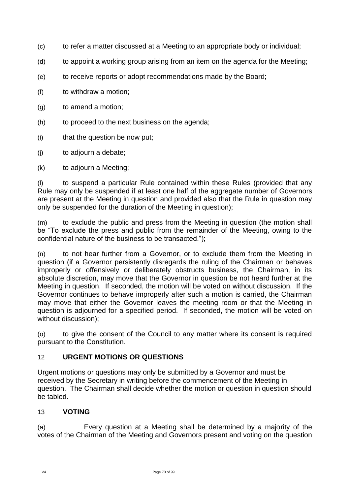- (c) to refer a matter discussed at a Meeting to an appropriate body or individual;
- (d) to appoint a working group arising from an item on the agenda for the Meeting;
- (e) to receive reports or adopt recommendations made by the Board;
- (f) to withdraw a motion;
- (g) to amend a motion;
- (h) to proceed to the next business on the agenda;
- (i) that the question be now put;
- (j) to adjourn a debate;
- (k) to adjourn a Meeting;

(l) to suspend a particular Rule contained within these Rules (provided that any Rule may only be suspended if at least one half of the aggregate number of Governors are present at the Meeting in question and provided also that the Rule in question may only be suspended for the duration of the Meeting in question);

(m) to exclude the public and press from the Meeting in question (the motion shall be "To exclude the press and public from the remainder of the Meeting, owing to the confidential nature of the business to be transacted.");

(n) to not hear further from a Governor, or to exclude them from the Meeting in question (if a Governor persistently disregards the ruling of the Chairman or behaves improperly or offensively or deliberately obstructs business, the Chairman, in its absolute discretion, may move that the Governor in question be not heard further at the Meeting in question. If seconded, the motion will be voted on without discussion. If the Governor continues to behave improperly after such a motion is carried, the Chairman may move that either the Governor leaves the meeting room or that the Meeting in question is adjourned for a specified period. If seconded, the motion will be voted on without discussion);

(o) to give the consent of the Council to any matter where its consent is required pursuant to the Constitution.

# 12 **URGENT MOTIONS OR QUESTIONS**

Urgent motions or questions may only be submitted by a Governor and must be received by the Secretary in writing before the commencement of the Meeting in question. The Chairman shall decide whether the motion or question in question should be tabled.

# 13 **VOTING**

(a) Every question at a Meeting shall be determined by a majority of the votes of the Chairman of the Meeting and Governors present and voting on the question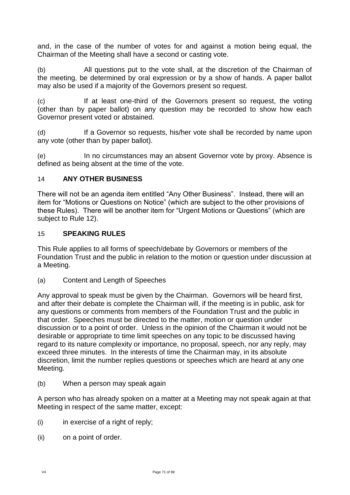and, in the case of the number of votes for and against a motion being equal, the Chairman of the Meeting shall have a second or casting vote.

(b) All questions put to the vote shall, at the discretion of the Chairman of the meeting, be determined by oral expression or by a show of hands. A paper ballot may also be used if a majority of the Governors present so request.

(c) If at least one-third of the Governors present so request, the voting (other than by paper ballot) on any question may be recorded to show how each Governor present voted or abstained.

(d) If a Governor so requests, his/her vote shall be recorded by name upon any vote (other than by paper ballot).

(e) In no circumstances may an absent Governor vote by proxy. Absence is defined as being absent at the time of the vote.

# 14 **ANY OTHER BUSINESS**

There will not be an agenda item entitled "Any Other Business". Instead, there will an item for "Motions or Questions on Notice" (which are subject to the other provisions of these Rules). There will be another item for "Urgent Motions or Questions" (which are subject to Rule 12).

# 15 **SPEAKING RULES**

This Rule applies to all forms of speech/debate by Governors or members of the Foundation Trust and the public in relation to the motion or question under discussion at a Meeting.

(a) Content and Length of Speeches

Any approval to speak must be given by the Chairman. Governors will be heard first, and after their debate is complete the Chairman will, if the meeting is in public, ask for any questions or comments from members of the Foundation Trust and the public in that order. Speeches must be directed to the matter, motion or question under discussion or to a point of order. Unless in the opinion of the Chairman it would not be desirable or appropriate to time limit speeches on any topic to be discussed having regard to its nature complexity or importance, no proposal, speech, nor any reply, may exceed three minutes. In the interests of time the Chairman may, in its absolute discretion, limit the number replies questions or speeches which are heard at any one Meeting.

(b) When a person may speak again

A person who has already spoken on a matter at a Meeting may not speak again at that Meeting in respect of the same matter, except:

- $(i)$  in exercise of a right of reply;
- (ii) on a point of order.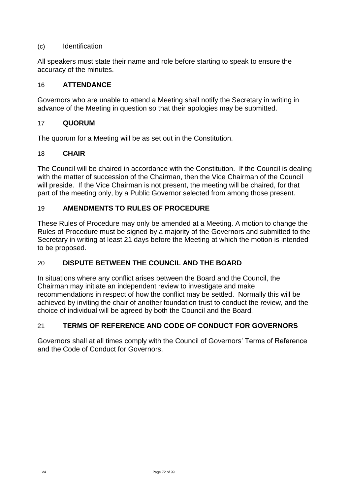# (c) Identification

All speakers must state their name and role before starting to speak to ensure the accuracy of the minutes.

## 16 **ATTENDANCE**

Governors who are unable to attend a Meeting shall notify the Secretary in writing in advance of the Meeting in question so that their apologies may be submitted.

## 17 **QUORUM**

The quorum for a Meeting will be as set out in the Constitution.

# 18 **CHAIR**

The Council will be chaired in accordance with the Constitution. If the Council is dealing with the matter of succession of the Chairman, then the Vice Chairman of the Council will preside. If the Vice Chairman is not present, the meeting will be chaired, for that part of the meeting only, by a Public Governor selected from among those present.

# 19 **AMENDMENTS TO RULES OF PROCEDURE**

These Rules of Procedure may only be amended at a Meeting. A motion to change the Rules of Procedure must be signed by a majority of the Governors and submitted to the Secretary in writing at least 21 days before the Meeting at which the motion is intended to be proposed.

# 20 **DISPUTE BETWEEN THE COUNCIL AND THE BOARD**

In situations where any conflict arises between the Board and the Council, the Chairman may initiate an independent review to investigate and make recommendations in respect of how the conflict may be settled. Normally this will be achieved by inviting the chair of another foundation trust to conduct the review, and the choice of individual will be agreed by both the Council and the Board.

# 21 **TERMS OF REFERENCE AND CODE OF CONDUCT FOR GOVERNORS**

Governors shall at all times comply with the Council of Governors' Terms of Reference and the Code of Conduct for Governors.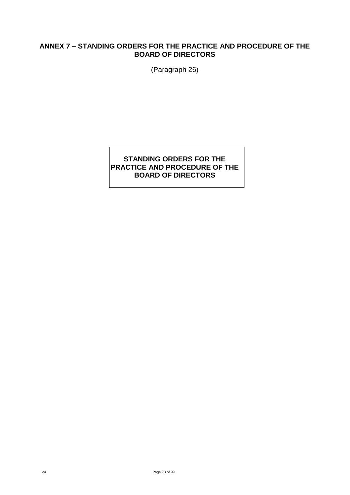## **ANNEX 7 – STANDING ORDERS FOR THE PRACTICE AND PROCEDURE OF THE BOARD OF DIRECTORS**

(Paragraph 26)

## **STANDING ORDERS FOR THE PRACTICE AND PROCEDURE OF THE BOARD OF DIRECTORS**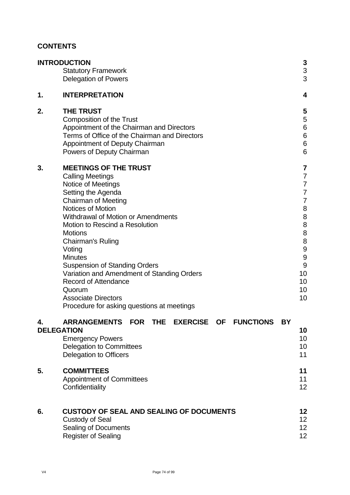## **CONTENTS**

|    | <b>INTRODUCTION</b><br><b>Statutory Framework</b><br><b>Delegation of Powers</b>                                                                                                                                                                                                                                                                                                                                                                                                                                    | 3<br>3<br>3                                                                                                               |
|----|---------------------------------------------------------------------------------------------------------------------------------------------------------------------------------------------------------------------------------------------------------------------------------------------------------------------------------------------------------------------------------------------------------------------------------------------------------------------------------------------------------------------|---------------------------------------------------------------------------------------------------------------------------|
| 1. | <b>INTERPRETATION</b>                                                                                                                                                                                                                                                                                                                                                                                                                                                                                               | 4                                                                                                                         |
| 2. | <b>THE TRUST</b><br><b>Composition of the Trust</b><br>Appointment of the Chairman and Directors<br>Terms of Office of the Chairman and Directors<br>Appointment of Deputy Chairman<br>Powers of Deputy Chairman                                                                                                                                                                                                                                                                                                    | 5<br>5<br>$6\phantom{1}6$<br>6<br>$\overline{6}$<br>6                                                                     |
| 3. | <b>MEETINGS OF THE TRUST</b><br><b>Calling Meetings</b><br>Notice of Meetings<br>Setting the Agenda<br><b>Chairman of Meeting</b><br>Notices of Motion<br><b>Withdrawal of Motion or Amendments</b><br>Motion to Rescind a Resolution<br><b>Motions</b><br>Chairman's Ruling<br>Voting<br><b>Minutes</b><br><b>Suspension of Standing Orders</b><br>Variation and Amendment of Standing Orders<br><b>Record of Attendance</b><br>Quorum<br><b>Associate Directors</b><br>Procedure for asking questions at meetings | 7<br>$\overline{7}$<br>$\overline{7}$<br>$\overline{7}$<br>$\overline{7}$<br>8<br>88889<br>9<br>9<br>10<br>10<br>10<br>10 |
| 4. | <b>ARRANGEMENTS</b><br><b>FUNCTIONS</b><br><b>FOR</b><br><b>THE</b><br><b>EXERCISE</b><br><b>OF</b><br><b>BY</b><br><b>DELEGATION</b><br><b>Emergency Powers</b><br><b>Delegation to Committees</b><br><b>Delegation to Officers</b>                                                                                                                                                                                                                                                                                | 10<br>10<br>10<br>11                                                                                                      |
| 5. | <b>COMMITTEES</b><br><b>Appointment of Committees</b><br>Confidentiality                                                                                                                                                                                                                                                                                                                                                                                                                                            | 11<br>11<br>12                                                                                                            |
| 6. | <b>CUSTODY OF SEAL AND SEALING OF DOCUMENTS</b><br><b>Custody of Seal</b><br>Sealing of Documents<br><b>Register of Sealing</b>                                                                                                                                                                                                                                                                                                                                                                                     | 12<br>12<br>12<br>12                                                                                                      |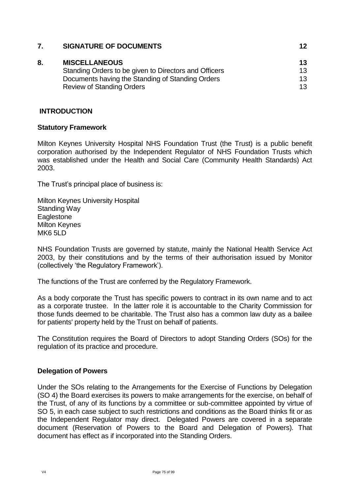| 7. | <b>SIGNATURE OF DOCUMENTS</b>                                                 | 12       |
|----|-------------------------------------------------------------------------------|----------|
| 8. | <b>MISCELLANEOUS</b><br>Standing Orders to be given to Directors and Officers | 13<br>13 |
|    | Documents having the Standing of Standing Orders                              | 13       |
|    | <b>Review of Standing Orders</b>                                              | 13       |
|    |                                                                               |          |

## **INTRODUCTION**

## **Statutory Framework**

Milton Keynes University Hospital NHS Foundation Trust (the Trust) is a public benefit corporation authorised by the Independent Regulator of NHS Foundation Trusts which was established under the Health and Social Care (Community Health Standards) Act 2003.

The Trust's principal place of business is:

Milton Keynes University Hospital Standing Way **Eaglestone** Milton Keynes MK6 5LD

NHS Foundation Trusts are governed by statute, mainly the National Health Service Act 2003, by their constitutions and by the terms of their authorisation issued by Monitor (collectively 'the Regulatory Framework').

The functions of the Trust are conferred by the Regulatory Framework.

As a body corporate the Trust has specific powers to contract in its own name and to act as a corporate trustee. In the latter role it is accountable to the Charity Commission for those funds deemed to be charitable. The Trust also has a common law duty as a bailee for patients' property held by the Trust on behalf of patients.

The Constitution requires the Board of Directors to adopt Standing Orders (SOs) for the regulation of its practice and procedure.

## **Delegation of Powers**

Under the SOs relating to the Arrangements for the Exercise of Functions by Delegation (SO 4) the Board exercises its powers to make arrangements for the exercise, on behalf of the Trust, of any of its functions by a committee or sub-committee appointed by virtue of SO 5, in each case subject to such restrictions and conditions as the Board thinks fit or as the Independent Regulator may direct. Delegated Powers are covered in a separate document (Reservation of Powers to the Board and Delegation of Powers). That document has effect as if incorporated into the Standing Orders.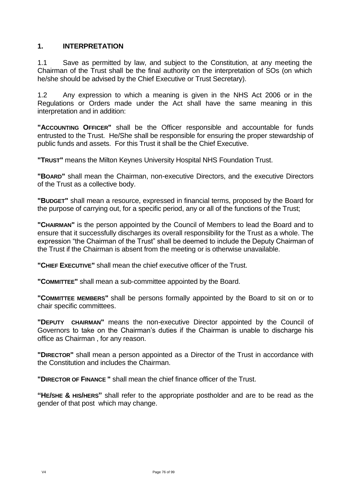## **1. INTERPRETATION**

1.1 Save as permitted by law, and subject to the Constitution, at any meeting the Chairman of the Trust shall be the final authority on the interpretation of SOs (on which he/she should be advised by the Chief Executive or Trust Secretary).

1.2 Any expression to which a meaning is given in the NHS Act 2006 or in the Regulations or Orders made under the Act shall have the same meaning in this interpretation and in addition:

**"ACCOUNTING OFFICER"** shall be the Officer responsible and accountable for funds entrusted to the Trust. He/She shall be responsible for ensuring the proper stewardship of public funds and assets. For this Trust it shall be the Chief Executive.

**"TRUST"** means the Milton Keynes University Hospital NHS Foundation Trust.

**"BOARD"** shall mean the Chairman, non-executive Directors, and the executive Directors of the Trust as a collective body.

**"BUDGET"** shall mean a resource, expressed in financial terms, proposed by the Board for the purpose of carrying out, for a specific period, any or all of the functions of the Trust;

**"CHAIRMAN"** is the person appointed by the Council of Members to lead the Board and to ensure that it successfully discharges its overall responsibility for the Trust as a whole. The expression "the Chairman of the Trust" shall be deemed to include the Deputy Chairman of the Trust if the Chairman is absent from the meeting or is otherwise unavailable.

**"CHIEF EXECUTIVE"** shall mean the chief executive officer of the Trust.

**"COMMITTEE"** shall mean a sub-committee appointed by the Board.

**"COMMITTEE MEMBERS"** shall be persons formally appointed by the Board to sit on or to chair specific committees.

**"DEPUTY CHAIRMAN"** means the non-executive Director appointed by the Council of Governors to take on the Chairman's duties if the Chairman is unable to discharge his office as Chairman , for any reason.

**"DIRECTOR"** shall mean a person appointed as a Director of the Trust in accordance with the Constitution and includes the Chairman.

**"DIRECTOR OF FINANCE "** shall mean the chief finance officer of the Trust.

**"HE/SHE & HIS/HERS"** shall refer to the appropriate postholder and are to be read as the gender of that post which may change.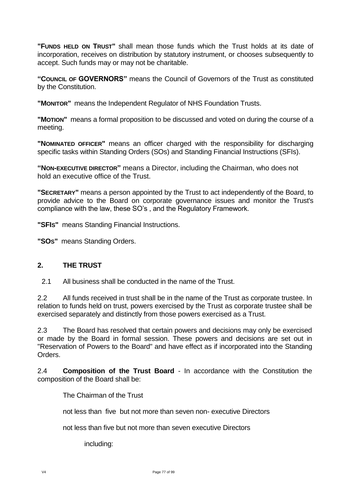**"FUNDS HELD ON TRUST"** shall mean those funds which the Trust holds at its date of incorporation, receives on distribution by statutory instrument, or chooses subsequently to accept. Such funds may or may not be charitable.

**"COUNCIL OF GOVERNORS"** means the Council of Governors of the Trust as constituted by the Constitution.

**"MONITOR"** means the Independent Regulator of NHS Foundation Trusts.

**"MOTION"** means a formal proposition to be discussed and voted on during the course of a meeting.

**"NOMINATED OFFICER"** means an officer charged with the responsibility for discharging specific tasks within Standing Orders (SOs) and Standing Financial Instructions (SFIs).

**"NON-EXECUTIVE DIRECTOR"** means a Director, including the Chairman, who does not hold an executive office of the Trust.

**"SECRETARY"** means a person appointed by the Trust to act independently of the Board, to provide advice to the Board on corporate governance issues and monitor the Trust's compliance with the law, these SO's , and the Regulatory Framework.

**"SFIS"** means Standing Financial Instructions.

**"SOS"** means Standing Orders.

## **2. THE TRUST**

2.1 All business shall be conducted in the name of the Trust.

2.2 All funds received in trust shall be in the name of the Trust as corporate trustee. In relation to funds held on trust, powers exercised by the Trust as corporate trustee shall be exercised separately and distinctly from those powers exercised as a Trust.

2.3 The Board has resolved that certain powers and decisions may only be exercised or made by the Board in formal session. These powers and decisions are set out in "Reservation of Powers to the Board" and have effect as if incorporated into the Standing Orders.

2.4 **Composition of the Trust Board** - In accordance with the Constitution the composition of the Board shall be:

The Chairman of the Trust

not less than five but not more than seven non- executive Directors

not less than five but not more than seven executive Directors

including: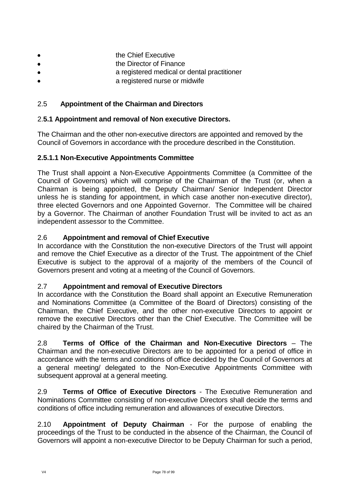- the Chief Executive
- the Director of Finance  $\bullet$ 
	- a registered medical or dental practitioner
- a registered nurse or midwife

# 2.5 **Appointment of the Chairman and Directors**

## 2.**5.1 Appointment and removal of Non executive Directors.**

The Chairman and the other non-executive directors are appointed and removed by the Council of Governors in accordance with the procedure described in the Constitution.

## **2.5.1.1 Non-Executive Appointments Committee**

The Trust shall appoint a Non-Executive Appointments Committee (a Committee of the Council of Governors) which will comprise of the Chairman of the Trust (or, when a Chairman is being appointed, the Deputy Chairman/ Senior Independent Director unless he is standing for appointment, in which case another non-executive director), three elected Governors and one Appointed Governor. The Committee will be chaired by a Governor. The Chairman of another Foundation Trust will be invited to act as an independent assessor to the Committee.

## 2.6 **Appointment and removal of Chief Executive**

In accordance with the Constitution the non-executive Directors of the Trust will appoint and remove the Chief Executive as a director of the Trust. The appointment of the Chief Executive is subject to the approval of a majority of the members of the Council of Governors present and voting at a meeting of the Council of Governors.

# 2.7 **Appointment and removal of Executive Directors**

In accordance with the Constitution the Board shall appoint an Executive Remuneration and Nominations Committee (a Committee of the Board of Directors) consisting of the Chairman, the Chief Executive, and the other non-executive Directors to appoint or remove the executive Directors other than the Chief Executive. The Committee will be chaired by the Chairman of the Trust.

2.8 **Terms of Office of the Chairman and Non-Executive Directors** – The Chairman and the non-executive Directors are to be appointed for a period of office in accordance with the terms and conditions of office decided by the Council of Governors at a general meeting/ delegated to the Non-Executive Appointments Committee with subsequent approval at a general meeting.

2.9 **Terms of Office of Executive Directors** - The Executive Remuneration and Nominations Committee consisting of non-executive Directors shall decide the terms and conditions of office including remuneration and allowances of executive Directors.

2.10 **Appointment of Deputy Chairman** - For the purpose of enabling the proceedings of the Trust to be conducted in the absence of the Chairman, the Council of Governors will appoint a non-executive Director to be Deputy Chairman for such a period,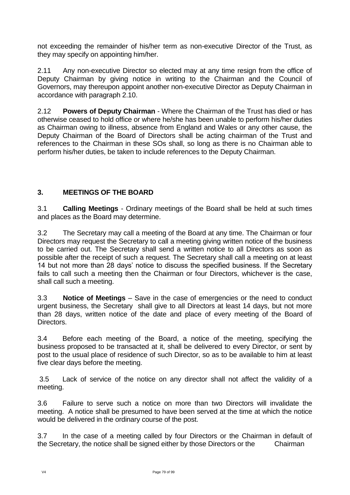not exceeding the remainder of his/her term as non-executive Director of the Trust, as they may specify on appointing him/her.

2.11 Any non-executive Director so elected may at any time resign from the office of Deputy Chairman by giving notice in writing to the Chairman and the Council of Governors, may thereupon appoint another non-executive Director as Deputy Chairman in accordance with paragraph 2.10.

2.12 **Powers of Deputy Chairman** - Where the Chairman of the Trust has died or has otherwise ceased to hold office or where he/she has been unable to perform his/her duties as Chairman owing to illness, absence from England and Wales or any other cause, the Deputy Chairman of the Board of Directors shall be acting chairman of the Trust and references to the Chairman in these SOs shall, so long as there is no Chairman able to perform his/her duties, be taken to include references to the Deputy Chairman.

# **3. MEETINGS OF THE BOARD**

3.1 **Calling Meetings** - Ordinary meetings of the Board shall be held at such times and places as the Board may determine.

3.2 The Secretary may call a meeting of the Board at any time. The Chairman or four Directors may request the Secretary to call a meeting giving written notice of the business to be carried out. The Secretary shall send a written notice to all Directors as soon as possible after the receipt of such a request. The Secretary shall call a meeting on at least 14 but not more than 28 days' notice to discuss the specified business. If the Secretary fails to call such a meeting then the Chairman or four Directors, whichever is the case, shall call such a meeting.

3.3 **Notice of Meetings** – Save in the case of emergencies or the need to conduct urgent business, the Secretary shall give to all Directors at least 14 days, but not more than 28 days, written notice of the date and place of every meeting of the Board of Directors.

3.4 Before each meeting of the Board, a notice of the meeting, specifying the business proposed to be transacted at it, shall be delivered to every Director, or sent by post to the usual place of residence of such Director, so as to be available to him at least five clear days before the meeting.

3.5 Lack of service of the notice on any director shall not affect the validity of a meeting.

3.6 Failure to serve such a notice on more than two Directors will invalidate the meeting. A notice shall be presumed to have been served at the time at which the notice would be delivered in the ordinary course of the post.

3.7 In the case of a meeting called by four Directors or the Chairman in default of the Secretary, the notice shall be signed either by those Directors or the Chairman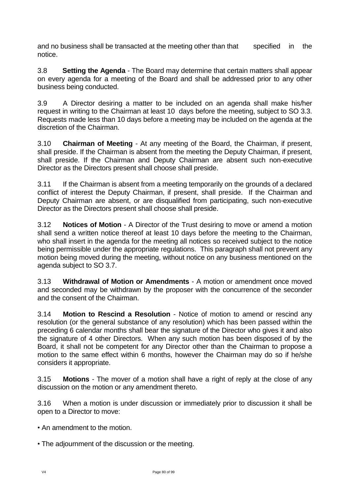and no business shall be transacted at the meeting other than that specified in the notice.

3.8 **Setting the Agenda** - The Board may determine that certain matters shall appear on every agenda for a meeting of the Board and shall be addressed prior to any other business being conducted.

3.9 A Director desiring a matter to be included on an agenda shall make his/her request in writing to the Chairman at least 10 days before the meeting, subject to SO 3.3. Requests made less than 10 days before a meeting may be included on the agenda at the discretion of the Chairman.

3.10 **Chairman of Meeting** - At any meeting of the Board, the Chairman, if present, shall preside. If the Chairman is absent from the meeting the Deputy Chairman, if present, shall preside. If the Chairman and Deputy Chairman are absent such non-executive Director as the Directors present shall choose shall preside.

3.11 If the Chairman is absent from a meeting temporarily on the grounds of a declared conflict of interest the Deputy Chairman, if present, shall preside. If the Chairman and Deputy Chairman are absent, or are disqualified from participating, such non-executive Director as the Directors present shall choose shall preside.

3.12 **Notices of Motion** - A Director of the Trust desiring to move or amend a motion shall send a written notice thereof at least 10 days before the meeting to the Chairman, who shall insert in the agenda for the meeting all notices so received subject to the notice being permissible under the appropriate regulations. This paragraph shall not prevent any motion being moved during the meeting, without notice on any business mentioned on the agenda subject to SO 3.7.

3.13 **Withdrawal of Motion or Amendments** - A motion or amendment once moved and seconded may be withdrawn by the proposer with the concurrence of the seconder and the consent of the Chairman.

3.14 **Motion to Rescind a Resolution** - Notice of motion to amend or rescind any resolution (or the general substance of any resolution) which has been passed within the preceding 6 calendar months shall bear the signature of the Director who gives it and also the signature of 4 other Directors. When any such motion has been disposed of by the Board, it shall not be competent for any Director other than the Chairman to propose a motion to the same effect within 6 months, however the Chairman may do so if he/she considers it appropriate.

3.15 **Motions** - The mover of a motion shall have a right of reply at the close of any discussion on the motion or any amendment thereto.

3.16 When a motion is under discussion or immediately prior to discussion it shall be open to a Director to move:

• An amendment to the motion.

• The adjournment of the discussion or the meeting.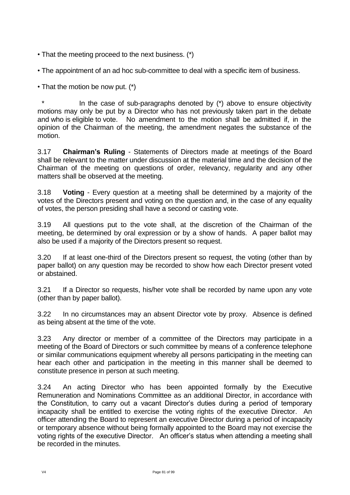- That the meeting proceed to the next business. (\*)
- The appointment of an ad hoc sub-committee to deal with a specific item of business.

• That the motion be now put. (\*)

In the case of sub-paragraphs denoted by  $(*)$  above to ensure objectivity motions may only be put by a Director who has not previously taken part in the debate and who is eligible to vote. No amendment to the motion shall be admitted if, in the opinion of the Chairman of the meeting, the amendment negates the substance of the motion.

3.17 **Chairman's Ruling** - Statements of Directors made at meetings of the Board shall be relevant to the matter under discussion at the material time and the decision of the Chairman of the meeting on questions of order, relevancy, regularity and any other matters shall be observed at the meeting.

3.18 **Voting** - Every question at a meeting shall be determined by a majority of the votes of the Directors present and voting on the question and, in the case of any equality of votes, the person presiding shall have a second or casting vote.

3.19 All questions put to the vote shall, at the discretion of the Chairman of the meeting, be determined by oral expression or by a show of hands. A paper ballot may also be used if a majority of the Directors present so request.

3.20 If at least one-third of the Directors present so request, the voting (other than by paper ballot) on any question may be recorded to show how each Director present voted or abstained.

3.21 If a Director so requests, his/her vote shall be recorded by name upon any vote (other than by paper ballot).

3.22 In no circumstances may an absent Director vote by proxy. Absence is defined as being absent at the time of the vote.

3.23 Any director or member of a committee of the Directors may participate in a meeting of the Board of Directors or such committee by means of a conference telephone or similar communications equipment whereby all persons participating in the meeting can hear each other and participation in the meeting in this manner shall be deemed to constitute presence in person at such meeting.

3.24 An acting Director who has been appointed formally by the Executive Remuneration and Nominations Committee as an additional Director, in accordance with the Constitution, to carry out a vacant Director's duties during a period of temporary incapacity shall be entitled to exercise the voting rights of the executive Director. An officer attending the Board to represent an executive Director during a period of incapacity or temporary absence without being formally appointed to the Board may not exercise the voting rights of the executive Director. An officer's status when attending a meeting shall be recorded in the minutes.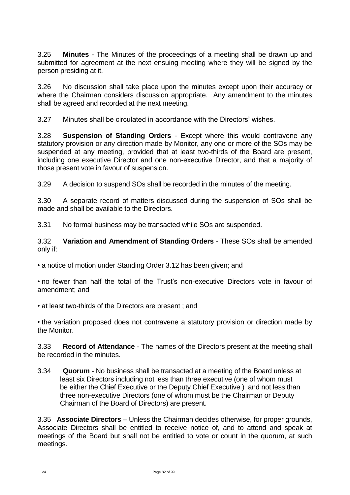3.25 **Minutes** - The Minutes of the proceedings of a meeting shall be drawn up and submitted for agreement at the next ensuing meeting where they will be signed by the person presiding at it.

3.26 No discussion shall take place upon the minutes except upon their accuracy or where the Chairman considers discussion appropriate. Any amendment to the minutes shall be agreed and recorded at the next meeting.

3.27 Minutes shall be circulated in accordance with the Directors' wishes.

3.28 **Suspension of Standing Orders** - Except where this would contravene any statutory provision or any direction made by Monitor, any one or more of the SOs may be suspended at any meeting, provided that at least two-thirds of the Board are present, including one executive Director and one non-executive Director, and that a majority of those present vote in favour of suspension.

3.29 A decision to suspend SOs shall be recorded in the minutes of the meeting.

3.30 A separate record of matters discussed during the suspension of SOs shall be made and shall be available to the Directors.

3.31 No formal business may be transacted while SOs are suspended.

3.32 **Variation and Amendment of Standing Orders** - These SOs shall be amended only if:

• a notice of motion under Standing Order 3.12 has been given; and

• no fewer than half the total of the Trust's non-executive Directors vote in favour of amendment; and

• at least two-thirds of the Directors are present ; and

• the variation proposed does not contravene a statutory provision or direction made by the Monitor.

3.33 **Record of Attendance** - The names of the Directors present at the meeting shall be recorded in the minutes.

3.34 **Quorum** - No business shall be transacted at a meeting of the Board unless at least six Directors including not less than three executive (one of whom must be either the Chief Executive or the Deputy Chief Executive ) and not less than three non-executive Directors (one of whom must be the Chairman or Deputy Chairman of the Board of Directors) are present.

3.35 **Associate Directors** – Unless the Chairman decides otherwise, for proper grounds, Associate Directors shall be entitled to receive notice of, and to attend and speak at meetings of the Board but shall not be entitled to vote or count in the quorum, at such meetings.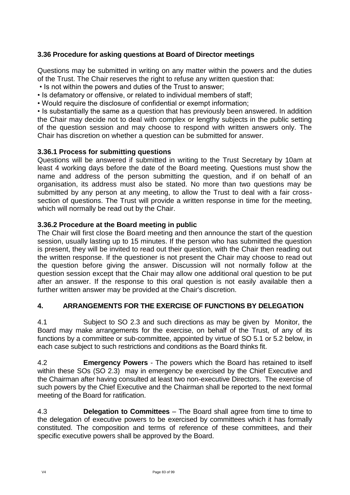## **3.36 Procedure for asking questions at Board of Director meetings**

Questions may be submitted in writing on any matter within the powers and the duties of the Trust. The Chair reserves the right to refuse any written question that:

• Is not within the powers and duties of the Trust to answer;

• Is defamatory or offensive, or related to individual members of staff;

• Would require the disclosure of confidential or exempt information;

• Is substantially the same as a question that has previously been answered. In addition the Chair may decide not to deal with complex or lengthy subjects in the public setting of the question session and may choose to respond with written answers only. The Chair has discretion on whether a question can be submitted for answer.

## **3.36.1 Process for submitting questions**

Questions will be answered if submitted in writing to the Trust Secretary by 10am at least 4 working days before the date of the Board meeting. Questions must show the name and address of the person submitting the question, and if on behalf of an organisation, its address must also be stated. No more than two questions may be submitted by any person at any meeting, to allow the Trust to deal with a fair crosssection of questions. The Trust will provide a written response in time for the meeting, which will normally be read out by the Chair.

## **3.36.2 Procedure at the Board meeting in public**

The Chair will first close the Board meeting and then announce the start of the question session, usually lasting up to 15 minutes. If the person who has submitted the question is present, they will be invited to read out their question, with the Chair then reading out the written response. If the questioner is not present the Chair may choose to read out the question before giving the answer. Discussion will not normally follow at the question session except that the Chair may allow one additional oral question to be put after an answer. If the response to this oral question is not easily available then a further written answer may be provided at the Chair's discretion.

## **4. ARRANGEMENTS FOR THE EXERCISE OF FUNCTIONS BY DELEGATION**

4.1 Subject to SO 2.3 and such directions as may be given by Monitor, the Board may make arrangements for the exercise, on behalf of the Trust, of any of its functions by a committee or sub-committee, appointed by virtue of SO 5.1 or 5.2 below, in each case subject to such restrictions and conditions as the Board thinks fit.

4.2 **Emergency Powers** - The powers which the Board has retained to itself within these SOs (SO 2.3) may in emergency be exercised by the Chief Executive and the Chairman after having consulted at least two non-executive Directors. The exercise of such powers by the Chief Executive and the Chairman shall be reported to the next formal meeting of the Board for ratification.

4.3 **Delegation to Committees** – The Board shall agree from time to time to the delegation of executive powers to be exercised by committees which it has formally constituted. The composition and terms of reference of these committees, and their specific executive powers shall be approved by the Board.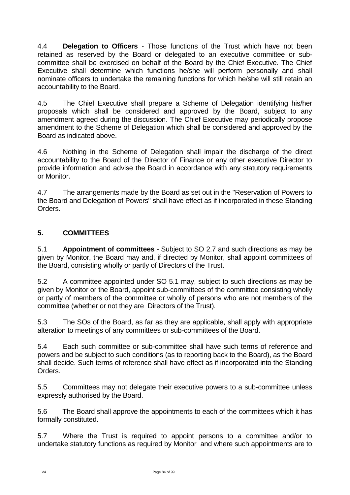4.4 **Delegation to Officers** - Those functions of the Trust which have not been retained as reserved by the Board or delegated to an executive committee or subcommittee shall be exercised on behalf of the Board by the Chief Executive. The Chief Executive shall determine which functions he/she will perform personally and shall nominate officers to undertake the remaining functions for which he/she will still retain an accountability to the Board.

4.5 The Chief Executive shall prepare a Scheme of Delegation identifying his/her proposals which shall be considered and approved by the Board, subject to any amendment agreed during the discussion. The Chief Executive may periodically propose amendment to the Scheme of Delegation which shall be considered and approved by the Board as indicated above.

4.6 Nothing in the Scheme of Delegation shall impair the discharge of the direct accountability to the Board of the Director of Finance or any other executive Director to provide information and advise the Board in accordance with any statutory requirements or Monitor.

4.7 The arrangements made by the Board as set out in the "Reservation of Powers to the Board and Delegation of Powers" shall have effect as if incorporated in these Standing Orders.

# **5. COMMITTEES**

5.1 **Appointment of committees** - Subject to SO 2.7 and such directions as may be given by Monitor, the Board may and, if directed by Monitor, shall appoint committees of the Board, consisting wholly or partly of Directors of the Trust.

5.2 A committee appointed under SO 5.1 may, subject to such directions as may be given by Monitor or the Board, appoint sub-committees of the committee consisting wholly or partly of members of the committee or wholly of persons who are not members of the committee (whether or not they are Directors of the Trust).

5.3 The SOs of the Board, as far as they are applicable, shall apply with appropriate alteration to meetings of any committees or sub-committees of the Board.

5.4 Each such committee or sub-committee shall have such terms of reference and powers and be subject to such conditions (as to reporting back to the Board), as the Board shall decide. Such terms of reference shall have effect as if incorporated into the Standing Orders.

5.5 Committees may not delegate their executive powers to a sub-committee unless expressly authorised by the Board.

5.6 The Board shall approve the appointments to each of the committees which it has formally constituted.

5.7 Where the Trust is required to appoint persons to a committee and/or to undertake statutory functions as required by Monitor and where such appointments are to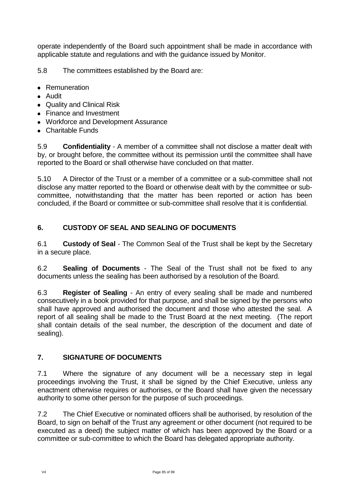operate independently of the Board such appointment shall be made in accordance with applicable statute and regulations and with the guidance issued by Monitor.

5.8 The committees established by the Board are:

- Remuneration
- Audit
- Quality and Clinical Risk
- Finance and Investment
- Workforce and Development Assurance
- Charitable Funds

5.9 **Confidentiality** - A member of a committee shall not disclose a matter dealt with by, or brought before, the committee without its permission until the committee shall have reported to the Board or shall otherwise have concluded on that matter.

5.10 A Director of the Trust or a member of a committee or a sub-committee shall not disclose any matter reported to the Board or otherwise dealt with by the committee or subcommittee, notwithstanding that the matter has been reported or action has been concluded, if the Board or committee or sub-committee shall resolve that it is confidential.

# **6. CUSTODY OF SEAL AND SEALING OF DOCUMENTS**

6.1 **Custody of Seal** - The Common Seal of the Trust shall be kept by the Secretary in a secure place.

6.2 **Sealing of Documents** - The Seal of the Trust shall not be fixed to any documents unless the sealing has been authorised by a resolution of the Board.

6.3 **Register of Sealing** - An entry of every sealing shall be made and numbered consecutively in a book provided for that purpose, and shall be signed by the persons who shall have approved and authorised the document and those who attested the seal. A report of all sealing shall be made to the Trust Board at the next meeting. (The report shall contain details of the seal number, the description of the document and date of sealing).

## **7. SIGNATURE OF DOCUMENTS**

7.1 Where the signature of any document will be a necessary step in legal proceedings involving the Trust, it shall be signed by the Chief Executive, unless any enactment otherwise requires or authorises, or the Board shall have given the necessary authority to some other person for the purpose of such proceedings.

7.2 The Chief Executive or nominated officers shall be authorised, by resolution of the Board, to sign on behalf of the Trust any agreement or other document (not required to be executed as a deed) the subject matter of which has been approved by the Board or a committee or sub-committee to which the Board has delegated appropriate authority.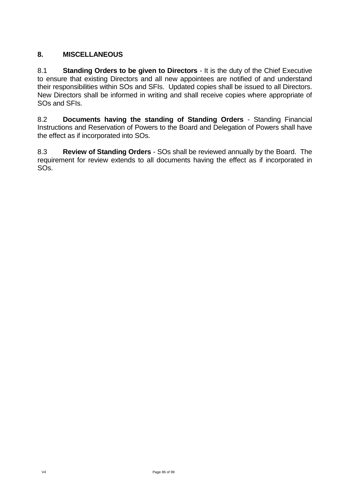# **8. MISCELLANEOUS**

8.1 **Standing Orders to be given to Directors** - It is the duty of the Chief Executive to ensure that existing Directors and all new appointees are notified of and understand their responsibilities within SOs and SFIs. Updated copies shall be issued to all Directors. New Directors shall be informed in writing and shall receive copies where appropriate of SOs and SFIs.

8.2 **Documents having the standing of Standing Orders** - Standing Financial Instructions and Reservation of Powers to the Board and Delegation of Powers shall have the effect as if incorporated into SOs.

8.3 **Review of Standing Orders** - SOs shall be reviewed annually by the Board. The requirement for review extends to all documents having the effect as if incorporated in SOs.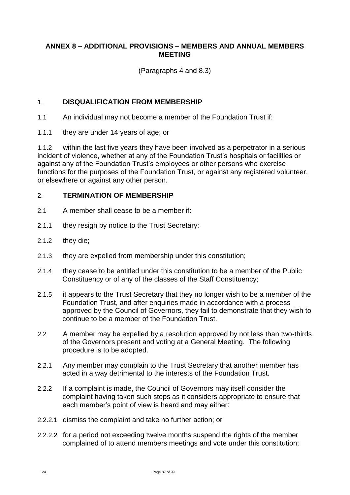## **ANNEX 8 – ADDITIONAL PROVISIONS – MEMBERS AND ANNUAL MEMBERS MEETING**

(Paragraphs 4 and 8.3)

#### 1. **DISQUALIFICATION FROM MEMBERSHIP**

- 1.1 An individual may not become a member of the Foundation Trust if:
- 1.1.1 they are under 14 years of age; or

1.1.2 within the last five years they have been involved as a perpetrator in a serious incident of violence, whether at any of the Foundation Trust's hospitals or facilities or against any of the Foundation Trust's employees or other persons who exercise functions for the purposes of the Foundation Trust, or against any registered volunteer, or elsewhere or against any other person.

#### 2. **TERMINATION OF MEMBERSHIP**

- 2.1 A member shall cease to be a member if:
- 2.1.1 they resign by notice to the Trust Secretary;
- 2.1.2 they die;
- 2.1.3 they are expelled from membership under this constitution;
- 2.1.4 they cease to be entitled under this constitution to be a member of the Public Constituency or of any of the classes of the Staff Constituency;
- 2.1.5 it appears to the Trust Secretary that they no longer wish to be a member of the Foundation Trust, and after enquiries made in accordance with a process approved by the Council of Governors, they fail to demonstrate that they wish to continue to be a member of the Foundation Trust.
- 2.2 A member may be expelled by a resolution approved by not less than two-thirds of the Governors present and voting at a General Meeting. The following procedure is to be adopted.
- 2.2.1 Any member may complain to the Trust Secretary that another member has acted in a way detrimental to the interests of the Foundation Trust.
- 2.2.2 If a complaint is made, the Council of Governors may itself consider the complaint having taken such steps as it considers appropriate to ensure that each member's point of view is heard and may either:
- 2.2.2.1 dismiss the complaint and take no further action; or
- 2.2.2.2 for a period not exceeding twelve months suspend the rights of the member complained of to attend members meetings and vote under this constitution;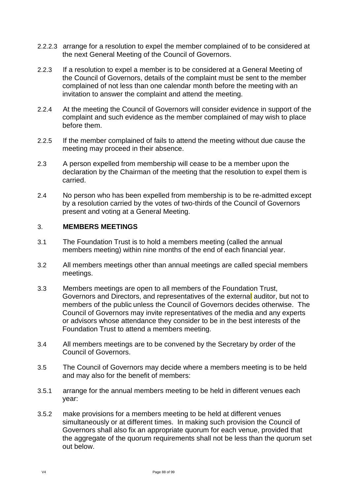- 2.2.2.3 arrange for a resolution to expel the member complained of to be considered at the next General Meeting of the Council of Governors.
- 2.2.3 If a resolution to expel a member is to be considered at a General Meeting of the Council of Governors, details of the complaint must be sent to the member complained of not less than one calendar month before the meeting with an invitation to answer the complaint and attend the meeting.
- 2.2.4 At the meeting the Council of Governors will consider evidence in support of the complaint and such evidence as the member complained of may wish to place before them.
- 2.2.5 If the member complained of fails to attend the meeting without due cause the meeting may proceed in their absence.
- 2.3 A person expelled from membership will cease to be a member upon the declaration by the Chairman of the meeting that the resolution to expel them is carried.
- 2.4 No person who has been expelled from membership is to be re-admitted except by a resolution carried by the votes of two-thirds of the Council of Governors present and voting at a General Meeting.

#### 3. **MEMBERS MEETINGS**

- 3.1 The Foundation Trust is to hold a members meeting (called the annual members meeting) within nine months of the end of each financial year.
- 3.2 All members meetings other than annual meetings are called special members meetings.
- 3.3 Members meetings are open to all members of the Foundation Trust, Governors and Directors, and representatives of the external auditor, but not to members of the public unless the Council of Governors decides otherwise. The Council of Governors may invite representatives of the media and any experts or advisors whose attendance they consider to be in the best interests of the Foundation Trust to attend a members meeting.
- 3.4 All members meetings are to be convened by the Secretary by order of the Council of Governors.
- 3.5 The Council of Governors may decide where a members meeting is to be held and may also for the benefit of members:
- 3.5.1 arrange for the annual members meeting to be held in different venues each year:
- 3.5.2 make provisions for a members meeting to be held at different venues simultaneously or at different times. In making such provision the Council of Governors shall also fix an appropriate quorum for each venue, provided that the aggregate of the quorum requirements shall not be less than the quorum set out below.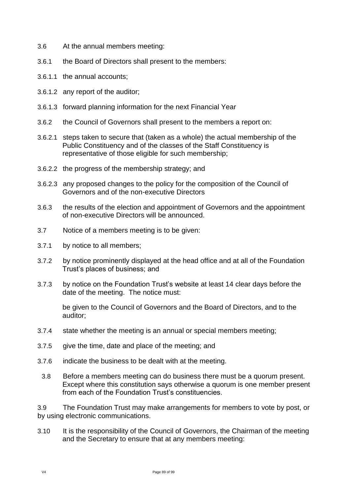- 3.6 At the annual members meeting:
- 3.6.1 the Board of Directors shall present to the members:
- 3.6.1.1 the annual accounts;
- 3.6.1.2 any report of the auditor;
- 3.6.1.3 forward planning information for the next Financial Year
- 3.6.2 the Council of Governors shall present to the members a report on:
- 3.6.2.1 steps taken to secure that (taken as a whole) the actual membership of the Public Constituency and of the classes of the Staff Constituency is representative of those eligible for such membership;
- 3.6.2.2 the progress of the membership strategy; and
- 3.6.2.3 any proposed changes to the policy for the composition of the Council of Governors and of the non-executive Directors
- 3.6.3 the results of the election and appointment of Governors and the appointment of non-executive Directors will be announced.
- 3.7 Notice of a members meeting is to be given:
- 3.7.1 by notice to all members;
- 3.7.2 by notice prominently displayed at the head office and at all of the Foundation Trust's places of business; and
- 3.7.3 by notice on the Foundation Trust's website at least 14 clear days before the date of the meeting. The notice must:

be given to the Council of Governors and the Board of Directors, and to the auditor;

- 3.7.4 state whether the meeting is an annual or special members meeting;
- 3.7.5 give the time, date and place of the meeting; and
- 3.7.6 indicate the business to be dealt with at the meeting.
- 3.8 Before a members meeting can do business there must be a quorum present. Except where this constitution says otherwise a quorum is one member present from each of the Foundation Trust's constituencies.

3.9 The Foundation Trust may make arrangements for members to vote by post, or by using electronic communications.

3.10 It is the responsibility of the Council of Governors, the Chairman of the meeting and the Secretary to ensure that at any members meeting: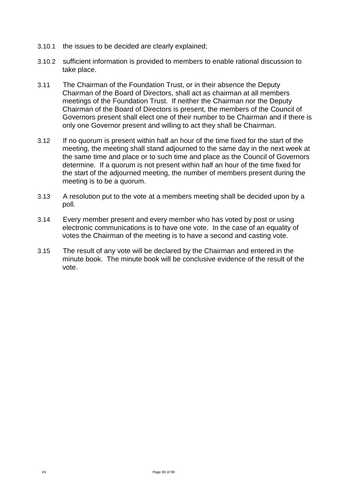- 3.10.1 the issues to be decided are clearly explained;
- 3.10.2 sufficient information is provided to members to enable rational discussion to take place.
- 3.11 The Chairman of the Foundation Trust, or in their absence the Deputy Chairman of the Board of Directors, shall act as chairman at all members meetings of the Foundation Trust. If neither the Chairman nor the Deputy Chairman of the Board of Directors is present, the members of the Council of Governors present shall elect one of their number to be Chairman and if there is only one Governor present and willing to act they shall be Chairman.
- 3.12 If no quorum is present within half an hour of the time fixed for the start of the meeting, the meeting shall stand adjourned to the same day in the next week at the same time and place or to such time and place as the Council of Governors determine. If a quorum is not present within half an hour of the time fixed for the start of the adjourned meeting, the number of members present during the meeting is to be a quorum.
- 3.13 A resolution put to the vote at a members meeting shall be decided upon by a poll.
- 3.14 Every member present and every member who has voted by post or using electronic communications is to have one vote. In the case of an equality of votes the Chairman of the meeting is to have a second and casting vote.
- 3.15 The result of any vote will be declared by the Chairman and entered in the minute book. The minute book will be conclusive evidence of the result of the vote.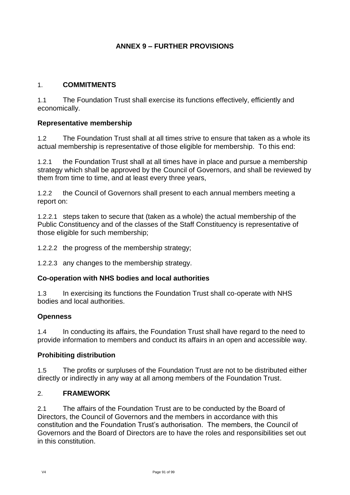## **ANNEX 9 – FURTHER PROVISIONS**

#### 1. **COMMITMENTS**

1.1 The Foundation Trust shall exercise its functions effectively, efficiently and economically.

#### **Representative membership**

1.2 The Foundation Trust shall at all times strive to ensure that taken as a whole its actual membership is representative of those eligible for membership. To this end:

1.2.1 the Foundation Trust shall at all times have in place and pursue a membership strategy which shall be approved by the Council of Governors, and shall be reviewed by them from time to time, and at least every three years,

1.2.2 the Council of Governors shall present to each annual members meeting a report on:

1.2.2.1 steps taken to secure that (taken as a whole) the actual membership of the Public Constituency and of the classes of the Staff Constituency is representative of those eligible for such membership;

1.2.2.2 the progress of the membership strategy;

1.2.2.3 any changes to the membership strategy.

## **Co-operation with NHS bodies and local authorities**

1.3 In exercising its functions the Foundation Trust shall co-operate with NHS bodies and local authorities.

## **Openness**

1.4 In conducting its affairs, the Foundation Trust shall have regard to the need to provide information to members and conduct its affairs in an open and accessible way.

#### **Prohibiting distribution**

1.5 The profits or surpluses of the Foundation Trust are not to be distributed either directly or indirectly in any way at all among members of the Foundation Trust.

#### 2. **FRAMEWORK**

2.1 The affairs of the Foundation Trust are to be conducted by the Board of Directors, the Council of Governors and the members in accordance with this constitution and the Foundation Trust's authorisation. The members, the Council of Governors and the Board of Directors are to have the roles and responsibilities set out in this constitution.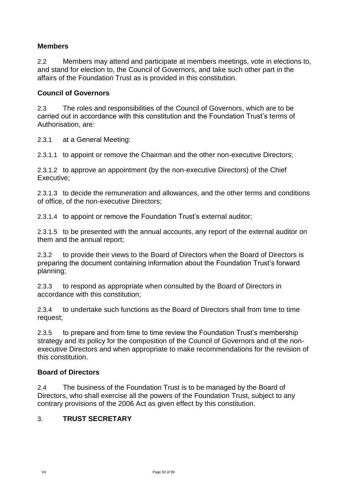## **Members**

2.2 Members may attend and participate at members meetings, vote in elections to, and stand for election to, the Council of Governors, and take such other part in the affairs of the Foundation Trust as is provided in this constitution.

#### **Council of Governors**

2.3 The roles and responsibilities of the Council of Governors, which are to be carried out in accordance with this constitution and the Foundation Trust's terms of Authorisation, are:

2.3.1 at a General Meeting:

2.3.1.1 to appoint or remove the Chairman and the other non-executive Directors;

2.3.1.2 to approve an appointment (by the non-executive Directors) of the Chief Executive;

2.3.1.3 to decide the remuneration and allowances, and the other terms and conditions of office, of the non-executive Directors;

2.3.1.4 to appoint or remove the Foundation Trust's external auditor;

2.3.1.5 to be presented with the annual accounts, any report of the external auditor on them and the annual report;

2.3.2 to provide their views to the Board of Directors when the Board of Directors is preparing the document containing information about the Foundation Trust's forward planning;

2.3.3 to respond as appropriate when consulted by the Board of Directors in accordance with this constitution;

2.3.4 to undertake such functions as the Board of Directors shall from time to time request;

2.3.5 to prepare and from time to time review the Foundation Trust's membership strategy and its policy for the composition of the Council of Governors and of the nonexecutive Directors and when appropriate to make recommendations for the revision of this constitution.

#### **Board of Directors**

2.4 The business of the Foundation Trust is to be managed by the Board of Directors, who shall exercise all the powers of the Foundation Trust, subject to any contrary provisions of the 2006 Act as given effect by this constitution.

## 3. **TRUST SECRETARY**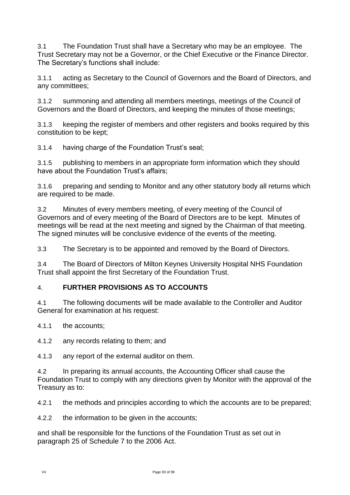3.1 The Foundation Trust shall have a Secretary who may be an employee. The Trust Secretary may not be a Governor, or the Chief Executive or the Finance Director. The Secretary's functions shall include:

3.1.1 acting as Secretary to the Council of Governors and the Board of Directors, and any committees;

3.1.2 summoning and attending all members meetings, meetings of the Council of Governors and the Board of Directors, and keeping the minutes of those meetings;

3.1.3 keeping the register of members and other registers and books required by this constitution to be kept;

3.1.4 having charge of the Foundation Trust's seal;

3.1.5 publishing to members in an appropriate form information which they should have about the Foundation Trust's affairs;

3.1.6 preparing and sending to Monitor and any other statutory body all returns which are required to be made.

3.2 Minutes of every members meeting, of every meeting of the Council of Governors and of every meeting of the Board of Directors are to be kept. Minutes of meetings will be read at the next meeting and signed by the Chairman of that meeting. The signed minutes will be conclusive evidence of the events of the meeting.

3.3 The Secretary is to be appointed and removed by the Board of Directors.

3.4 The Board of Directors of Milton Keynes University Hospital NHS Foundation Trust shall appoint the first Secretary of the Foundation Trust.

## 4. **FURTHER PROVISIONS AS TO ACCOUNTS**

4.1 The following documents will be made available to the Controller and Auditor General for examination at his request:

4.1.1 the accounts;

4.1.2 any records relating to them; and

4.1.3 any report of the external auditor on them.

4.2 In preparing its annual accounts, the Accounting Officer shall cause the Foundation Trust to comply with any directions given by Monitor with the approval of the Treasury as to:

4.2.1 the methods and principles according to which the accounts are to be prepared;

4.2.2 the information to be given in the accounts;

and shall be responsible for the functions of the Foundation Trust as set out in paragraph 25 of Schedule 7 to the 2006 Act.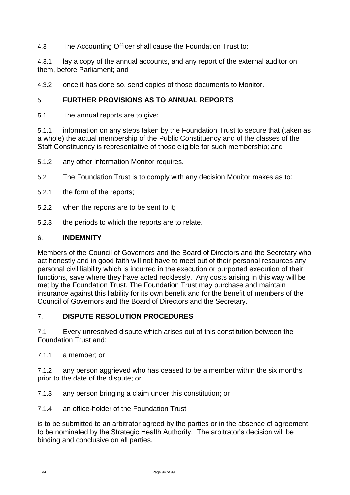## 4.3 The Accounting Officer shall cause the Foundation Trust to:

4.3.1 lay a copy of the annual accounts, and any report of the external auditor on them, before Parliament; and

4.3.2 once it has done so, send copies of those documents to Monitor.

## 5. **FURTHER PROVISIONS AS TO ANNUAL REPORTS**

5.1 The annual reports are to give:

5.1.1 information on any steps taken by the Foundation Trust to secure that (taken as a whole) the actual membership of the Public Constituency and of the classes of the Staff Constituency is representative of those eligible for such membership; and

5.1.2 any other information Monitor requires.

- 5.2 The Foundation Trust is to comply with any decision Monitor makes as to:
- 5.2.1 the form of the reports;
- 5.2.2 when the reports are to be sent to it;
- 5.2.3 the periods to which the reports are to relate.

#### 6. **INDEMNITY**

Members of the Council of Governors and the Board of Directors and the Secretary who act honestly and in good faith will not have to meet out of their personal resources any personal civil liability which is incurred in the execution or purported execution of their functions, save where they have acted recklessly. Any costs arising in this way will be met by the Foundation Trust. The Foundation Trust may purchase and maintain insurance against this liability for its own benefit and for the benefit of members of the Council of Governors and the Board of Directors and the Secretary.

## 7. **DISPUTE RESOLUTION PROCEDURES**

7.1 Every unresolved dispute which arises out of this constitution between the Foundation Trust and:

7.1.1 a member; or

7.1.2 any person aggrieved who has ceased to be a member within the six months prior to the date of the dispute; or

- 7.1.3 any person bringing a claim under this constitution; or
- 7.1.4 an office-holder of the Foundation Trust

is to be submitted to an arbitrator agreed by the parties or in the absence of agreement to be nominated by the Strategic Health Authority. The arbitrator's decision will be binding and conclusive on all parties.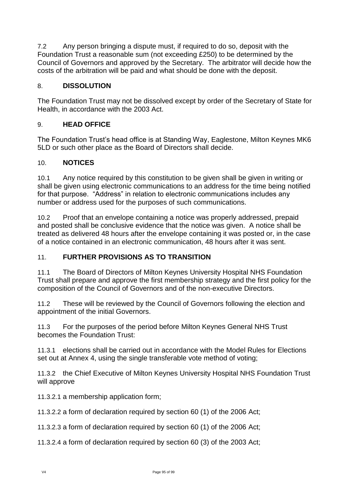7.2 Any person bringing a dispute must, if required to do so, deposit with the Foundation Trust a reasonable sum (not exceeding £250) to be determined by the Council of Governors and approved by the Secretary. The arbitrator will decide how the costs of the arbitration will be paid and what should be done with the deposit.

# 8. **DISSOLUTION**

The Foundation Trust may not be dissolved except by order of the Secretary of State for Health, in accordance with the 2003 Act.

## 9. **HEAD OFFICE**

The Foundation Trust's head office is at Standing Way, Eaglestone, Milton Keynes MK6 5LD or such other place as the Board of Directors shall decide.

## 10. **NOTICES**

10.1 Any notice required by this constitution to be given shall be given in writing or shall be given using electronic communications to an address for the time being notified for that purpose. "Address" in relation to electronic communications includes any number or address used for the purposes of such communications.

10.2 Proof that an envelope containing a notice was properly addressed, prepaid and posted shall be conclusive evidence that the notice was given. A notice shall be treated as delivered 48 hours after the envelope containing it was posted or, in the case of a notice contained in an electronic communication, 48 hours after it was sent.

## 11. **FURTHER PROVISIONS AS TO TRANSITION**

11.1 The Board of Directors of Milton Keynes University Hospital NHS Foundation Trust shall prepare and approve the first membership strategy and the first policy for the composition of the Council of Governors and of the non-executive Directors.

11.2 These will be reviewed by the Council of Governors following the election and appointment of the initial Governors.

11.3 For the purposes of the period before Milton Keynes General NHS Trust becomes the Foundation Trust:

11.3.1 elections shall be carried out in accordance with the Model Rules for Elections set out at Annex 4, using the single transferable vote method of voting;

11.3.2 the Chief Executive of Milton Keynes University Hospital NHS Foundation Trust will approve

11.3.2.1 a membership application form;

11.3.2.2 a form of declaration required by section 60 (1) of the 2006 Act;

11.3.2.3 a form of declaration required by section 60 (1) of the 2006 Act;

11.3.2.4 a form of declaration required by section 60 (3) of the 2003 Act;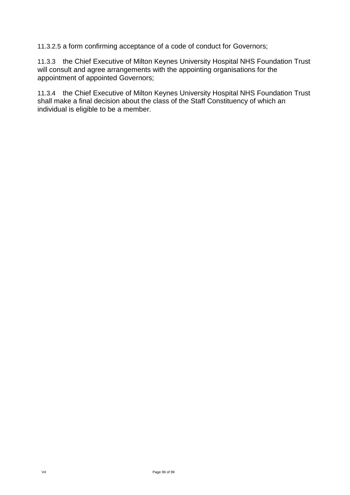11.3.2.5 a form confirming acceptance of a code of conduct for Governors;

11.3.3 the Chief Executive of Milton Keynes University Hospital NHS Foundation Trust will consult and agree arrangements with the appointing organisations for the appointment of appointed Governors;

11.3.4 the Chief Executive of Milton Keynes University Hospital NHS Foundation Trust shall make a final decision about the class of the Staff Constituency of which an individual is eligible to be a member.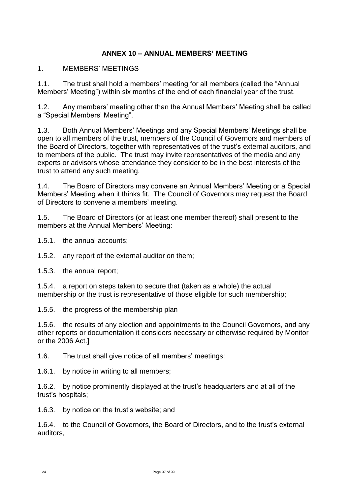## **ANNEX 10 – ANNUAL MEMBERS' MEETING**

## 1. MEMBERS' MEETINGS

1.1. The trust shall hold a members' meeting for all members (called the "Annual Members' Meeting") within six months of the end of each financial year of the trust.

1.2. Any members' meeting other than the Annual Members' Meeting shall be called a "Special Members' Meeting".

1.3. Both Annual Members' Meetings and any Special Members' Meetings shall be open to all members of the trust, members of the Council of Governors and members of the Board of Directors, together with representatives of the trust's external auditors, and to members of the public. The trust may invite representatives of the media and any experts or advisors whose attendance they consider to be in the best interests of the trust to attend any such meeting.

1.4. The Board of Directors may convene an Annual Members' Meeting or a Special Members' Meeting when it thinks fit. The Council of Governors may request the Board of Directors to convene a members' meeting.

1.5. The Board of Directors (or at least one member thereof) shall present to the members at the Annual Members' Meeting:

1.5.1. the annual accounts;

1.5.2. any report of the external auditor on them;

1.5.3. the annual report;

1.5.4. a report on steps taken to secure that (taken as a whole) the actual membership or the trust is representative of those eligible for such membership;

1.5.5. the progress of the membership plan

1.5.6. the results of any election and appointments to the Council Governors, and any other reports or documentation it considers necessary or otherwise required by Monitor or the 2006 Act.]

1.6. The trust shall give notice of all members' meetings:

1.6.1. by notice in writing to all members;

1.6.2. by notice prominently displayed at the trust's headquarters and at all of the trust's hospitals;

1.6.3. by notice on the trust's website; and

1.6.4. to the Council of Governors, the Board of Directors, and to the trust's external auditors,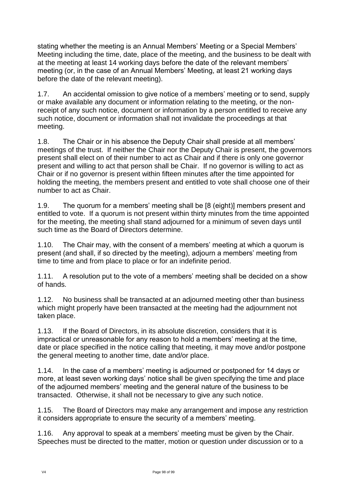stating whether the meeting is an Annual Members' Meeting or a Special Members' Meeting including the time, date, place of the meeting, and the business to be dealt with at the meeting at least 14 working days before the date of the relevant members' meeting (or, in the case of an Annual Members' Meeting, at least 21 working days before the date of the relevant meeting).

1.7. An accidental omission to give notice of a members' meeting or to send, supply or make available any document or information relating to the meeting, or the nonreceipt of any such notice, document or information by a person entitled to receive any such notice, document or information shall not invalidate the proceedings at that meeting.

1.8. The Chair or in his absence the Deputy Chair shall preside at all members' meetings of the trust. If neither the Chair nor the Deputy Chair is present, the governors present shall elect on of their number to act as Chair and if there is only one governor present and willing to act that person shall be Chair. If no governor is willing to act as Chair or if no governor is present within fifteen minutes after the time appointed for holding the meeting, the members present and entitled to vote shall choose one of their number to act as Chair.

1.9. The quorum for a members' meeting shall be [8 (eight)] members present and entitled to vote. If a quorum is not present within thirty minutes from the time appointed for the meeting, the meeting shall stand adjourned for a minimum of seven days until such time as the Board of Directors determine.

1.10. The Chair may, with the consent of a members' meeting at which a quorum is present (and shall, if so directed by the meeting), adjourn a members' meeting from time to time and from place to place or for an indefinite period.

1.11. A resolution put to the vote of a members' meeting shall be decided on a show of hands.

1.12. No business shall be transacted at an adjourned meeting other than business which might properly have been transacted at the meeting had the adjournment not taken place.

1.13. If the Board of Directors, in its absolute discretion, considers that it is impractical or unreasonable for any reason to hold a members' meeting at the time, date or place specified in the notice calling that meeting, it may move and/or postpone the general meeting to another time, date and/or place.

1.14. In the case of a members' meeting is adjourned or postponed for 14 days or more, at least seven working days' notice shall be given specifying the time and place of the adjourned members' meeting and the general nature of the business to be transacted. Otherwise, it shall not be necessary to give any such notice.

1.15. The Board of Directors may make any arrangement and impose any restriction it considers appropriate to ensure the security of a members' meeting.

1.16. Any approval to speak at a members' meeting must be given by the Chair. Speeches must be directed to the matter, motion or question under discussion or to a